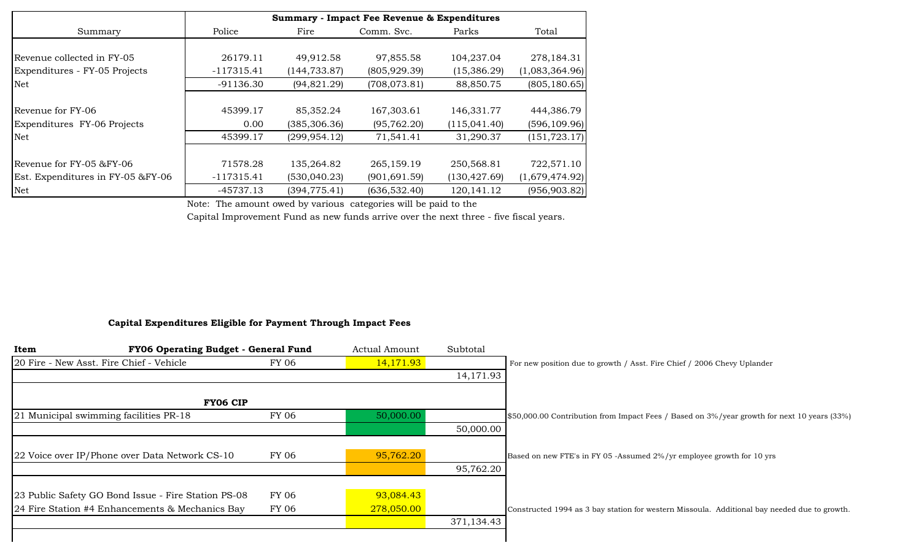|                                   |              |               | <b>Summary - Impact Fee Revenue &amp; Expenditures</b> |               |                |
|-----------------------------------|--------------|---------------|--------------------------------------------------------|---------------|----------------|
| Summary                           | Police       | Fire          | Comm. Svc.                                             | Parks         | Total          |
|                                   |              |               |                                                        |               |                |
| Revenue collected in FY-05        | 26179.11     | 49,912.58     | 97,855.58                                              | 104,237.04    | 278,184.31     |
| Expenditures - FY-05 Projects     | $-117315.41$ | (144, 733.87) | (805, 929.39)                                          | (15,386.29)   | (1,083,364.96) |
| Net                               | $-91136.30$  | (94, 821.29)  | (708, 073.81)                                          | 88,850.75     | (805, 180.65)  |
|                                   |              |               |                                                        |               |                |
| Revenue for FY-06                 | 45399.17     | 85,352.24     | 167,303.61                                             | 146,331.77    | 444,386.79     |
| Expenditures FY-06 Projects       | 0.00         | (385, 306.36) | (95, 762.20)                                           | (115,041.40)  | (596, 109.96)  |
| Net                               | 45399.17     | (299, 954.12) | 71,541.41                                              | 31,290.37     | (151, 723.17)  |
|                                   |              |               |                                                        |               |                |
| Revenue for FY-05 &FY-06          | 71578.28     | 135,264.82    | 265,159.19                                             | 250,568.81    | 722,571.10     |
| Est. Expenditures in FY-05 &FY-06 | $-117315.41$ | (530, 040.23) | (901, 691.59)                                          | (130, 427.69) | (1,679,474.92) |
| Net                               | -45737.13    | (394, 775.41) | (636, 532.40)                                          | 120, 141. 12  | (956, 903.82)  |

Note: The amount owed by various categories will be paid to the

Capital Improvement Fund as new funds arrive over the next three - five fiscal years.

#### **Capital Expenditures Eligible for Payment Through Impact Fees**

| FY06 Operating Budget - General Fund<br>Item        |       | Actual Amount | Subtotal   |                                                                                              |
|-----------------------------------------------------|-------|---------------|------------|----------------------------------------------------------------------------------------------|
| 20 Fire - New Asst. Fire Chief - Vehicle            | FY 06 | 14,171.93     |            | For new position due to growth / Asst. Fire Chief / 2006 Chevy Uplander                      |
|                                                     |       |               | 14,171.93  |                                                                                              |
| <b>FY06 CIP</b>                                     |       |               |            |                                                                                              |
| 21 Municipal swimming facilities PR-18              | FY 06 | 50,000.00     |            | \$50,000.00 Contribution from Impact Fees / Based on 3%/year growth for next 10 years (33%)  |
|                                                     |       |               | 50,000.00  |                                                                                              |
| 22 Voice over IP/Phone over Data Network CS-10      | FY 06 | 95,762.20     |            | Based on new FTE's in FY 05 -Assumed 2%/yr employee growth for 10 yrs                        |
|                                                     |       |               | 95,762.20  |                                                                                              |
| 23 Public Safety GO Bond Issue - Fire Station PS-08 | FY 06 | 93,084.43     |            |                                                                                              |
| 24 Fire Station #4 Enhancements & Mechanics Bay     | FY 06 | 278,050.00    |            | Constructed 1994 as 3 bay station for western Missoula. Additional bay needed due to growth. |
|                                                     |       |               | 371,134.43 |                                                                                              |
|                                                     |       |               |            |                                                                                              |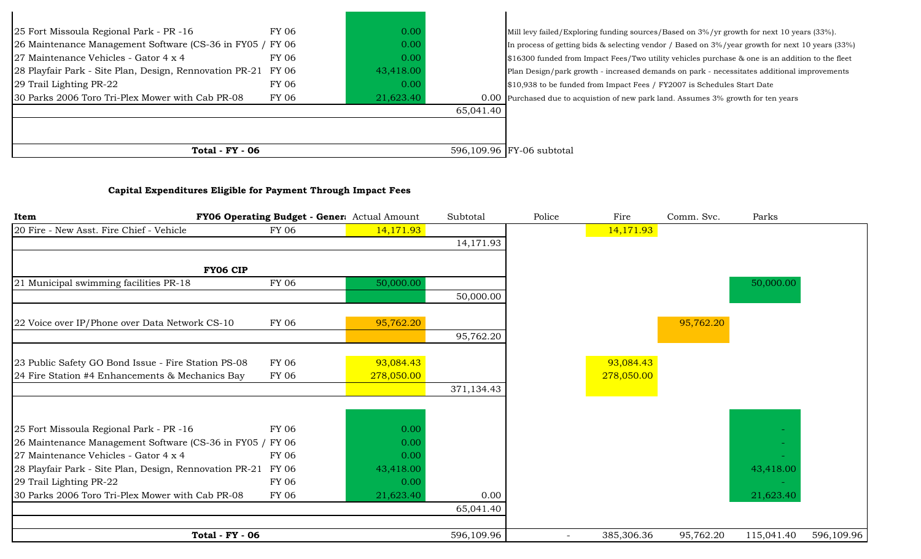| 25 Fort Missoula Regional Park - PR -16                       | FY 06 | 0.00      |           | Mill levy failed/Exploring funding sources/Based on 3%/yr growth for next 10 years (33%).        |
|---------------------------------------------------------------|-------|-----------|-----------|--------------------------------------------------------------------------------------------------|
| 26 Maintenance Management Software (CS-36 in FY05 / FY06      |       | 0.00      |           | In process of getting bids & selecting vendor / Based on 3%/year growth for next 10 years (33%)  |
| 27 Maintenance Vehicles - Gator 4 x 4                         | FY 06 | 0.00      |           | $$16300$ funded from Impact Fees/Two utility vehicles purchase & one is an addition to the fleet |
| 28 Playfair Park - Site Plan, Design, Rennovation PR-21 FY 06 |       | 43,418.00 |           | Plan Design/park growth - increased demands on park - necessitates additional improvements       |
| 29 Trail Lighting PR-22                                       | FY 06 | 0.00      |           | \$10,938 to be funded from Impact Fees / FY2007 is Schedules Start Date                          |
| 30 Parks 2006 Toro Tri-Plex Mower with Cab PR-08              | FY 06 | 21,623.40 |           | 0.00 Purchased due to acquistion of new park land. Assumes 3% growth for ten years               |
|                                                               |       |           | 65,041.40 |                                                                                                  |
|                                                               |       |           |           |                                                                                                  |
|                                                               |       |           |           |                                                                                                  |
| <b>Total - FY - 06</b>                                        |       |           |           | 596,109.96 FY-06 subtotal                                                                        |

# **Capital Expenditures Eligible for Payment Through Impact Fees**

| Item                                                    | FY06 Operating Budget - Gener: Actual Amount |            | Subtotal   | Police                   | Fire       | Comm. Svc. | Parks      |            |
|---------------------------------------------------------|----------------------------------------------|------------|------------|--------------------------|------------|------------|------------|------------|
| 20 Fire - New Asst. Fire Chief - Vehicle                | <b>FY 06</b>                                 | 14,171.93  |            |                          | 14,171.93  |            |            |            |
|                                                         |                                              |            | 14,171.93  |                          |            |            |            |            |
|                                                         |                                              |            |            |                          |            |            |            |            |
| FY06 CIP                                                |                                              |            |            |                          |            |            |            |            |
| 21 Municipal swimming facilities PR-18                  | <b>FY 06</b>                                 | 50,000.00  |            |                          |            |            | 50,000.00  |            |
|                                                         |                                              |            | 50,000.00  |                          |            |            |            |            |
|                                                         |                                              |            |            |                          |            |            |            |            |
| 22 Voice over IP/Phone over Data Network CS-10          | FY 06                                        | 95,762.20  |            |                          |            | 95,762.20  |            |            |
|                                                         |                                              |            | 95,762.20  |                          |            |            |            |            |
|                                                         |                                              |            |            |                          |            |            |            |            |
| 23 Public Safety GO Bond Issue - Fire Station PS-08     | <b>FY 06</b>                                 | 93,084.43  |            |                          | 93,084.43  |            |            |            |
| 24 Fire Station #4 Enhancements & Mechanics Bay         | FY 06                                        | 278,050.00 |            |                          | 278,050.00 |            |            |            |
|                                                         |                                              |            | 371,134.43 |                          |            |            |            |            |
|                                                         |                                              |            |            |                          |            |            |            |            |
|                                                         |                                              |            |            |                          |            |            |            |            |
| 25 Fort Missoula Regional Park - PR -16                 | <b>FY 06</b>                                 | 0.00       |            |                          |            |            |            |            |
| 26 Maintenance Management Software (CS-36 in FY05 /     | FY 06                                        | 0.00       |            |                          |            |            |            |            |
| 27 Maintenance Vehicles - Gator 4 x 4                   | <b>FY 06</b>                                 | 0.00       |            |                          |            |            |            |            |
| 28 Playfair Park - Site Plan, Design, Rennovation PR-21 | FY 06                                        | 43,418.00  |            |                          |            |            | 43,418.00  |            |
| 29 Trail Lighting PR-22                                 | FY 06                                        | 0.00       |            |                          |            |            |            |            |
| 30 Parks 2006 Toro Tri-Plex Mower with Cab PR-08        | <b>FY 06</b>                                 | 21,623.40  | 0.00       |                          |            |            | 21,623.40  |            |
|                                                         |                                              |            | 65,041.40  |                          |            |            |            |            |
|                                                         |                                              |            |            |                          |            |            |            |            |
| <b>Total - FY - 06</b>                                  |                                              |            | 596,109.96 | $\overline{\phantom{a}}$ | 385,306.36 | 95,762.20  | 115,041.40 | 596,109.96 |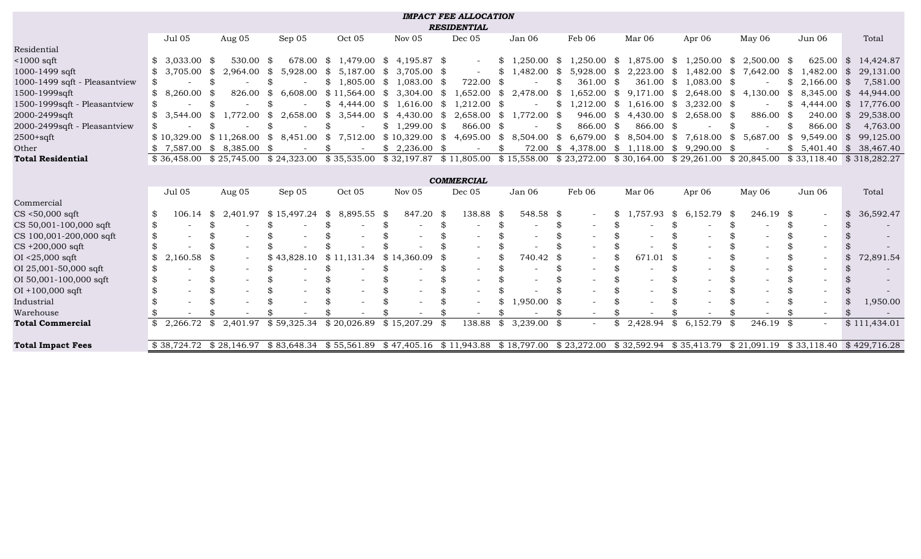|                               |                          |                          |                           |                                                                          |                            | <b>IMPACT FEE ALLOCATION</b><br><b>RESIDENTIAL</b> |                               |                          |                           |                     |                       |                          |                             |
|-------------------------------|--------------------------|--------------------------|---------------------------|--------------------------------------------------------------------------|----------------------------|----------------------------------------------------|-------------------------------|--------------------------|---------------------------|---------------------|-----------------------|--------------------------|-----------------------------|
|                               | <b>Jul 05</b>            | Aug 05                   | Sep 05                    | Oct 05                                                                   | Nov 05                     | Dec 05                                             | Jan 06                        | Feb 06                   | Mar 06                    | Apr 06              | May 06                | Jun 06                   | Total                       |
| Residential                   |                          |                          |                           |                                                                          |                            |                                                    |                               |                          |                           |                     |                       |                          |                             |
| $<$ 1000 sqft                 | 3.033.00<br>\$           | 530.00<br>- \$           | 678.00<br>- \$            | 1,479.00 \$<br>SS.                                                       | 4,195.87 \$                | $\sim$                                             | $\frac{1}{2}$<br>$.250.00$ \$ | $1,250.00$ \$            | 1,875.00                  | \$<br>1,250.00      | - \$<br>$2,500.00$ \$ | 625.00                   | 14,424.87<br><sup>\$</sup>  |
| 1000-1499 sqft                | 3,705.00<br>\$           | -\$<br>2,964.00          | \$<br>5,928.00            | -SS<br>5,187.00                                                          | - S<br>$3,705.00$ \$       |                                                    | ,482.00<br>\$                 | \$<br>5,928.00           | - \$<br>2,223.00          | \$<br>1,482.00      | 7,642.00<br>\$        | 1,482.00<br>- \$         | 29,131.00<br>\$             |
| 1000-1499 sqft - Pleasantview | \$                       |                          |                           | \$<br>$1,805.00$ \$                                                      | 1,083.00                   | 722.00<br>-86                                      | -\$                           | 361.00                   | 361.00<br>- \$            | \$<br>1,083.00      | - \$                  | \$.<br>2,166.00          | 7,581.00<br>\$              |
| 1500-1999sqft                 | 8,260.00<br>\$           | 826.00                   | \$<br>6,608.00            | \$11,564.00                                                              | $3,304.00$ \$<br>- \$      | .652.00                                            | \$<br>2,478.00                | - \$<br>1,652.00         | $9,171.00$ \$<br>\$       | 2,648.00            | SS.<br>4,130.00       | ,345.00<br>-\$           | 44,944.00<br>\$             |
| 1500-1999sqft - Pleasantview  | \$                       |                          |                           | \$<br>4.444.00 \$                                                        | 1,616.00                   | 1.212.00<br>- \$                                   | - \$                          | 1.212.00                 | 1,616.00<br>\$            | \$<br>$3,232.00$ \$ |                       | \$.<br>4,444.00          | 17,776.00<br>\$             |
| 2000-2499sqft                 | \$<br>3,544.00           | 1,772.00<br>\$           | $\frac{1}{2}$<br>2,658.00 | \$<br>$3,544.00$ \$                                                      | $4,430.00$ \$              | 2,658.00                                           | \$<br>1,772.00 \$             | 946.00 \$                | $4,430.00$ \$             | 2,658.00            | 886.00 \$<br>- \$     | 240.00                   | $\mathfrak{F}$<br>29,538.00 |
| 2000-2499sqft - Pleasantview  | \$                       |                          | \$                        | \$                                                                       | 1,299.00<br>$\mathbb{S}^-$ | 866.00<br>- \$                                     | - \$                          | 866.00                   | 866.00<br>- \$            | \$                  |                       | 866.00                   | 4,763.00<br>\$              |
| $2500 + \text{sqft}$          | \$10.329.00              | \$11,268.00              | 8,451.00<br>SS.           | 7,512.00<br>$\mathbb{S}$                                                 | \$10,329.00                | \$<br>4,695.00                                     | 8,504.00 \$<br>\$             | $6,679.00$ \$            | 8,504.00                  | \$<br>7,618.00      | 5,687.00<br>\$        | 9,549.00<br>\$           | $\mathbb{S}$<br>99,125.00   |
| Other                         | \$7,587.00               | $$8,385.00$ \$           |                           | \$                                                                       | \$2,236.00                 | - \$                                               | \$<br>72.00                   | \$<br>4,378.00           | \$<br>1,118.00            | \$<br>9,290.00      | - \$                  | $\mathbb{S}$<br>5,401.40 | $\mathcal{S}$<br>38,467.40  |
| <b>Total Residential</b>      |                          |                          |                           | $$36,458.00 \$25,745.00 \$24,323.00 \$35,535.00 \$32,197.87 \$11,805.00$ |                            |                                                    |                               | $$15,558.00 \$23,272.00$ | $$30,164.00 \ $29,261.00$ |                     | \$20,845.00           |                          | $$33,118.40 \& 318,282.27$  |
|                               |                          |                          |                           |                                                                          |                            |                                                    |                               |                          |                           |                     |                       |                          |                             |
| <b>COMMERCIAL</b>             |                          |                          |                           |                                                                          |                            |                                                    |                               |                          |                           |                     |                       |                          |                             |
|                               | Jul 05                   | Aug 05                   | Sep 05                    | Oct 05                                                                   | Nov 05                     | Dec 05                                             | Jan 06                        | Feb 06                   | Mar 06                    | Apr $06$            | May 06                | Jun 06                   | Total                       |
| Commercial                    |                          |                          |                           |                                                                          |                            |                                                    |                               |                          |                           |                     |                       |                          |                             |
| $CS < 50,000$ sqft            | 106.14<br>\$             | 2,401.97<br>\$           | \$15,497.24               | \$<br>8,895.55                                                           | 847.20<br>- \$             | 138.88<br>-\$                                      | 548.58 \$<br>\$               |                          | 1,757.93                  | \$<br>6,152.79      | - \$<br>246.19 \$     |                          | 36,592.47<br>\$             |
| CS 50,001-100,000 sqft        | \$                       |                          |                           |                                                                          |                            |                                                    |                               |                          |                           | \$                  |                       |                          |                             |
| CS 100,001-200,000 sqft       | \$                       |                          |                           |                                                                          |                            |                                                    |                               |                          |                           |                     |                       |                          |                             |
| $CS +200,000$ sqft            | \$                       |                          |                           |                                                                          |                            |                                                    |                               |                          |                           |                     |                       |                          |                             |
| $OI < 25,000$ sqft            | \$<br>2,160.58           | \$                       | \$43,828.10               | \$11,131.34                                                              | \$14,360.09                |                                                    | 740.42                        | - \$                     | 671.01                    | \$                  |                       |                          | 72,891.54                   |
| OI 25,001-50,000 sqft         | \$                       |                          |                           |                                                                          |                            |                                                    |                               |                          |                           |                     |                       |                          |                             |
| OI 50,001-100,000 sqft        | \$                       |                          |                           |                                                                          |                            |                                                    |                               |                          |                           |                     |                       |                          |                             |
| $OI + 100,000$ sqft           |                          |                          |                           |                                                                          |                            |                                                    |                               |                          |                           |                     |                       |                          |                             |
| Industrial                    | \$.                      |                          |                           |                                                                          |                            |                                                    | $,950.00$ \$<br>\$            |                          |                           |                     |                       |                          | 1,950.00                    |
| Warehouse                     |                          |                          |                           |                                                                          |                            |                                                    |                               |                          |                           |                     |                       |                          |                             |
| <b>Total Commercial</b>       | 2,266.72<br>$\mathbb{S}$ | 2,401.97<br>\$           | \$59,325.34               | \$20,026.89                                                              | \$15,207.29                | 138.88<br>- \$                                     | \$<br>$3,239.00$ \$           |                          | 2,428.94                  | \$<br>6,152.79      | 246.19<br>-\$         | - \$                     | \$111,434.01                |
| <b>Total Impact Fees</b>      |                          | $$38.724.72 \$28.146.97$ | \$83.648.34               | \$55,561.89                                                              | \$47.405.16                | $$11,943.88$ $$18,797.00$                          |                               | \$23,272.00              | \$32.592.94               | \$35,413.79         | \$21.091.19           | \$33.118.40              | \$429.716.28                |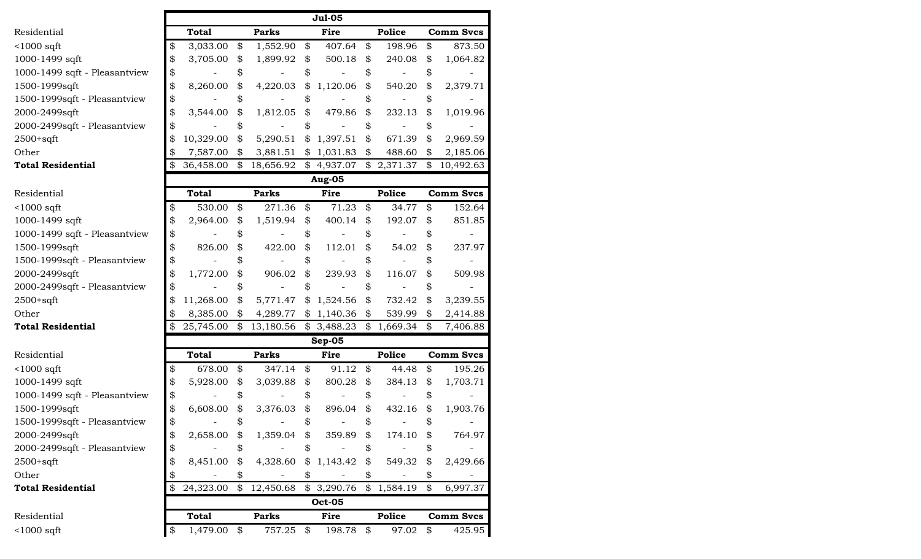|                               |    |              |    |                          |    | <b>Jul-05</b> |    |               |                  |
|-------------------------------|----|--------------|----|--------------------------|----|---------------|----|---------------|------------------|
| Residential                   |    | <b>Total</b> |    | <b>Parks</b>             |    | Fire          |    | Police        | <b>Comm Svcs</b> |
| $<$ 1000 sqft                 | \$ | 3,033.00     | \$ | 1,552.90                 | \$ | 407.64        | \$ | 198.96        | \$<br>873.50     |
| 1000-1499 sqft                | \$ | 3,705.00     | \$ | 1,899.92                 | \$ | 500.18        | \$ | 240.08        | \$<br>1,064.82   |
| 1000-1499 sqft - Pleasantview | \$ |              | \$ |                          | \$ |               | \$ |               | \$               |
| 1500-1999sqft                 | \$ | 8,260.00     | \$ | 4,220.03                 | \$ | 1,120.06      | \$ | 540.20        | \$<br>2,379.71   |
| 1500-1999sqft - Pleasantview  | \$ |              | \$ |                          | \$ |               | \$ |               | \$               |
| 2000-2499sqft                 | \$ | 3,544.00     | \$ | 1,812.05                 | \$ | 479.86        | \$ | 232.13        | \$<br>1,019.96   |
| 2000-2499sqft - Pleasantview  | \$ |              | \$ |                          | \$ |               | \$ |               | \$               |
| $2500+sqrt$                   | \$ | 10,329.00    | \$ | 5,290.51                 | \$ | 1,397.51      | \$ | 671.39        | \$<br>2,969.59   |
| Other                         | \$ | 7,587.00     | \$ | 3,881.51                 | \$ | 1,031.83      | \$ | 488.60        | \$<br>2,185.06   |
| <b>Total Residential</b>      | \$ | 36,458.00    | \$ | 18,656.92                | \$ | 4,937.07      | \$ | 2,371.37      | \$<br>10,492.63  |
|                               |    |              |    |                          |    | <b>Aug-05</b> |    |               |                  |
| Residential                   |    | <b>Total</b> |    | <b>Parks</b>             |    | <b>Fire</b>   |    | <b>Police</b> | <b>Comm Svcs</b> |
| $<$ 1000 sqft                 | \$ | 530.00       | \$ | 271.36                   | \$ | 71.23         | \$ | 34.77         | \$<br>152.64     |
| 1000-1499 sqft                | \$ | 2,964.00     | \$ | 1,519.94                 | \$ | 400.14        | \$ | 192.07        | \$<br>851.85     |
| 1000-1499 sqft - Pleasantview | \$ |              | \$ |                          | \$ |               | \$ |               | \$               |
| 1500-1999sqft                 | \$ | 826.00       | \$ | 422.00                   | \$ | 112.01        | \$ | 54.02         | \$<br>237.97     |
| 1500-1999sqft - Pleasantview  | \$ |              |    |                          | \$ |               | \$ |               |                  |
| 2000-2499sqft                 | \$ | 1,772.00     | \$ | 906.02                   | \$ | 239.93        | \$ | 116.07        | \$<br>509.98     |
| 2000-2499sqft - Pleasantview  | \$ |              | \$ |                          | \$ |               | \$ |               | \$               |
| $2500+sqrt$                   | \$ | 11,268.00    | \$ | 5,771.47                 | \$ | 1,524.56      | \$ | 732.42        | \$<br>3,239.55   |
| Other                         | \$ | 8,385.00     | \$ | 4,289.77                 | \$ | 1,140.36      | \$ | 539.99        | \$<br>2,414.88   |
| <b>Total Residential</b>      | \$ | 25,745.00    | \$ | 13,180.56                | \$ | 3,488.23      | \$ | 1,669.34      | \$<br>7,406.88   |
|                               |    |              |    |                          |    | $Sep-05$      |    |               |                  |
| Residential                   |    | <b>Total</b> |    | <b>Parks</b>             |    | <b>Fire</b>   |    | <b>Police</b> | <b>Comm Svcs</b> |
| $<$ 1000 sqft                 | \$ | 678.00       | \$ | 347.14                   | \$ | 91.12         | \$ | 44.48         | \$<br>195.26     |
| 1000-1499 sqft                | \$ | 5,928.00     | \$ | 3,039.88                 | \$ | 800.28        | \$ | 384.13        | \$<br>1,703.71   |
| 1000-1499 sqft - Pleasantview | \$ |              | \$ |                          | \$ |               | \$ |               | \$               |
| 1500-1999sqft                 | \$ | 6,608.00     | \$ | 3,376.03                 | \$ | 896.04        | \$ | 432.16        | \$<br>1,903.76   |
| 1500-1999sqft - Pleasantview  | Φ  |              | 22 | $\overline{\phantom{a}}$ | Φ  |               | Φ  |               | \$               |
| 2000-2499sqft                 | \$ | 2,658.00     | \$ | 1,359.04                 | \$ | 359.89        | \$ | 174.10        | \$<br>764.97     |
| 2000-2499sqft - Pleasantview  | \$ |              | \$ |                          | \$ |               | \$ |               | \$               |
| $2500+sqrt$                   | \$ | 8,451.00     | \$ | 4,328.60                 | \$ | 1,143.42      | \$ | 549.32        | \$<br>2,429.66   |
| Other                         | \$ |              |    |                          | \$ |               | \$ |               | \$               |
| <b>Total Residential</b>      | \$ | 24,323.00    | \$ | 12,450.68                | \$ | 3,290.76      | \$ | 1,584.19      | \$<br>6,997.37   |
|                               |    |              |    |                          |    | <b>Oct-05</b> |    |               |                  |
| Residential                   |    | <b>Total</b> |    | <b>Parks</b>             |    | Fire          |    | Police        | <b>Comm Svcs</b> |
| $<$ 1000 sqft                 | \$ | 1,479.00     | \$ | 757.25                   | \$ | 198.78        | \$ | 97.02         | \$<br>425.95     |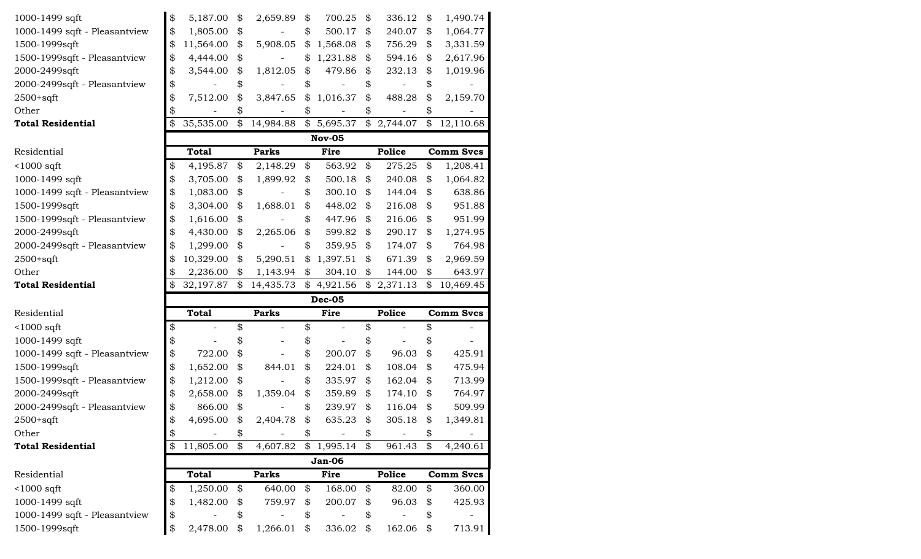| 1000-1499 sqft                | \$<br>5,187.00  | \$                         | 2,659.89     | \$            | 700.25        | \$<br>336.12  | \$            | 1,490.74                                       |
|-------------------------------|-----------------|----------------------------|--------------|---------------|---------------|---------------|---------------|------------------------------------------------|
| 1000-1499 sqft - Pleasantview | \$<br>1,805.00  | \$                         |              | \$            | 500.17        | \$<br>240.07  | \$            | 1,064.77                                       |
| 1500-1999sqft                 | \$<br>11,564.00 | \$                         | 5,908.05     | \$            | 1,568.08      | \$<br>756.29  | \$            | 3,331.59                                       |
| 1500-1999sqft - Pleasantview  | \$<br>4,444.00  | \$                         |              | \$            | 1,231.88      | \$<br>594.16  | \$            | 2,617.96                                       |
| 2000-2499sqft                 | \$<br>3,544.00  | \$                         | 1,812.05     | \$            | 479.86        | \$<br>232.13  | \$            | 1,019.96                                       |
| 2000-2499sqft - Pleasantview  | \$              |                            |              | \$            |               | \$            | \$            |                                                |
| $2500+sqrt$                   | \$<br>7,512.00  | \$                         | 3,847.65     | \$            | 1,016.37      | \$<br>488.28  | \$            | 2,159.70                                       |
| Other                         | \$              | \$                         |              | \$            |               | \$            | \$            |                                                |
| <b>Total Residential</b>      | \$<br>35,535.00 | \$                         | 14,984.88    | $\frac{1}{2}$ | 5,695.37      | \$2,744.07    | $\frac{1}{2}$ | 12,110.68                                      |
|                               |                 |                            |              |               | <b>Nov-05</b> |               |               |                                                |
| Residential                   | <b>Total</b>    |                            | <b>Parks</b> |               | Fire          | Police        |               | <b>Comm Svcs</b>                               |
| $<$ 1000 sqft                 | \$<br>4,195.87  | \$                         | 2,148.29     | \$            | 563.92        | \$<br>275.25  | \$            | 1,208.41                                       |
| 1000-1499 sqft                | \$<br>3,705.00  | \$                         | 1,899.92     | \$            | 500.18        | \$<br>240.08  | \$            | 1,064.82                                       |
| 1000-1499 sqft - Pleasantview | \$<br>1,083.00  | \$                         |              | \$            | 300.10        | \$<br>144.04  | \$            | 638.86                                         |
| 1500-1999sqft                 | \$<br>3,304.00  | \$                         | 1,688.01     | \$            | 448.02        | \$<br>216.08  | \$            | 951.88                                         |
| 1500-1999sqft - Pleasantview  | \$<br>1,616.00  | \$                         |              | \$            | 447.96        | \$<br>216.06  | \$            | 951.99                                         |
| 2000-2499sqft                 | \$<br>4,430.00  | \$                         | 2,265.06     | \$            | 599.82        | \$<br>290.17  | \$            | 1,274.95                                       |
| 2000-2499sqft - Pleasantview  | \$<br>1,299.00  | \$                         |              | \$            | 359.95        | \$<br>174.07  | \$            | 764.98                                         |
| $2500+sqrt$                   | \$<br>10,329.00 | \$                         | 5,290.51     | \$            | 1,397.51      | \$<br>671.39  | \$            | 2,969.59                                       |
| Other                         | \$<br>2,236.00  | \$                         | 1,143.94     | \$            | 304.10        | \$<br>144.00  | \$            | 643.97                                         |
| <b>Total Residential</b>      | \$<br>32,197.87 | \$                         | 14,435.73    | \$            | 4,921.56      | \$2,371.13    | \$            | 10,469.45                                      |
|                               |                 |                            |              |               | <b>Dec-05</b> |               |               |                                                |
| Residential                   | <b>Total</b>    |                            | <b>Parks</b> |               | Fire          | <b>Police</b> |               | <b>Comm Svcs</b>                               |
| $<$ 1000 sqft                 | \$              | \$                         |              | \$            |               | \$            | \$            |                                                |
| 1000-1499 sqft                | \$              |                            |              | \$            |               | \$            | \$            |                                                |
| 1000-1499 sqft - Pleasantview | \$<br>722.00    | \$                         |              | \$            | 200.07        | \$<br>96.03   | \$            | 425.91                                         |
| 1500-1999sqft                 | \$<br>1,652.00  | \$                         | 844.01       | \$            | 224.01        | \$<br>108.04  | \$            | 475.94                                         |
| 1500-1999sqft - Pleasantview  | \$<br>1,212.00  | \$                         |              | \$            | 335.97        | \$<br>162.04  | \$            | 713.99                                         |
| 2000-2499sqft                 | \$<br>2,658.00  | \$                         | 1,359.04     | \$            | 359.89        | \$<br>174.10  | \$            | 764.97                                         |
| 2000-2499sqft - Pleasantview  | \$<br>866.00    | \$                         |              | \$            | 239.97        | \$<br>116.04  | \$            | 509.99                                         |
| 2500+sqft                     | 4,695.00        | \$                         | 2,404.78     | \$            | 635.23        | \$<br>305.18  | \$            | 1,349.81                                       |
| Other                         | \$              | \$                         |              | \$            |               | \$            | \$            |                                                |
| <b>Total Residential</b>      | \$<br>11,805.00 | $\boldsymbol{\mathcal{Z}}$ | 4,607.82     |               | \$1,995.14    | \$<br>961.43  | \$            | 4,240.61                                       |
|                               |                 |                            |              |               |               |               |               |                                                |
|                               |                 |                            |              |               | <b>Jan-06</b> |               |               |                                                |
| Residential                   | <b>Total</b>    |                            | <b>Parks</b> |               | Fire          | Police        |               |                                                |
| $<$ 1000 sqft                 | \$<br>1,250.00  | \$                         | 640.00       | \$            | 168.00        | \$<br>82.00   | \$            |                                                |
| 1000-1499 sqft                | \$<br>1,482.00  | \$                         | 759.97       | \$            | 200.07        | \$<br>96.03   | \$            |                                                |
| 1000-1499 sqft - Pleasantview | \$              | \$                         |              | \$            |               | \$            | \$            |                                                |
| 1500-1999sqft                 | \$<br>2,478.00  | \$                         | 1,266.01     | \$            | 336.02        | \$<br>162.06  | \$            | <b>Comm Svcs</b><br>360.00<br>425.93<br>713.91 |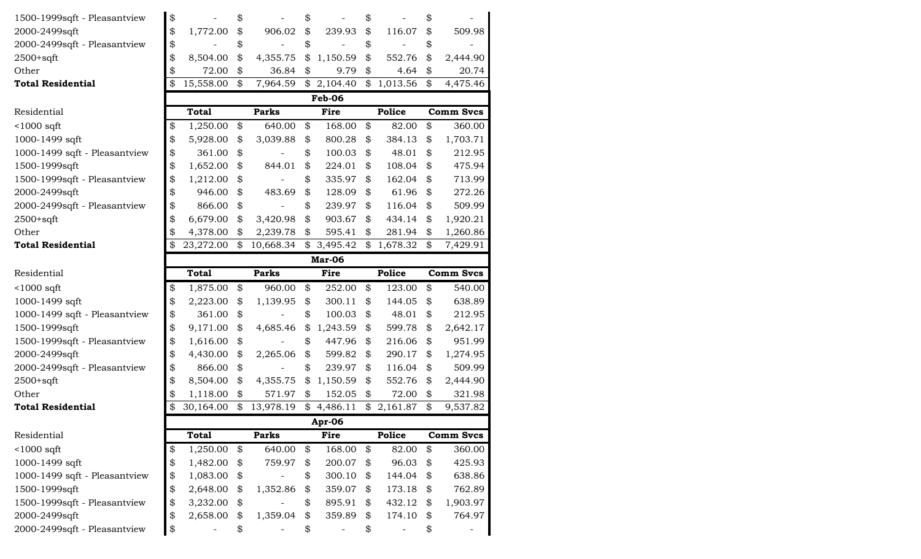| 1500-1999sqft - Pleasantview  | \$              | \$              | \$             | \$                      | \$               |
|-------------------------------|-----------------|-----------------|----------------|-------------------------|------------------|
| 2000-2499sqft                 | \$<br>1,772.00  | \$<br>906.02    | \$<br>239.93   | \$<br>116.07            | \$<br>509.98     |
| 2000-2499sqft - Pleasantview  | \$              | \$              | \$             | \$                      | \$               |
| $2500+sqrt$                   | \$<br>8,504.00  | \$<br>4,355.75  | \$<br>1,150.59 | \$<br>552.76            | \$<br>2,444.90   |
| Other                         | \$<br>72.00     | \$<br>36.84     | \$<br>9.79     | \$<br>4.64              | \$<br>20.74      |
| <b>Total Residential</b>      | \$<br>15,558.00 | \$<br>7,964.59  | \$2,104.40     | \$1,013.56              | \$<br>4,475.46   |
|                               |                 |                 | Feb-06         |                         |                  |
| Residential                   | <b>Total</b>    | <b>Parks</b>    | Fire           | Police                  | <b>Comm Svcs</b> |
| $1000$ sqft                   | \$<br>1,250.00  | \$<br>640.00    | \$<br>168.00   | \$<br>82.00             | \$<br>360.00     |
| 1000-1499 sqft                | \$<br>5,928.00  | \$<br>3,039.88  | \$<br>800.28   | \$<br>384.13            | \$<br>1,703.71   |
| 1000-1499 sqft - Pleasantview | \$<br>361.00    | \$              | \$<br>100.03   | \$<br>48.01             | \$<br>212.95     |
| 1500-1999sqft                 | \$<br>1,652.00  | \$<br>844.01    | \$<br>224.01   | \$<br>108.04            | \$<br>475.94     |
| 1500-1999sqft - Pleasantview  | \$<br>1,212.00  | \$              | \$<br>335.97   | \$<br>162.04            | \$<br>713.99     |
| 2000-2499sqft                 | \$<br>946.00    | \$<br>483.69    | \$<br>128.09   | \$<br>61.96             | \$<br>272.26     |
| 2000-2499sqft - Pleasantview  | \$<br>866.00    | \$              | \$<br>239.97   | \$<br>116.04            | \$<br>509.99     |
| $2500+sqrt$                   | \$<br>6,679.00  | \$<br>3,420.98  | \$<br>903.67   | \$<br>434.14            | \$<br>1,920.21   |
| Other                         | \$<br>4,378.00  | \$<br>2,239.78  | \$<br>595.41   | \$<br>281.94            | \$<br>1,260.86   |
| <b>Total Residential</b>      | \$<br>23,272.00 | \$<br>10,668.34 | \$<br>3,495.42 | \$1,678.32              | \$<br>7,429.91   |
|                               |                 |                 | Mar-06         |                         |                  |
| Residential                   | <b>Total</b>    | <b>Parks</b>    | Fire           | Police                  | <b>Comm Svcs</b> |
| $1000$ sqft                   | \$<br>1,875.00  | \$<br>960.00    | \$<br>252.00   | \$<br>123.00            | \$<br>540.00     |
| 1000-1499 sqft                | \$<br>2,223.00  | \$<br>1,139.95  | \$<br>300.11   | \$<br>144.05            | \$<br>638.89     |
| 1000-1499 sqft - Pleasantview | \$<br>361.00    | \$              | \$<br>100.03   | \$<br>48.01             | \$<br>212.95     |
| 1500-1999sqft                 | \$<br>9,171.00  | \$<br>4,685.46  | \$<br>1,243.59 | \$<br>599.78            | \$<br>2,642.17   |
| 1500-1999sqft - Pleasantview  | \$<br>1,616.00  | \$              | \$<br>447.96   | \$<br>216.06            | \$<br>951.99     |
| 2000-2499sqft                 | \$<br>4,430.00  | \$<br>2,265.06  | \$<br>599.82   | \$<br>290.17            | \$<br>1,274.95   |
| 2000-2499sqft - Pleasantview  | \$<br>866.00    | \$              | \$<br>239.97   | \$<br>116.04            | \$<br>509.99     |
| $2500+sqrt$                   | \$<br>8,504.00  | \$<br>4,355.75  | \$<br>1,150.59 | \$<br>552.76            | \$<br>2,444.90   |
| Other                         | \$<br>1,118.00  | \$<br>571.97    | \$<br>152.05   | \$<br>72.00             | \$<br>321.98     |
| <b>Total Residential</b>      | \$<br>30,164.00 | \$<br>13,978.19 | \$<br>4,486.11 | \$2,161.87              | \$<br>9,537.82   |
|                               |                 |                 | Apr-06         |                         |                  |
| Residential                   | <b>Total</b>    | <b>Parks</b>    | Fire           | Police                  | <b>Comm Svcs</b> |
| $<$ 1000 sqft                 | \$<br>1,250.00  | \$<br>640.00    | \$<br>168.00   | \$<br>82.00             | \$<br>360.00     |
| 1000-1499 sqft                | \$<br>1,482.00  | \$<br>759.97    | \$<br>200.07   | \$<br>96.03             | \$<br>425.93     |
| 1000-1499 sqft - Pleasantview | \$<br>1,083.00  | \$              | \$<br>300.10   | \$<br>144.04            | \$<br>638.86     |
| 1500-1999sqft                 | \$<br>2,648.00  | \$<br>1,352.86  | \$<br>359.07   | \$<br>173.18            | \$<br>762.89     |
| 1500-1999sqft - Pleasantview  | \$<br>3,232.00  | \$              | \$<br>895.91   | \$<br>432.12            | \$<br>1,903.97   |
| 2000-2499sqft                 | \$<br>2,658.00  | \$<br>1,359.04  | \$<br>359.89   | \$<br>174.10            | \$<br>764.97     |
| 2000-2499sqft - Pleasantview  | \$              | \$              | \$             | \$<br>$\qquad \qquad -$ | \$               |
|                               |                 |                 |                |                         |                  |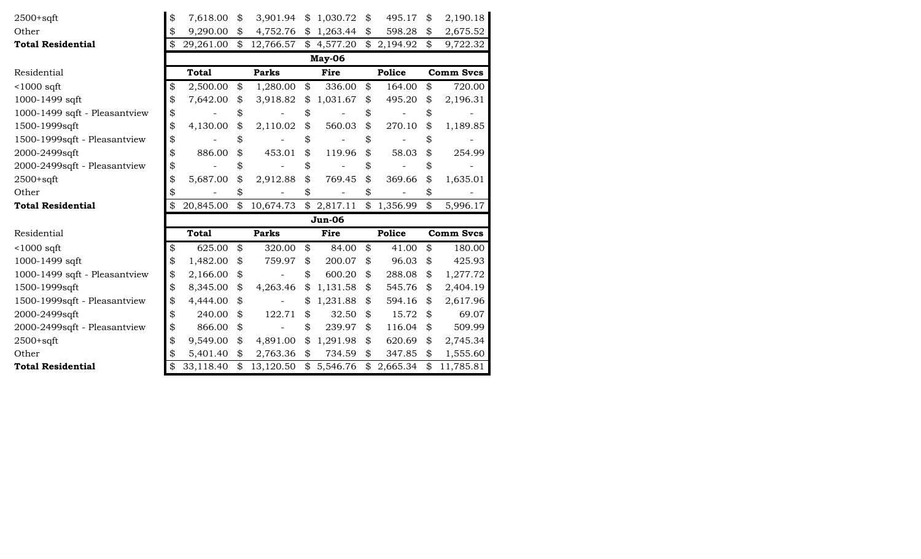| $2500+sqrt$                   | \$<br>7,618.00  | \$                         | 3,901.94          | \$             | 1,030.72      | \$<br>495.17  | \$<br>2,190.18   |
|-------------------------------|-----------------|----------------------------|-------------------|----------------|---------------|---------------|------------------|
| Other                         | 9,290.00        | \$                         | 4,752.76          | \$             | 1,263.44      | \$<br>598.28  | \$<br>2,675.52   |
| <b>Total Residential</b>      | \$<br>29,261.00 | \$                         | 12,766.57         | \$             | 4,577.20      | \$2,194.92    | \$<br>9,722.32   |
|                               |                 |                            |                   |                | May-06        |               |                  |
| Residential                   | <b>Total</b>    |                            | <b>Parks</b>      |                | <b>Fire</b>   | <b>Police</b> | <b>Comm Svcs</b> |
| $<$ 1000 sqft                 | \$<br>2,500.00  | \$                         | 1,280.00          | \$             | 336.00        | \$<br>164.00  | \$<br>720.00     |
| 1000-1499 sqft                | 7,642.00        | \$                         | 3,918.82          | \$             | 1,031.67      | \$<br>495.20  | \$<br>2,196.31   |
| 1000-1499 sqft - Pleasantview | \$              | \$                         |                   | \$             |               | \$            | \$               |
| 1500-1999sqft                 | \$<br>4,130.00  | \$                         | 2,110.02          | $\mathfrak{P}$ | 560.03        | \$<br>270.10  | \$<br>1,189.85   |
| 1500-1999sqft - Pleasantview  |                 | \$                         |                   | \$             |               | \$            | \$               |
| 2000-2499sqft                 | 886.00          | \$                         | 453.01            | \$             | 119.96        | 58.03         | \$<br>254.99     |
| 2000-2499sqft - Pleasantview  | \$              | \$                         |                   | \$             |               | \$            | \$               |
| $2500+sqrt$                   | 5,687.00        | \$                         | 2,912.88          | \$             | 769.45        | \$<br>369.66  | \$<br>1,635.01   |
| Other                         |                 | \$                         |                   | \$             |               |               |                  |
| <b>Total Residential</b>      | 20,845.00       | \$                         | 10,674.73         | \$             | 2,817.11      | \$1,356.99    | \$<br>5,996.17   |
|                               |                 |                            |                   |                | <b>Jun-06</b> |               |                  |
| Residential                   | <b>Total</b>    |                            | <b>Parks</b>      |                | Fire          | <b>Police</b> | <b>Comm Svcs</b> |
| $<$ 1000 sqft                 | \$<br>625.00    | $\boldsymbol{\mathcal{Z}}$ | 320.00            | \$             | 84.00         | \$<br>41.00   | \$<br>180.00     |
| 1000-1499 sqft                | \$<br>1,482.00  | \$                         | 759.97            | \$             | 200.07        | \$<br>96.03   | \$<br>425.93     |
| 1000-1499 sqft - Pleasantview | \$<br>2,166.00  | \$                         |                   | \$             | 600.20        | \$<br>288.08  | \$<br>1,277.72   |
| 1500-1999sqft                 | \$<br>8,345.00  | \$                         | 4,263.46          | \$             | 1,131.58      | \$<br>545.76  | \$<br>2,404.19   |
| 1500-1999sqft - Pleasantview  | 4,444.00        | \$                         |                   | \$             | 1,231.88      | \$<br>594.16  | \$<br>2,617.96   |
| 2000-2499sqft                 | \$<br>240.00    | \$                         | 122.71            | \$             | 32.50         | \$<br>15.72   | \$<br>69.07      |
| 2000-2499sqft - Pleasantview  | \$<br>866.00    | \$                         | $\qquad \qquad -$ | \$             | 239.97        | \$<br>116.04  | \$<br>509.99     |
| $2500+sqrt$                   | 9,549.00        | \$                         | 4,891.00          | \$             | 1,291.98      | \$<br>620.69  | \$<br>2,745.34   |
|                               | \$              |                            |                   |                |               |               |                  |
| Other                         | 5,401.40        | \$                         | 2,763.36          | \$             | 734.59        | \$<br>347.85  | \$<br>1,555.60   |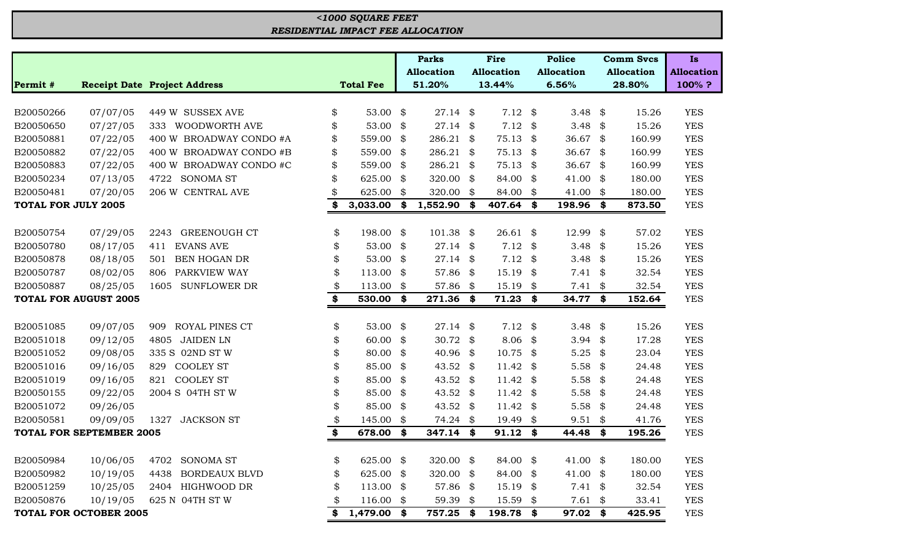|                            |                                 |                                     |                   |      | <b>Parks</b>      | <b>Fire</b>       |     | <b>Police</b>       |     | <b>Comm Svcs</b>  | <b>Is</b>         |
|----------------------------|---------------------------------|-------------------------------------|-------------------|------|-------------------|-------------------|-----|---------------------|-----|-------------------|-------------------|
|                            |                                 |                                     |                   |      | <b>Allocation</b> | <b>Allocation</b> |     | <b>Allocation</b>   |     | <b>Allocation</b> | <b>Allocation</b> |
| Permit #                   |                                 | <b>Receipt Date Project Address</b> | <b>Total Fee</b>  |      | 51.20%            | 13.44%            |     | 6.56%               |     | 28.80%            | 100%?             |
|                            |                                 |                                     |                   |      |                   |                   |     |                     |     |                   |                   |
| B20050266                  | 07/07/05                        | 449 W SUSSEX AVE                    | \$<br>53.00       | \$   | 27.14             | \$<br>7.12        | \$  | 3.48                | \$  | 15.26             | <b>YES</b>        |
| B20050650                  | 07/27/05                        | WOODWORTH AVE<br>333                | \$<br>53.00       | \$   | 27.14             | \$<br>7.12        | \$  | 3.48                | \$  | 15.26             | <b>YES</b>        |
| B20050881                  | 07/22/05                        | <b>BROADWAY CONDO #A</b><br>400 W   | \$<br>559.00      | \$   | 286.21            | \$<br>75.13       | \$  | 36.67               | \$  | 160.99            | <b>YES</b>        |
| B20050882                  | 07/22/05                        | 400 W BROADWAY CONDO #B             | \$<br>559.00      | \$   | 286.21            | \$<br>75.13       | \$  | 36.67               | \$  | 160.99            | <b>YES</b>        |
| B20050883                  | 07/22/05                        | 400 W BROADWAY CONDO #C             | \$<br>559.00      | \$   | 286.21 \$         | 75.13             | \$  | 36.67               | -\$ | 160.99            | <b>YES</b>        |
| B20050234                  | 07/13/05                        | <b>SONOMA ST</b><br>4722            | \$<br>625.00      | \$   | 320.00            | \$<br>84.00       | \$  | 41.00               | \$  | 180.00            | <b>YES</b>        |
| B20050481                  | 07/20/05                        | 206 W CENTRAL AVE                   | \$<br>625.00      | \$   | 320.00            | \$<br>84.00       | \$  | 41.00               | \$  | 180.00            | <b>YES</b>        |
| <b>TOTAL FOR JULY 2005</b> |                                 |                                     | \$<br>3,033.00    | \$   | 1,552.90          | \$<br>407.64      | SS. | 198.96              | \$  | 873.50            | <b>YES</b>        |
|                            |                                 |                                     |                   |      |                   |                   |     |                     |     |                   |                   |
| B20050754                  | 07/29/05                        | <b>GREENOUGH CT</b><br>2243         | \$<br>198.00      | \$   | 101.38            | \$<br>26.61       | \$  | 12.99               | \$  | 57.02             | <b>YES</b>        |
| B20050780                  | 08/17/05                        | <b>EVANS AVE</b><br>411             | \$<br>53.00       | \$   | 27.14             | \$<br>7.12        | \$  | 3.48                | \$  | 15.26             | <b>YES</b>        |
| B20050878                  | 08/18/05                        | <b>BEN HOGAN DR</b><br>501          | \$<br>53.00       | \$   | 27.14             | \$<br>7.12        | \$  | 3.48                | \$  | 15.26             | <b>YES</b>        |
| B20050787                  | 08/02/05                        | PARKVIEW WAY<br>806                 | \$<br>113.00      | \$   | 57.86             | \$<br>15.19       | \$  | 7.41                | -\$ | 32.54             | <b>YES</b>        |
| B20050887                  | 08/25/05                        | <b>SUNFLOWER DR</b><br>1605         | \$<br>113.00      | \$   | 57.86             | \$<br>15.19       | \$  | 7.41                | \$  | 32.54             | <b>YES</b>        |
|                            | <b>TOTAL FOR AUGUST 2005</b>    |                                     | \$<br>530.00      | - \$ | 271.36 \$         | 71.23             | \$  | 34.77 \$            |     | 152.64            | <b>YES</b>        |
|                            |                                 |                                     |                   |      |                   |                   |     |                     |     |                   |                   |
| B20051085                  | 09/07/05                        | ROYAL PINES CT<br>909               | \$<br>53.00       | \$   | 27.14             | \$<br>7.12        | \$  | 3.48                | \$  | 15.26             | <b>YES</b>        |
| B20051018                  | 09/12/05                        | <b>JAIDEN LN</b><br>4805            | \$<br>60.00       | \$   | 30.72             | \$<br>8.06        | \$  | 3.94                | \$  | 17.28             | <b>YES</b>        |
| B20051052                  | 09/08/05                        | 335 S 02ND ST W                     | \$<br>80.00       | \$   | 40.96             | \$<br>10.75       | \$  | 5.25                | \$  | 23.04             | <b>YES</b>        |
| B20051016                  | 09/16/05                        | <b>COOLEY ST</b><br>829             | \$<br>85.00       | \$   | 43.52             | \$<br>11.42       | \$  | 5.58                | \$  | 24.48             | <b>YES</b>        |
| B20051019                  | 09/16/05                        | <b>COOLEY ST</b><br>821             | \$<br>85.00       | \$   | 43.52             | \$<br>11.42       | \$  | 5.58                | \$  | 24.48             | <b>YES</b>        |
| B20050155                  | 09/22/05                        | 2004 S 04TH ST W                    | \$<br>85.00       | \$   | 43.52             | \$<br>11.42       | \$  | 5.58                | \$  | 24.48             | <b>YES</b>        |
| B20051072                  | 09/26/05                        |                                     | \$<br>85.00       | \$   | 43.52             | \$<br>11.42       | \$  | 5.58                | \$  | 24.48             | <b>YES</b>        |
| B20050581                  | 09/09/05                        | <b>JACKSON ST</b><br>1327           | \$<br>145.00      | \$   | 74.24             | \$<br>19.49       | \$  | 9.51                | \$  | 41.76             | <b>YES</b>        |
|                            | <b>TOTAL FOR SEPTEMBER 2005</b> |                                     | \$<br>678.00      | \$   | 347.14            | \$<br>91.12       | \$  | 44.48               | \$  | 195.26            | <b>YES</b>        |
|                            |                                 |                                     |                   |      |                   |                   |     |                     |     |                   |                   |
| B20050984                  | 10/06/05                        | 4702 SONOMA ST                      | \$<br>625.00 \$   |      | 320.00 \$         | 84.00 \$          |     | 41.00 $\frac{1}{2}$ |     | 180.00            | <b>YES</b>        |
| B20050982                  | 10/19/05                        | <b>BORDEAUX BLVD</b><br>4438        | \$<br>625.00      | \$   | 320.00            | \$<br>84.00       | \$  | 41.00 $\frac{1}{2}$ |     | 180.00            | <b>YES</b>        |
| B20051259                  | 10/25/05                        | 2404 HIGHWOOD DR                    | \$<br>113.00      | \$   | 57.86 \$          | 15.19             | \$  | $7.41$ \$           |     | 32.54             | <b>YES</b>        |
| B20050876                  | 10/19/05                        | 625 N 04TH ST W                     | \$<br>$116.00$ \$ |      | 59.39 \$          | 15.59             | \$  | $7.61$ \$           |     | 33.41             | <b>YES</b>        |
|                            | <b>TOTAL FOR OCTOBER 2005</b>   |                                     | \$<br>1,479.00 \$ |      | 757.25 \$         | 198.78            | \$  | 97.02 \$            |     | 425.95            | <b>YES</b>        |

## *RESIDENTIAL IMPACT FEE ALLOCATION <1000 SQUARE FEET*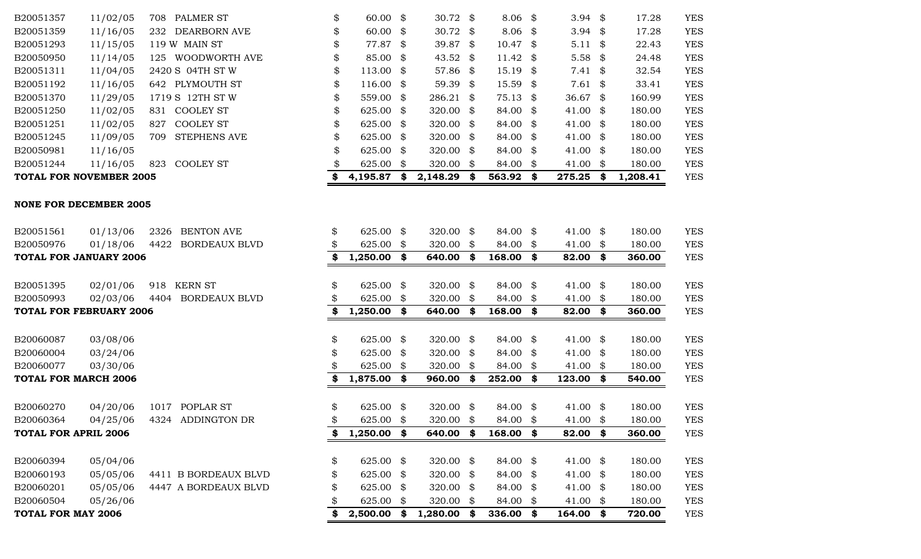|                                | 11/10/00 |      |                      |                 |      |            |      |           |      |                   | 100.00         | 1 P Y      |
|--------------------------------|----------|------|----------------------|-----------------|------|------------|------|-----------|------|-------------------|----------------|------------|
| <b>TOTAL FOR NOVEMBER 2005</b> |          |      |                      | 4,195.87        | \$   | 2,148.29   | \$   | 563.92    | \$   | 275.25            | \$<br>1,208.41 | <b>YES</b> |
| <b>NONE FOR DECEMBER 2005</b>  |          |      |                      |                 |      |            |      |           |      |                   |                |            |
| B20051561                      | 01/13/06 | 2326 | <b>BENTON AVE</b>    | \$<br>625.00 \$ |      | 320.00 \$  |      | 84.00 \$  |      | 41.00 $\text{\$}$ | 180.00         | <b>YES</b> |
| B20050976                      | 01/18/06 | 4422 | <b>BORDEAUX BLVD</b> | 625.00          | S.   | 320.00 \$  |      | 84.00     | \$   | 41.00 \$          | 180.00         | <b>YES</b> |
| <b>TOTAL FOR JANUARY 2006</b>  |          |      |                      | \$<br>1,250.00  | \$   | 640.00 \$  |      | 168.00 \$ |      | 82.00 \$          | 360.00         | <b>YES</b> |
| B20051395                      | 02/01/06 | 918  | <b>KERN ST</b>       | \$<br>625.00 \$ |      | 320.00 \$  |      | 84.00 \$  |      | 41.00 \$          | 180.00         | <b>YES</b> |
| B20050993                      | 02/03/06 | 4404 | <b>BORDEAUX BLVD</b> | 625.00          | -86  | 320.00 \$  |      | 84.00     | SS.  | 41.00 \$          | 180.00         | <b>YES</b> |
| <b>TOTAL FOR FEBRUARY 2006</b> |          |      |                      | 1,250.00        | - \$ | 640.00     | - \$ | 168.00    | \$   | $82.00$ \$        | 360.00         | <b>YES</b> |
| B20060087                      | 03/08/06 |      |                      | \$<br>625.00 \$ |      | 320.00 \$  |      | 84.00 \$  |      | 41.00 \$          | 180.00         | <b>YES</b> |
| B20060004                      | 03/24/06 |      |                      | 625.00          | \$   | 320.00 \$  |      | 84.00 \$  |      | 41.00 \$          | 180.00         | <b>YES</b> |
| B20060077                      | 03/30/06 |      |                      | 625.00          | -86  | 320.00 \$  |      | 84.00     | - \$ | 41.00 \$          | 180.00         | <b>YES</b> |
| <b>TOTAL FOR MARCH 2006</b>    |          |      |                      | 1,875.00        | S.   | 960.00     | - \$ | 252.00    | \$   | $123.00$ \$       | 540.00         | <b>YES</b> |
| B20060270                      | 04/20/06 |      | 1017 POPLAR ST       | \$<br>625.00 \$ |      | 320.00 $$$ |      | 84.00 \$  |      | 41.00 \$          | 180.00         | <b>YES</b> |
| B20060364                      | 04/25/06 |      | 4324 ADDINGTON DR    | 625.00          | -S   | 320.00 \$  |      | 84.00     | -SS  | 41.00 \$          | 180.00         | <b>YES</b> |
| <b>TOTAL FOR APRIL 2006</b>    |          |      |                      | \$<br>1,250.00  | \$   | 640.00 \$  |      | 168.00    | S.   | 82.00 \$          | 360.00         | <b>YES</b> |
| B20060394                      | 05/04/06 |      |                      | \$<br>625.00 \$ |      | 320.00 \$  |      | 84.00 \$  |      | 41.00 \$          | 180.00         | <b>YES</b> |
| B20060193                      | 05/05/06 |      | 4411 B BORDEAUX BLVD | 625.00          | \$   | 320.00 \$  |      | 84.00 \$  |      | 41.00 \$          | 180.00         | <b>YES</b> |
| B20060201                      | 05/05/06 |      | 4447 A BORDEAUX BLVD | \$<br>625.00    | \$   | 320.00 \$  |      | 84.00 \$  |      | 41.00 \$          | 180.00         | <b>YES</b> |
| B20060504                      | 05/26/06 |      |                      | 625.00          | \$   | 320.00 \$  |      | 84.00     | - \$ | 41.00 \$          | 180.00         | <b>YES</b> |
| <b>TOTAL FOR MAY 2006</b>      |          |      |                      | 2,500.00        | \$   | 1,280.00   | - \$ | 336.00    | \$   | $164.00$ \$       | 720.00         | <b>YES</b> |

| B20051357 | 11/02/05 | PALMER ST<br>708           |
|-----------|----------|----------------------------|
| B20051359 | 11/16/05 | 232 DEARBORN AVE           |
| B20051293 | 11/15/05 | 119 W MAIN ST              |
| B20050950 | 11/14/05 | 125 WOODWORTH AVE          |
| B20051311 | 11/04/05 | 2420 S 04TH ST W           |
| B20051192 | 11/16/05 | 642 PLYMOUTH ST            |
| B20051370 | 11/29/05 | 1719 S 12TH ST W           |
| B20051250 | 11/02/05 | <b>COOLEY ST</b><br>831    |
| B20051251 | 11/02/05 | <b>COOLEY ST</b><br>827    |
| B20051245 | 11/09/05 | <b>STEPHENS AVE</b><br>709 |
| B20050981 | 11/16/05 |                            |
| B20051244 | 11/16/05 | COOLEY ST<br>823           |
|           |          |                            |

| TOTAL FOR NOVEMBER 2005 |          |     |                     |     | 4,195.87             | 2,148.29             | S | $563.92$ \$         | 275.25              | \$<br>1,208.41 | <b>YES</b> |
|-------------------------|----------|-----|---------------------|-----|----------------------|----------------------|---|---------------------|---------------------|----------------|------------|
| B20051244               | 11/16/05 | 823 | <b>COOLEY ST</b>    | \$. | 625.00 \$            | 320.00 \$            |   | 84.00 \$            | 41.00 \$            | 180.00         | <b>YES</b> |
| B20050981               | 11/16/05 |     |                     | \$  | 625.00 \$            | 320.00 $\frac{1}{2}$ |   | 84.00 \$            | 41.00 \$            | 180.00         | <b>YES</b> |
| B20051245               | 11/09/05 | 709 | <b>STEPHENS AVE</b> | \$  | 625.00 \$            | 320.00 \$            |   | 84.00 \$            | 41.00 \$            | 180.00         | <b>YES</b> |
| B20051251               | 11/02/05 | 827 | <b>COOLEY ST</b>    | \$  | 625.00 \$            | 320.00 \$            |   | 84.00 \$            | 41.00 \$            | 180.00         | <b>YES</b> |
| B20051250               | 11/02/05 |     | 831 COOLEY ST       | \$  | 625.00 \$            | 320.00 $\frac{1}{2}$ |   | 84.00 \$            | 41.00 \$            | 180.00         | <b>YES</b> |
| B20051370               | 11/29/05 |     | 1719 S 12TH ST W    | \$  | 559.00 \$            | $286.21$ \$          |   | 75.13 \$            | 36.67 $\frac{1}{2}$ | 160.99         | <b>YES</b> |
| B20051192               | 11/16/05 |     | 642 PLYMOUTH ST     | \$  | $116.00 \text{ }$ \$ | $59.39$ \$           |   | $15.59$ \$          | $7.61$ \$           | 33.41          | <b>YES</b> |
| B20051311               | 11/04/05 |     | 2420 S 04TH ST W    | \$  | $113.00 \text{ }$ \$ | 57.86 \$             |   | $15.19$ \$          | $7.41 \text{ } $$   | 32.54          | <b>YES</b> |
| B20050950               | 11/14/05 | 125 | WOODWORTH AVE       | \$  | $85.00$ \$           | 43.52 \$             |   | 11.42 $\frac{1}{2}$ | 5.58 $\frac{1}{2}$  | 24.48          | <b>YES</b> |
| B20051293               | 11/15/05 |     | 119 W MAIN ST       | \$  | 77.87 \$             | 39.87 \$             |   | $10.47 \text{ }$ \$ | $5.11 \text{ }$ \$  | 22.43          | <b>YES</b> |
| B20051359               | 11/16/05 | 232 | DEARBORN AVE        | \$  | $60.00 \text{ }$ \$  | 30.72 $\frac{1}{2}$  |   | $8.06 \; \;$ \$     | 3.94 $\frac{1}{2}$  | 17.28          | <b>YES</b> |
| B20051357               | 11/02/05 | 708 | PALMER ST           | \$  | $60.00 \text{ }$ \$  | 30.72 $\frac{1}{2}$  |   | $8.06 \text{ } $$   | 3.94 $\frac{1}{2}$  | 17.28          | <b>YES</b> |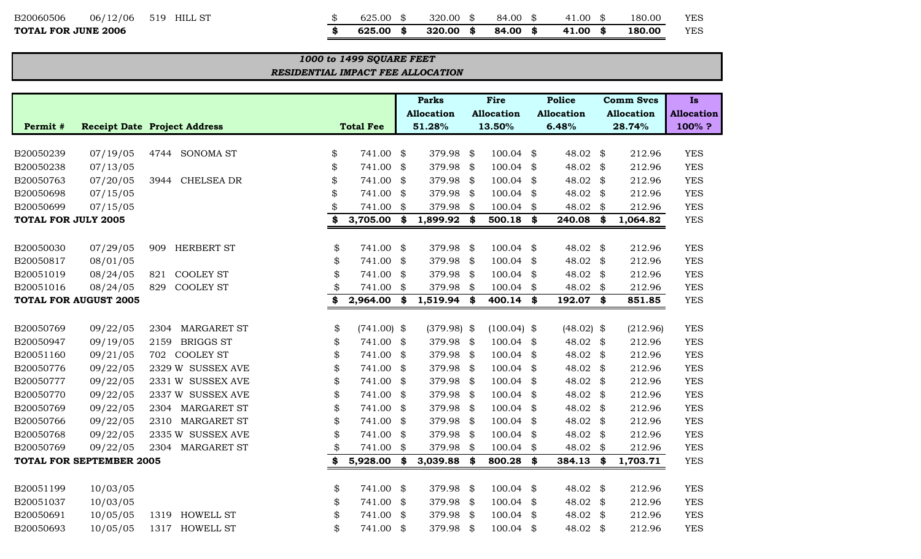## B20060506 06/12/06 519 HILL ST \$ 625.00 \$ 320.00 \$ 84.00 \$ 41.00 \$ 180.00 YES

 $T$ **OTAL FOR JUNE 2006** 

| \$<br>625.00 \$ | 320.00 \$           | 84.00 \$ | 41.00 \$ | 180.00 | YES |
|-----------------|---------------------|----------|----------|--------|-----|
| \$<br>625.00 \$ | $320.00\text{ }$ \$ | 84.00 \$ | 41.00 \$ | 180.00 | YES |

#### *RESIDENTIAL IMPACT FEE ALLOCATION 1000 to 1499 SQUARE FEET*

|                            |                                 |                                     |                     | <b>Parks</b>      |      | Fire              |      | <b>Police</b>       |      | <b>Comm Svcs</b>  | <b>Is</b>         |
|----------------------------|---------------------------------|-------------------------------------|---------------------|-------------------|------|-------------------|------|---------------------|------|-------------------|-------------------|
|                            |                                 |                                     |                     | <b>Allocation</b> |      | <b>Allocation</b> |      | <b>Allocation</b>   |      | <b>Allocation</b> | <b>Allocation</b> |
| Permit #                   |                                 | <b>Receipt Date Project Address</b> | <b>Total Fee</b>    | 51.28%            |      | 13.50%            |      | 6.48%               |      | 28.74%            | 100%?             |
|                            |                                 |                                     |                     |                   |      |                   |      |                     |      |                   |                   |
| B20050239                  | 07/19/05                        | <b>SONOMA ST</b><br>4744            | \$<br>741.00        | \$<br>379.98 \$   |      | 100.04            | \$   | 48.02               | \$   | 212.96            | <b>YES</b>        |
| B20050238                  | 07/13/05                        |                                     | \$<br>741.00        | \$<br>379.98      | \$   | 100.04            | \$   | 48.02               | \$   | 212.96            | <b>YES</b>        |
| B20050763                  | 07/20/05                        | CHELSEA DR<br>3944                  | \$<br>741.00        | \$<br>379.98 \$   |      | 100.04            | \$   | 48.02               | \$   | 212.96            | <b>YES</b>        |
| B20050698                  | 07/15/05                        |                                     | \$<br>741.00        | \$<br>379.98 \$   |      | 100.04            | \$   | 48.02               | \$   | 212.96            | <b>YES</b>        |
| B20050699                  | 07/15/05                        |                                     | \$<br>741.00        | \$<br>379.98      | \$   | 100.04            | \$   | 48.02               | \$   | 212.96            | <b>YES</b>        |
| <b>TOTAL FOR JULY 2005</b> |                                 |                                     | \$<br>3,705.00      | \$<br>1,899.92 \$ |      | 500.18            | \$   | 240.08              | \$   | 1,064.82          | <b>YES</b>        |
|                            |                                 |                                     |                     |                   |      |                   |      |                     |      |                   |                   |
| B20050030                  | 07/29/05                        | HERBERT ST<br>909                   | \$<br>741.00        | \$<br>379.98 \$   |      | 100.04            | \$   | 48.02               | \$   | 212.96            | <b>YES</b>        |
| B20050817                  | 08/01/05                        |                                     | \$<br>741.00        | \$<br>379.98      | \$   | 100.04            | \$   | 48.02               | -\$  | 212.96            | <b>YES</b>        |
| B20051019                  | 08/24/05                        | <b>COOLEY ST</b><br>821             | \$<br>741.00        | \$<br>379.98 \$   |      | 100.04            | \$   | 48.02 $\frac{1}{2}$ |      | 212.96            | <b>YES</b>        |
| B20051016                  | 08/24/05                        | <b>COOLEY ST</b><br>829             | \$<br>741.00        | \$<br>379.98 \$   |      | 100.04            | \$   | 48.02 $\frac{1}{2}$ |      | 212.96            | <b>YES</b>        |
|                            | <b>TOTAL FOR AUGUST 2005</b>    |                                     | 2,964.00            | \$<br>1,519.94 \$ |      | 400.14            | \$   | 192.07              | \$   | 851.85            | <b>YES</b>        |
|                            |                                 |                                     |                     |                   |      |                   |      |                     |      |                   |                   |
| B20050769                  | 09/22/05                        | <b>MARGARET ST</b><br>2304          | \$<br>$(741.00)$ \$ | $(379.98)$ \$     |      | $(100.04)$ \$     |      | $(48.02)$ \$        |      | (212.96)          | <b>YES</b>        |
| B20050947                  | 09/19/05                        | <b>BRIGGS ST</b><br>2159            | \$<br>741.00        | \$<br>379.98 \$   |      | 100.04            | \$   | 48.02 $\frac{1}{2}$ |      | 212.96            | <b>YES</b>        |
| B20051160                  | 09/21/05                        | <b>COOLEY ST</b><br>702             | \$<br>741.00        | \$<br>379.98 \$   |      | 100.04            | \$   | 48.02 $$$           |      | 212.96            | <b>YES</b>        |
| B20050776                  | 09/22/05                        | 2329 W SUSSEX AVE                   | \$<br>741.00        | \$<br>379.98 \$   |      | 100.04            | \$   | 48.02               | \$   | 212.96            | <b>YES</b>        |
| B20050777                  | 09/22/05                        | 2331 W SUSSEX AVE                   | \$<br>741.00        | \$<br>379.98 \$   |      | 100.04            | \$   | 48.02               | \$   | 212.96            | <b>YES</b>        |
| B20050770                  | 09/22/05                        | 2337 W SUSSEX AVE                   | \$<br>741.00        | \$<br>379.98 \$   |      | 100.04            | \$   | 48.02               | - \$ | 212.96            | <b>YES</b>        |
| B20050769                  | 09/22/05                        | <b>MARGARET ST</b><br>2304          | \$<br>741.00        | \$<br>379.98 \$   |      | 100.04            | \$   | 48.02               | \$   | 212.96            | <b>YES</b>        |
| B20050766                  | 09/22/05                        | <b>MARGARET ST</b><br>2310          | \$<br>741.00        | \$<br>379.98      | \$   | 100.04            | \$   | 48.02               | \$   | 212.96            | <b>YES</b>        |
| B20050768                  | 09/22/05                        | 2335 W SUSSEX AVE                   | \$<br>741.00        | \$<br>379.98      | \$   | 100.04            | \$   | 48.02               | \$   | 212.96            | <b>YES</b>        |
| B20050769                  | 09/22/05                        | <b>MARGARET ST</b><br>2304          | \$<br>741.00        | \$<br>379.98 \$   |      | 100.04            | \$   | 48.02 $\frac{1}{2}$ |      | 212.96            | <b>YES</b>        |
|                            | <b>TOTAL FOR SEPTEMBER 2005</b> |                                     | 5,928.00            | \$<br>3,039.88    | - \$ | 800.28            | \$   | 384.13              | \$   | 1,703.71          | <b>YES</b>        |
|                            |                                 |                                     |                     |                   |      |                   |      |                     |      |                   |                   |
| B20051199                  | 10/03/05                        |                                     | \$<br>741.00        | \$<br>379.98      | \$   | 100.04            | \$   | 48.02 $\frac{1}{2}$ |      | 212.96            | <b>YES</b>        |
| B20051037                  | 10/03/05                        |                                     | \$<br>741.00        | \$<br>379.98      | \$   | 100.04            | - \$ | 48.02 $$$           |      | 212.96            | <b>YES</b>        |
| B20050691                  | 10/05/05                        | <b>HOWELL ST</b><br>1319            | \$<br>741.00        | \$<br>379.98      | \$   | 100.04            | \$   | 48.02               | \$   | 212.96            | <b>YES</b>        |
| B20050693                  | 10/05/05                        | 1317<br><b>HOWELL ST</b>            | \$<br>741.00        | \$<br>379.98      | \$   | 100.04            | \$   | 48.02               | \$   | 212.96            | <b>YES</b>        |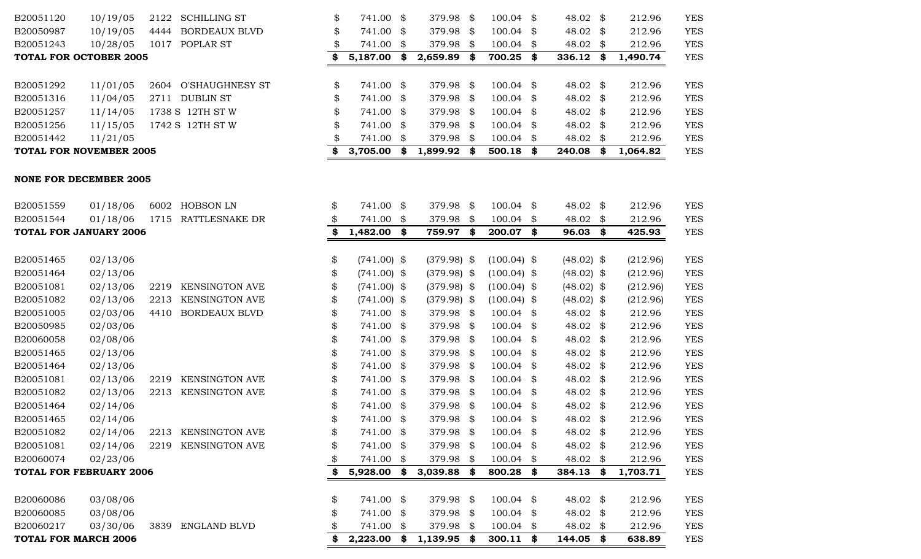| B20051316                      | 11/04/05 |      | 2711 DUBLIN ST        | \$ | 741.00 \$     |     | 379.98        | \$                         | $100.04$ \$   | 48.02           | \$            | 212.96   | <b>YES</b> |
|--------------------------------|----------|------|-----------------------|----|---------------|-----|---------------|----------------------------|---------------|-----------------|---------------|----------|------------|
| B20051257                      | 11/14/05 |      | 1738 S 12TH ST W      | \$ | 741.00 \$     |     | 379.98        | \$                         | $100.04$ \$   | 48.02 \$        |               | 212.96   | <b>YES</b> |
| B20051256                      | 11/15/05 |      | 1742 S 12TH ST W      | \$ | 741.00 \$     |     | 379.98        | \$                         | 100.04        | \$<br>48.02 \$  |               | 212.96   | <b>YES</b> |
| B20051442                      | 11/21/05 |      |                       | \$ | 741.00 \$     |     | 379.98        | \$                         | 100.04        | \$<br>48.02     | \$            | 212.96   | <b>YES</b> |
| <b>TOTAL FOR NOVEMBER 2005</b> |          |      |                       | S. | 3,705.00      | \$  | 1,899.92      | \$                         | 500.18        | \$<br>240.08    | \$            | 1,064.82 | <b>YES</b> |
| <b>NONE FOR DECEMBER 2005</b>  |          |      |                       |    |               |     |               |                            |               |                 |               |          |            |
|                                |          |      |                       |    |               |     |               |                            |               |                 |               |          |            |
| B20051559                      | 01/18/06 |      | 6002 HOBSON LN        | \$ | 741.00 \$     |     | 379.98 \$     |                            | $100.04$ \$   | 48.02 \$        |               | 212.96   | <b>YES</b> |
| B20051544                      | 01/18/06 |      | 1715 RATTLESNAKE DR   | \$ | 741.00        | \$  | 379.98        | \$                         | 100.04        | \$<br>48.02     | \$            | 212.96   | <b>YES</b> |
| <b>TOTAL FOR JANUARY 2006</b>  |          |      |                       | \$ | 1,482.00      | \$  | 759.97        | \$                         | 200.07        | \$<br>96.03     | \$            | 425.93   | <b>YES</b> |
|                                |          |      |                       |    |               |     |               |                            |               |                 |               |          |            |
| B20051465                      | 02/13/06 |      |                       | \$ | $(741.00)$ \$ |     | $(379.98)$ \$ |                            | $(100.04)$ \$ | $(48.02)$ \$    |               | (212.96) | <b>YES</b> |
| B20051464                      | 02/13/06 |      |                       | \$ | $(741.00)$ \$ |     | $(379.98)$ \$ |                            | $(100.04)$ \$ | $(48.02)$ \$    |               | (212.96) | <b>YES</b> |
| B20051081                      | 02/13/06 | 2219 | <b>KENSINGTON AVE</b> | \$ | $(741.00)$ \$ |     | $(379.98)$ \$ |                            | $(100.04)$ \$ | $(48.02)$ \$    |               | (212.96) | <b>YES</b> |
| B20051082                      | 02/13/06 | 2213 | <b>KENSINGTON AVE</b> | \$ | $(741.00)$ \$ |     | $(379.98)$ \$ |                            | $(100.04)$ \$ | $(48.02)$ \$    |               | (212.96) | <b>YES</b> |
| B20051005                      | 02/03/06 | 4410 | <b>BORDEAUX BLVD</b>  | \$ | 741.00 \$     |     | 379.98        | - \$                       | $100.04$ \$   | 48.02 \$        |               | 212.96   | <b>YES</b> |
| B20050985                      | 02/03/06 |      |                       | \$ | 741.00 \$     |     | 379.98        | \$                         | $100.04$ \$   | 48.02           | $\mathbf{\$}$ | 212.96   | <b>YES</b> |
| B20060058                      | 02/08/06 |      |                       | \$ | 741.00 \$     |     | 379.98        | \$                         | 100.04        | \$<br>48.02     | \$            | 212.96   | <b>YES</b> |
| B20051465                      | 02/13/06 |      |                       | \$ | 741.00 \$     |     | 379.98        | \$                         | 100.04        | \$<br>48.02     | \$            | 212.96   | <b>YES</b> |
| B20051464                      | 02/13/06 |      |                       | \$ | 741.00 \$     |     | 379.98        | -\$                        | $100.04$ \$   | 48.02           | \$            | 212.96   | <b>YES</b> |
| B20051081                      | 02/13/06 | 2219 | <b>KENSINGTON AVE</b> | \$ | 741.00 \$     |     | 379.98        | \$                         | $100.04$ \$   | 48.02           | \$            | 212.96   | <b>YES</b> |
| B20051082                      | 02/13/06 |      | 2213 KENSINGTON AVE   | \$ | 741.00 \$     |     | 379.98        | \$                         | 100.04        | \$<br>48.02 $$$ |               | 212.96   | <b>YES</b> |
| B20051464                      | 02/14/06 |      |                       | \$ | 741.00 \$     |     | 379.98        | \$                         | 100.04        | \$<br>48.02     | \$            | 212.96   | <b>YES</b> |
| B20051465                      | 02/14/06 |      |                       | \$ | 741.00 \$     |     | 379.98        | \$                         | 100.04        | \$<br>48.02     | \$            | 212.96   | <b>YES</b> |
| B20051082                      | 02/14/06 | 2213 | <b>KENSINGTON AVE</b> | \$ | 741.00 \$     |     | 379.98        | - \$                       | 100.04        | \$<br>48.02 \$  |               | 212.96   | <b>YES</b> |
| B20051081                      | 02/14/06 | 2219 | <b>KENSINGTON AVE</b> | \$ | 741.00        | \$  | 379.98        | $\boldsymbol{\mathcal{S}}$ | 100.04        | \$<br>48.02     | \$            | 212.96   | <b>YES</b> |
| B20060074                      | 02/23/06 |      |                       | \$ | 741.00        | \$  | 379.98        | \$                         | 100.04        | \$<br>48.02     | \$            | 212.96   | <b>YES</b> |
| <b>TOTAL FOR FEBRUARY 2006</b> |          |      |                       | \$ | 5,928.00      | \$  | 3,039.88      | \$                         | 800.28 \$     | 384.13          | \$            | 1,703.71 | <b>YES</b> |
|                                |          |      |                       |    |               |     |               |                            |               |                 |               |          |            |
| B20060086                      | 03/08/06 |      |                       | \$ | 741.00 \$     |     | 379.98        | \$                         | $100.04$ \$   | 48.02           | \$            | 212.96   | <b>YES</b> |
| B20060085                      | 03/08/06 |      |                       | \$ | 741.00 \$     |     | 379.98        | \$                         | $100.04$ \$   | 48.02           | $\mathbf{\$}$ | 212.96   | <b>YES</b> |
| B20060217                      | 03/30/06 | 3839 | <b>ENGLAND BLVD</b>   |    | 741.00        | -\$ | 379.98        | \$                         | 100.04        | \$<br>48.02 \$  |               | 212.96   | <b>YES</b> |
| <b>TOTAL FOR MARCH 2006</b>    |          |      |                       | \$ | 2,223.00      | \$  | 1,139.95      | \$                         | $300.11$ \$   | 144.05          | \$            | 638.89   | <b>YES</b> |

B20051120 10/19/05 2122 SCHILLING ST \$ 741.00 \$ 379.98 \$ 100.04 \$ 48.02 \$ 212.96 YES B20050987 10/19/05 4444 BORDEAUX BLVD \$ 741.00 \$ 379.98 \$ 100.04 \$ 48.02 \$ 212.96 YES B20051243 10/28/05 1017 POPLAR ST \$ 741.00 \$ 379.98 \$ 100.04 \$ 48.02 \$ 212.96 YES **TOTAL FOR OCTOBER 2005 \$ 5,187.00 \$ 2,659.89 \$ 700.25 \$ 336.12 \$ 1,490.74** YES

B20051292 11/01/05 2604 O'SHAUGHNESY ST \$ 741.00 \$ 379.98 \$ 100.04 \$ 48.02 \$ 212.96 YES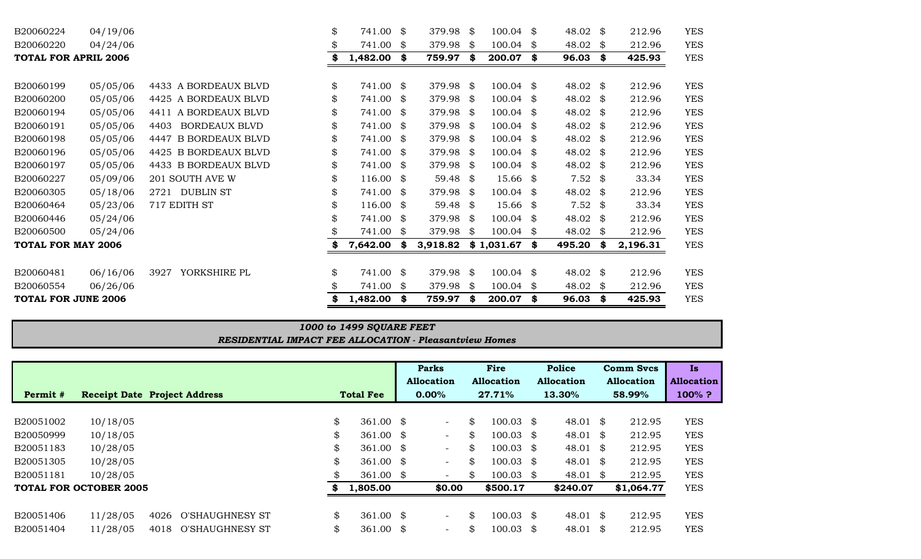| B20060224                   | 04/19/06 |                              | \$  | 741.00               | \$ | 379.98              | - \$ | 100.04      | \$<br>48.02 \$            |      | 212.96   | <b>YES</b> |
|-----------------------------|----------|------------------------------|-----|----------------------|----|---------------------|------|-------------|---------------------------|------|----------|------------|
| B20060220                   | 04/24/06 |                              |     | 741.00               | \$ | 379.98              | - \$ | 100.04      | \$<br>48.02 $\frac{1}{2}$ |      | 212.96   | <b>YES</b> |
| <b>TOTAL FOR APRIL 2006</b> |          |                              |     | 1,482.00             | \$ | 759.97              | \$   | 200.07      | \$<br>96.03               | \$   | 425.93   | <b>YES</b> |
|                             |          |                              |     |                      |    |                     |      |             |                           |      |          |            |
| B20060199                   | 05/05/06 | 4433 A BORDEAUX BLVD         | \$  | 741.00 \$            |    | 379.98 \$           |      | $100.04$ \$ | 48.02 \$                  |      | 212.96   | <b>YES</b> |
| B20060200                   | 05/05/06 | 4425 A BORDEAUX BLVD         | \$  | 741.00               | S. | 379.98 \$           |      | 100.04      | \$<br>48.02 \$            |      | 212.96   | <b>YES</b> |
| B20060194                   | 05/05/06 | 4411 A BORDEAUX BLVD         | \$  | 741.00               | S. | 379.98              | - \$ | 100.04      | \$<br>48.02 $\frac{1}{2}$ |      | 212.96   | <b>YES</b> |
| B20060191                   | 05/05/06 | <b>BORDEAUX BLVD</b><br>4403 | \$  | 741.00               | S. | 379.98              | - \$ | 100.04      | \$<br>48.02 $\frac{1}{2}$ |      | 212.96   | <b>YES</b> |
| B20060198                   | 05/05/06 | 4447 B BORDEAUX BLVD         | \$  | 741.00               | \$ | 379.98 \$           |      | 100.04 \$   | 48.02 $\frac{1}{2}$       |      | 212.96   | <b>YES</b> |
| B20060196                   | 05/05/06 | 4425 B BORDEAUX BLVD         |     | 741.00               | \$ | 379.98              | - \$ | 100.04      | \$<br>48.02 \$            |      | 212.96   | <b>YES</b> |
| B20060197                   | 05/05/06 | 4433 B BORDEAUX BLVD         | \$  | 741.00               | S. | 379.98              | - \$ | 100.04      | \$<br>48.02 $\frac{1}{2}$ |      | 212.96   | <b>YES</b> |
| B20060227                   | 05/09/06 | 201 SOUTH AVE W              | \$  | 116.00               | \$ | 59.48               | - \$ | 15.66 \$    | $7.52$ \$                 |      | 33.34    | <b>YES</b> |
| B20060305                   | 05/18/06 | <b>DUBLIN ST</b><br>2721     | \$  | 741.00               | S. | 379.98              | - \$ | 100.04      | \$<br>48.02 $\frac{1}{2}$ |      | 212.96   | <b>YES</b> |
| B20060464                   | 05/23/06 | 717 EDITH ST                 | \$  | $116.00 \text{ }$ \$ |    | 59.48 $\frac{1}{2}$ |      | $15.66$ \$  | $7.52$ \$                 |      | 33.34    | <b>YES</b> |
| B20060446                   | 05/24/06 |                              | \$  | 741.00               | \$ | 379.98              | - \$ | 100.04      | \$<br>48.02 $\frac{1}{2}$ |      | 212.96   | <b>YES</b> |
| B20060500                   | 05/24/06 |                              |     | 741.00               | \$ | 379.98              | - \$ | 100.04      | \$<br>48.02               | - \$ | 212.96   | <b>YES</b> |
| <b>TOTAL FOR MAY 2006</b>   |          |                              |     | 7,642.00             | \$ | 3,918.82            |      | \$1,031.67  | \$<br>495.20              | - \$ | 2,196.31 | <b>YES</b> |
|                             |          |                              |     |                      |    |                     |      |             |                           |      |          |            |
| B20060481                   | 06/16/06 | YORKSHIRE PL<br>3927         | \$. | 741.00               | \$ | 379.98              | - \$ | 100.04      | \$<br>48.02 \$            |      | 212.96   | <b>YES</b> |
| B20060554                   | 06/26/06 |                              |     | 741.00               | S. | 379.98              | - \$ | 100.04      | \$<br>48.02 $\frac{1}{2}$ |      | 212.96   | <b>YES</b> |
| <b>TOTAL FOR JUNE 2006</b>  |          |                              |     | 1,482.00             | \$ | 759.97              | - \$ | 200.07      | \$<br>96.03               | \$   | 425.93   | <b>YES</b> |

# *1000 to 1499 SQUARE FEET*

*RESIDENTIAL IMPACT FEE ALLOCATION - Pleasantview Homes*

|           |                               |                                     |    |                      |      | <b>Parks</b>             | Fire                       |     | <b>Police</b>       |      | <b>Comm Sycs</b> | <b>Is</b>  |
|-----------|-------------------------------|-------------------------------------|----|----------------------|------|--------------------------|----------------------------|-----|---------------------|------|------------------|------------|
|           |                               |                                     |    |                      |      | Allocation               | <b>Allocation</b>          |     | <b>Allocation</b>   |      | Allocation       | Allocation |
| Permit #  |                               | <b>Receipt Date Project Address</b> |    | <b>Total Fee</b>     |      | 0.00%                    | 27.71%                     |     | 13.30%              |      | 58.99%           | $100\%$ ?  |
|           |                               |                                     |    |                      |      |                          |                            |     |                     |      |                  |            |
| B20051002 | 10/18/05                      |                                     | \$ | 361.00 $\text{\$}$   |      | $\overline{\phantom{0}}$ | \$<br>$100.03 \text{ }$ \$ |     | 48.01 \$            |      | 212.95           | <b>YES</b> |
| B20050999 | 10/18/05                      |                                     | \$ | 361.00               | - \$ | $\overline{\phantom{a}}$ | \$<br>$100.03$ \$          |     | 48.01 \$            |      | 212.95           | <b>YES</b> |
| B20051183 | 10/28/05                      |                                     | \$ | 361.00               | - S  | $\overline{\phantom{a}}$ | \$<br>$100.03$ \$          |     | 48.01 \$            |      | 212.95           | <b>YES</b> |
| B20051305 | 10/28/05                      |                                     | \$ | 361.00               | - \$ | $\overline{\phantom{a}}$ | \$<br>$100.03 \text{ }$ \$ |     | $48.01 \text{ }$ \$ |      | 212.95           | <b>YES</b> |
| B20051181 | 10/28/05                      |                                     | \$ | 361.00               | - \$ | $\overline{\phantom{a}}$ | \$<br>$100.03$ \$          |     | 48.01               | - \$ | 212.95           | <b>YES</b> |
|           | <b>TOTAL FOR OCTOBER 2005</b> |                                     | S  | 1,805.00             |      | \$0.00                   | \$500.17                   |     | \$240.07            |      | \$1,064.77       | <b>YES</b> |
|           |                               |                                     |    |                      |      |                          |                            |     |                     |      |                  |            |
| B20051406 | 11/28/05                      | 4026<br>O'SHAUGHNESY ST             | \$ | $361.00 \text{ }$ \$ |      | $\overline{\phantom{a}}$ | \$<br>$100.03$ \$          |     | $48.01$ \$          |      | 212.95           | <b>YES</b> |
| B20051404 | 11/28/05                      | O'SHAUGHNESY ST<br>4018             | \$ | 361.00               | - \$ | $\overline{\phantom{a}}$ | \$<br>100.03               | -\$ | 48.01 $\frac{1}{9}$ |      | 212.95           | <b>YES</b> |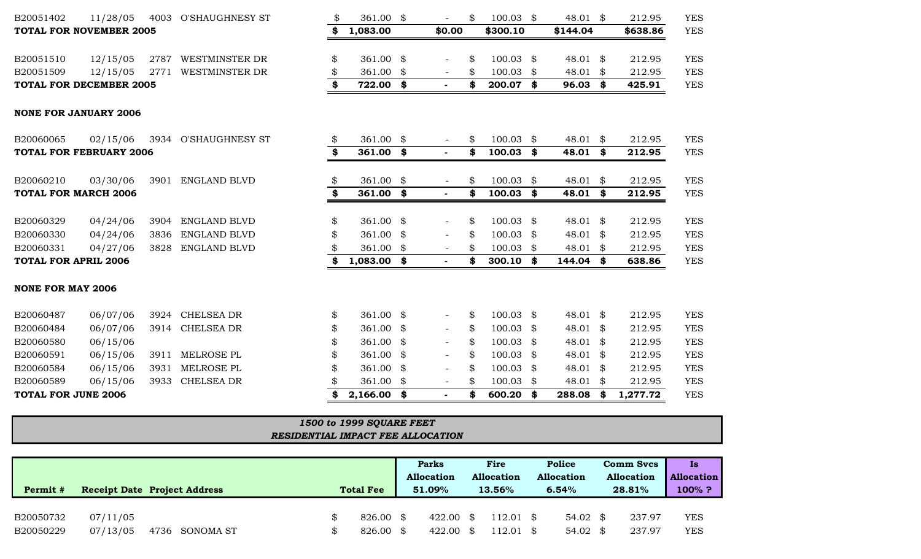| B20051402<br>11/28/05          |      | 4003 O'SHAUGHNESY ST | \$<br>361.00 \$     |    |                          | \$<br>$100.03$ \$ |     | 48.01 $\$$          | 212.95         | <b>YES</b> |
|--------------------------------|------|----------------------|---------------------|----|--------------------------|-------------------|-----|---------------------|----------------|------------|
| <b>TOTAL FOR NOVEMBER 2005</b> |      |                      | \$<br>1,083.00      |    | \$0.00                   | \$300.10          |     | \$144.04            | \$638.86       | <b>YES</b> |
| B20051510<br>12/15/05          |      | 2787 WESTMINSTER DR  | \$<br>361.00        | \$ |                          | \$<br>$100.03$ \$ |     | 48.01 \$            | 212.95         | <b>YES</b> |
| 12/15/05<br>B20051509          | 2771 | WESTMINSTER DR       | 361.00              | \$ | $\overline{\phantom{a}}$ | \$<br>100.03      | -\$ | 48.01 \$            | 212.95         | <b>YES</b> |
| <b>TOTAL FOR DECEMBER 2005</b> |      |                      | \$<br>722.00        | \$ | $\sim$                   | \$<br>200.07      | \$  | $96.03$ \$          | 425.91         | <b>YES</b> |
| <b>NONE FOR JANUARY 2006</b>   |      |                      |                     |    |                          |                   |     |                     |                |            |
| 02/15/06<br>B20060065          |      | 3934 O'SHAUGHNESY ST | \$<br>361.00        | \$ |                          | \$<br>$100.03$ \$ |     | 48.01 $\frac{1}{9}$ | 212.95         | <b>YES</b> |
| <b>TOTAL FOR FEBRUARY 2006</b> |      |                      | \$<br>$361.00$ \$   |    |                          | \$<br>100.03      | \$  | 48.01 \$            | 212.95         | <b>YES</b> |
| B20060210<br>03/30/06          | 3901 | <b>ENGLAND BLVD</b>  | \$<br>361.00        | \$ | $\overline{\phantom{a}}$ | \$<br>$100.03$ \$ |     | 48.01 $\$$          | 212.95         | <b>YES</b> |
| <b>TOTAL FOR MARCH 2006</b>    |      |                      | \$<br>361.00        | \$ | $\blacksquare$           | \$<br>100.03      | \$  | 48.01 \$            | 212.95         | <b>YES</b> |
| B20060329<br>04/24/06          |      | 3904 ENGLAND BLVD    | \$<br>361.00 $$$    |    |                          | \$<br>100.03 \$   |     | 48.01 $\frac{1}{9}$ | 212.95         | <b>YES</b> |
| B20060330<br>04/24/06          | 3836 | ENGLAND BLVD         | 361.00              | \$ | $\overline{\phantom{a}}$ | \$<br>100.03      | \$  | 48.01 \$            | 212.95         | <b>YES</b> |
| B20060331<br>04/27/06          |      | 3828 ENGLAND BLVD    | 361.00              | \$ |                          | 100.03            | \$  | 48.01 $\$$          | 212.95         | <b>YES</b> |
| <b>TOTAL FOR APRIL 2006</b>    |      |                      | \$<br>$1,083.00$ \$ |    | $\sim$                   | \$<br>300.10      | \$  | 144.04 \$           | 638.86         | <b>YES</b> |
| <b>NONE FOR MAY 2006</b>       |      |                      |                     |    |                          |                   |     |                     |                |            |
| B20060487<br>06/07/06          | 3924 | <b>CHELSEA DR</b>    | \$<br>361.00 \$     |    |                          | \$<br>$100.03$ \$ |     | 48.01 $\$$          | 212.95         | <b>YES</b> |
| 06/07/06<br>B20060484          | 3914 | <b>CHELSEA DR</b>    | \$<br>361.00        | \$ | $\overline{\phantom{a}}$ | \$<br>$100.03$ \$ |     | 48.01 $\frac{1}{9}$ | 212.95         | <b>YES</b> |
| 06/15/06<br>B20060580          |      |                      | 361.00              | \$ |                          | \$<br>100.03      | -SS | 48.01 $\$$          | 212.95         | <b>YES</b> |
| 06/15/06<br>B20060591          | 3911 | MELROSE PL           | \$<br>361.00        | -S |                          | \$<br>100.03      | S   | 48.01 $\$$          | 212.95         | <b>YES</b> |
| 06/15/06<br>B20060584          | 3931 | MELROSE PL           | 361.00              | \$ |                          | \$<br>100.03      | \$  | 48.01 $\$$          | 212.95         | <b>YES</b> |
| 06/15/06<br>B20060589          | 3933 | CHELSEA DR           | 361.00              | \$ | $\overline{\phantom{a}}$ | \$<br>100.03      | \$  | 48.01 $\frac{1}{9}$ | 212.95         | <b>YES</b> |
| <b>TOTAL FOR JUNE 2006</b>     |      |                      | 2,166.00            | \$ | $\sim$                   | \$<br>600.20      | \$  | 288.08              | \$<br>1,277.72 | <b>YES</b> |

## *RESIDENTIAL IMPACT FEE ALLOCATION 1500 to 1999 SQUARE FEET*

| Permit #               |                      | <b>Receipt Date Project Address</b> | <b>Total Fee</b>             | <b>Parks</b><br><b>Allocation</b><br>$51.09\%$ | Fire<br><b>Allocation</b><br>13.56% | Police<br><b>Allocation</b><br>6.54%       | <b>Comm Svcs</b><br><b>Allocation</b><br>28.81% | Is<br><b>Allocation</b><br>100%? |
|------------------------|----------------------|-------------------------------------|------------------------------|------------------------------------------------|-------------------------------------|--------------------------------------------|-------------------------------------------------|----------------------------------|
| B20050732<br>B20050229 | 07/11/05<br>07/13/05 | 4736<br>SONOMA ST                   | 826.00 \$<br>826.00 \$<br>Ж, | $422.00 \text{ }$ \$<br>$422.00 \text{ }$ \$   | $112.01$ \$<br>$112.01 \text{ }$ \$ | $54.02 \text{ }$ \$<br>$54.02 \text{ }$ \$ | 237.97<br>237.97                                | <b>YES</b><br><b>YES</b>         |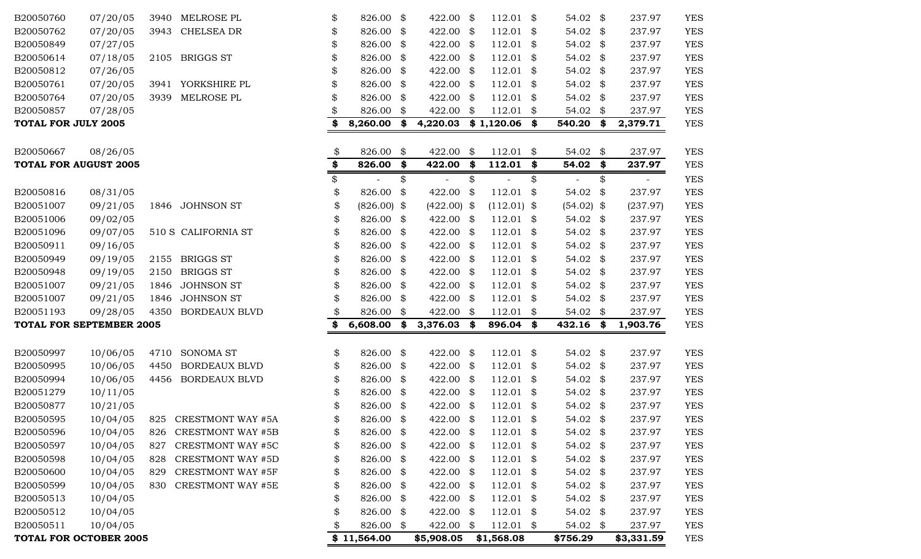|                            | <b>TOTAL FOR OCTOBER 2005</b>            |      |                          | \$11,564.00         |      | \$5,908.05               |      | \$1,568.08               |      | \$756.29     | \$3,331.59     | <b>YES</b> |
|----------------------------|------------------------------------------|------|--------------------------|---------------------|------|--------------------------|------|--------------------------|------|--------------|----------------|------------|
| B20050511                  | 10/04/05                                 |      |                          | \$<br>826.00 \$     |      | 422.00                   | \$   | $112.01$ \$              |      | 54.02 \$     | 237.97         | <b>YES</b> |
| B20050512                  | 10/04/05                                 |      |                          | \$<br>826.00 \$     |      | 422.00                   | -\$  | $112.01$ \$              |      | 54.02 $$$    | 237.97         | <b>YES</b> |
| B20050513                  | 10/04/05                                 |      |                          | \$<br>826.00 \$     |      | 422.00                   | - \$ | $112.01$ \$              |      | 54.02 \$     | 237.97         | <b>YES</b> |
| B20050599                  | 10/04/05                                 | 830  | <b>CRESTMONT WAY #5E</b> | \$<br>826.00 \$     |      | 422.00                   | \$   | $112.01$ \$              |      | 54.02 \$     | 237.97         | <b>YES</b> |
| B20050600                  | 10/04/05                                 | 829  | <b>CRESTMONT WAY #5F</b> | \$<br>826.00 \$     |      | 422.00                   | -\$  | $112.01$ \$              |      | 54.02 \$     | 237.97         | <b>YES</b> |
| B20050598                  | 10/04/05                                 | 828  | <b>CRESTMONT WAY #5D</b> | \$<br>826.00 \$     |      | 422.00                   | - \$ | $112.01$ \$              |      | 54.02 \$     | 237.97         | <b>YES</b> |
| B20050597                  | 10/04/05                                 | 827  | <b>CRESTMONT WAY #5C</b> | \$<br>826.00 \$     |      | 422.00                   | \$   | $112.01$ \$              |      | 54.02 $$$    | 237.97         | <b>YES</b> |
| B20050596                  | 10/04/05                                 | 826  | <b>CRESTMONT WAY #5B</b> | \$<br>826.00 \$     |      | 422.00                   | - \$ | $112.01$ \$              |      | 54.02 \$     | 237.97         | <b>YES</b> |
| B20050595                  | 10/04/05                                 |      | 825 CRESTMONT WAY #5A    | \$<br>826.00 \$     |      | 422.00 \$                |      | $112.01$ \$              |      | 54.02 \$     | 237.97         | <b>YES</b> |
| B20050877                  | 10/21/05                                 |      |                          | 826.00 \$           |      | 422.00                   | \$   | 112.01                   | \$   | 54.02        | \$<br>237.97   | <b>YES</b> |
| B20051279                  | 10/11/05                                 |      |                          | \$<br>826.00        | \$   | 422.00                   | \$   | 112.01                   | \$   | 54.02        | \$<br>237.97   | <b>YES</b> |
| B20050994                  | 10/06/05                                 | 4456 | <b>BORDEAUX BLVD</b>     | \$<br>826.00 \$     |      | 422.00                   | \$   | $112.01$ \$              |      | 54.02        | \$<br>237.97   | <b>YES</b> |
| B20050995                  | 10/06/05                                 | 4450 | <b>BORDEAUX BLVD</b>     | \$<br>826.00 \$     |      | 422.00                   | \$   | $112.01$ \$              |      | 54.02        | \$<br>237.97   | <b>YES</b> |
| B20050997                  | 10/06/05                                 | 4710 | <b>SONOMA ST</b>         | \$<br>826.00 \$     |      | 422.00                   | \$   | $112.01$ \$              |      | 54.02 $$$    | 237.97         | <b>YES</b> |
|                            | <b>TOTAL FOR SEPTEMBER 2005</b>          |      |                          | \$<br>6,608.00      | \$   | 3,376.03                 | \$   | 896.04 \$                |      | 432.16 \$    | 1,903.76       | <b>YES</b> |
| B20051193                  | 09/28/05                                 | 4350 | <b>BORDEAUX BLVD</b>     | \$<br>826.00        | \$   | 422.00                   | \$   | $112.01$ \$              |      | 54.02        | \$<br>237.97   | <b>YES</b> |
| B20051007                  | 09/21/05                                 | 1846 | <b>JOHNSON ST</b>        | \$<br>826.00 \$     |      | 422.00                   | \$   | $112.01$ \$              |      | 54.02 $$$    | 237.97         | <b>YES</b> |
| B20051007                  | 09/21/05                                 | 1846 | <b>JOHNSON ST</b>        | \$<br>826.00        | \$   | 422.00                   | \$   | $112.01$ \$              |      | 54.02        | \$<br>237.97   | <b>YES</b> |
| B20050948                  | 09/19/05                                 | 2150 | <b>BRIGGS ST</b>         | \$<br>826.00        | \$   | 422.00                   | \$   | 112.01                   | \$   | 54.02        | \$<br>237.97   | <b>YES</b> |
| B20050949                  | 09/19/05                                 | 2155 | <b>BRIGGS ST</b>         | \$<br>826.00 \$     |      | 422.00                   | \$   | $112.01$ \$              |      | 54.02        | \$<br>237.97   | <b>YES</b> |
| B20050911                  | 09/16/05                                 |      |                          | \$<br>826.00        | - \$ | 422.00                   | \$   | 112.01                   | - \$ | 54.02        | \$<br>237.97   | <b>YES</b> |
| B20051096                  | 09/07/05                                 |      | 510 S CALIFORNIA ST      | \$<br>826.00 \$     |      | 422.00                   | \$   | $112.01$ \$              |      | 54.02 $$$    | 237.97         | <b>YES</b> |
| B20051006                  | 09/02/05                                 |      |                          | \$<br>826.00 \$     |      | 422.00                   | \$   | $112.01$ \$              |      | 54.02 $$$    | 237.97         | <b>YES</b> |
| B20051007                  | 09/21/05                                 | 1846 | <b>JOHNSON ST</b>        | \$<br>$(826.00)$ \$ |      | (422.00)                 | \$   | $(112.01)$ \$            |      | $(54.02)$ \$ | (237.97)       | <b>YES</b> |
| B20050816                  | 08/31/05                                 |      |                          | \$<br>826.00        | \$   | 422.00                   | \$   | 112.01                   | \$   | 54.02        | \$<br>237.97   | <b>YES</b> |
|                            |                                          |      |                          | \$                  | \$   | $\overline{\phantom{a}}$ | \$   | $\overline{\phantom{a}}$ | \$   |              | \$<br>$-$      | <b>YES</b> |
|                            | 08/26/05<br><b>TOTAL FOR AUGUST 2005</b> |      |                          | \$<br>826.00        | \$   | 422.00                   | \$   | 112.01                   | \$   | 54.02        | \$<br>237.97   | <b>YES</b> |
| B20050667                  |                                          |      |                          | \$<br>826.00 \$     |      | 422.00                   | \$   | $112.01$ \$              |      | 54.02 $$$    | 237.97         | <b>YES</b> |
| <b>TOTAL FOR JULY 2005</b> |                                          |      |                          | 8,260.00            | \$   | 4,220.03                 |      | $$1,120.06$ \$           |      | 540.20       | \$<br>2,379.71 | <b>YES</b> |
| B20050857                  | 07/28/05                                 |      |                          | 826.00              | \$   | 422.00                   | \$   | $112.01$ \$              |      | 54.02        | \$<br>237.97   | <b>YES</b> |
| B20050764                  | 07/20/05                                 | 3939 | MELROSE PL               | \$<br>826.00        | \$   | 422.00                   | \$   | 112.01                   | -\$  | 54.02        | \$<br>237.97   | <b>YES</b> |
| B20050761                  | 07/20/05                                 | 3941 | YORKSHIRE PL             | \$<br>826.00        | - \$ | 422.00                   | \$   | 112.01                   | - \$ | 54.02        | \$<br>237.97   | <b>YES</b> |
| B20050812                  | 07/26/05                                 |      |                          | \$<br>826.00        | \$   | 422.00                   | \$   | 112.01                   | - \$ | 54.02        | \$<br>237.97   | <b>YES</b> |
| B20050614                  | 07/18/05                                 | 2105 | <b>BRIGGS ST</b>         | \$<br>826.00 \$     |      | 422.00                   | \$   | $112.01$ \$              |      | 54.02 \$     | 237.97         | <b>YES</b> |
| B20050849                  | 07/27/05                                 |      |                          | \$<br>826.00        | \$   | 422.00                   | \$   | $112.01$ \$              |      | 54.02        | \$<br>237.97   | <b>YES</b> |
| B20050762                  | 07/20/05                                 | 3943 | <b>CHELSEA DR</b>        | \$<br>826.00        | \$   | 422.00                   | \$   | 112.01                   | \$   | 54.02        | \$<br>237.97   | <b>YES</b> |
| B20050760                  | 07/20/05                                 | 3940 | MELROSE PL               | \$<br>826.00 \$     |      | 422.00                   | \$   | $112.01$ \$              |      | $54.02$ \$   | 237.97         | <b>YES</b> |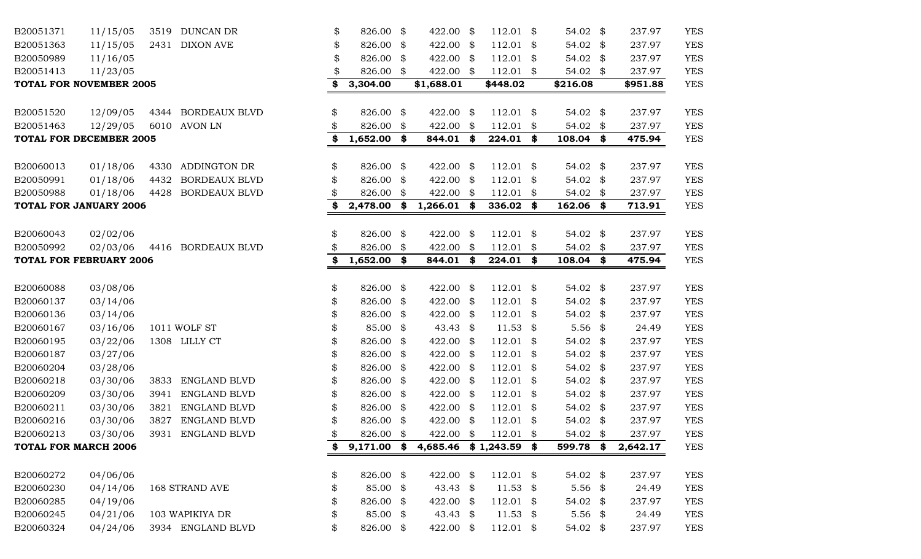| B20051371            | 11/15/05                            |      | 3519 DUNCAN DR       | \$       | 826.00                  | \$   | 422.00                 | $\frac{1}{2}$ | 112.01                | \$   | 54.02 \$                | 237.97           | <b>YES</b>               |
|----------------------|-------------------------------------|------|----------------------|----------|-------------------------|------|------------------------|---------------|-----------------------|------|-------------------------|------------------|--------------------------|
| B20051363            | 11/15/05                            |      | 2431 DIXON AVE       | \$       | 826.00 \$               |      | 422.00                 | - \$          | $112.01$ \$           |      | 54.02 \$                | 237.97           | <b>YES</b>               |
| B20050989            | 11/16/05                            |      |                      | \$       | 826.00                  | \$   | 422.00                 | -\$           | 112.01                | \$   | 54.02 \$                | 237.97           | <b>YES</b>               |
| B20051413            | 11/23/05                            |      |                      | \$       | 826.00 \$               |      | 422.00 \$              |               | $112.01$ \$           |      | 54.02 \$                | 237.97           | <b>YES</b>               |
|                      | TOTAL FOR NOVEMBER 2005             |      |                      | \$       | 3,304.00                |      | \$1,688.01             |               | \$448.02              |      | \$216.08                | \$951.88         | <b>YES</b>               |
| B20051520            | 12/09/05                            |      | 4344 BORDEAUX BLVD   | \$       | 826.00 \$               |      | 422.00                 | - \$          | $112.01$ \$           |      | 54.02 \$                | 237.97           | <b>YES</b>               |
| B20051463            | 12/29/05                            |      | 6010 AVON LN         |          | 826.00                  | \$   | 422.00                 | \$            | $112.01$ \$           |      | 54.02 \$                | 237.97           | <b>YES</b>               |
|                      | TOTAL FOR DECEMBER 2005             |      |                      | S        | $1,652.00$ \$           |      | 844.01                 | - \$          | 224.01 \$             |      | $108.04$ \$             | 475.94           | <b>YES</b>               |
| B20060013            | 01/18/06                            | 4330 | ADDINGTON DR         | \$       | 826.00 \$               |      | 422.00                 | - \$          | $112.01$ \$           |      | 54.02 \$                | 237.97           | <b>YES</b>               |
| B20050991            | 01/18/06                            | 4432 | <b>BORDEAUX BLVD</b> |          | 826.00                  | \$   | 422.00                 | \$            | 112.01                | -\$  | 54.02 $$$               | 237.97           | <b>YES</b>               |
| B20050988            | 01/18/06                            | 4428 | <b>BORDEAUX BLVD</b> | S        | 826.00                  | \$   | 422.00                 | - \$          | 112.01                | -\$  | 54.02 \$                | 237.97           | <b>YES</b>               |
|                      | TOTAL FOR JANUARY 2006              |      |                      | \$       | 2,478.00                | \$   | $1,266.01$ \$          |               | 336.02 \$             |      | $162.06$ \$             | 713.91           | <b>YES</b>               |
|                      |                                     |      |                      |          |                         |      |                        |               |                       |      |                         |                  |                          |
| B20060043            | 02/02/06                            |      |                      | \$       | 826.00                  | \$   | 422.00                 | \$            | $112.01$ \$           |      | 54.02 \$                | 237.97           | <b>YES</b>               |
| B20050992            | 02/03/06<br>TOTAL FOR FEBRUARY 2006 |      | 4416 BORDEAUX BLVD   | \$<br>\$ | 826.00<br>$1,652.00$ \$ | -\$  | 422.00<br>844.01       | - \$<br>- \$  | 112.01<br>$224.01$ \$ | \$   | 54.02 \$<br>$108.04$ \$ | 237.97<br>475.94 | <b>YES</b><br><b>YES</b> |
|                      |                                     |      |                      |          |                         |      |                        |               |                       |      |                         |                  |                          |
| B20060088            | 03/08/06                            |      |                      | \$       | 826.00 \$               |      | 422.00 \$              |               | $112.01$ \$           |      | 54.02 \$                | 237.97           | <b>YES</b>               |
| B20060137            | 03/14/06                            |      |                      | \$       | 826.00                  | \$   | 422.00                 | - \$          | 112.01                | \$   | 54.02 \$                | 237.97           | <b>YES</b>               |
| B20060136            | 03/14/06                            |      |                      |          | 826.00                  | - \$ | 422.00                 | - \$          | $112.01$ \$           |      | 54.02 \$                | 237.97           | <b>YES</b>               |
| B20060167            | 03/16/06                            |      | 1011 WOLF ST         |          | 85.00                   | \$   | 43.43 $$$              |               | 11.53                 | \$   | $5.56$ \$               | 24.49            | <b>YES</b>               |
| B20060195            | 03/22/06                            |      | 1308 LILLY CT        | \$       | 826.00                  | \$   | 422.00                 | - \$          | $112.01$ \$           |      | 54.02 \$                | 237.97           | <b>YES</b>               |
| B20060187            | 03/27/06                            |      |                      |          | 826.00                  | \$   | 422.00                 | \$            | 112.01                | S.   | 54.02 \$                | 237.97           | <b>YES</b>               |
| B20060204            | 03/28/06                            |      |                      | \$       | 826.00                  | -\$  | 422.00                 | - \$          | 112.01                | \$   | 54.02 \$                | 237.97           | <b>YES</b>               |
| B20060218            | 03/30/06                            | 3833 | <b>ENGLAND BLVD</b>  |          | 826.00 \$               |      | 422.00                 | - \$          | 112.01                | - \$ | 54.02 \$                | 237.97           | <b>YES</b>               |
| B20060209            | 03/30/06                            | 3941 | <b>ENGLAND BLVD</b>  | \$       | 826.00                  | \$   | 422.00                 | - \$          | 112.01                | \$   | 54.02 \$                | 237.97           | <b>YES</b>               |
| B20060211            | 03/30/06                            | 3821 | ENGLAND BLVD         |          | 826.00                  | \$   | 422.00                 | - \$          | 112.01                | \$   | 54.02 \$                | 237.97           | <b>YES</b>               |
| B20060216            | 03/30/06                            | 3827 | ENGLAND BLVD         |          | 826.00                  | \$   | 422.00                 | \$            | 112.01                | -\$  | 54.02 \$                | 237.97           | <b>YES</b>               |
| B20060213            | 03/30/06                            | 3931 | ENGLAND BLVD         | \$       | 826.00                  | \$   | 422.00                 | \$            | 112.01                | \$   | 54.02 \$                | 237.97           | <b>YES</b>               |
| TOTAL FOR MARCH 2006 |                                     |      |                      |          | $9,171.00$ \$           |      | 4,685.46 \$1,243.59 \$ |               |                       |      | 599.78 \$               | 2,642.17         | <b>YES</b>               |
| B20060272            | 04/06/06                            |      |                      | \$       | 826.00 \$               |      | 422.00 \$              |               | $112.01$ \$           |      | 54.02 $\frac{1}{2}$     | 237.97           | <b>YES</b>               |
| B20060230            | 04/14/06                            |      | 168 STRAND AVE       | \$       | 85.00 \$                |      | 43.43 $\frac{1}{2}$    |               | $11.53$ \$            |      | $5.56$ \$               | 24.49            | <b>YES</b>               |
| B20060285            | 04/19/06                            |      |                      | \$       | 826.00 \$               |      | 422.00 \$              |               | $112.01$ \$           |      | 54.02 \$                | 237.97           | <b>YES</b>               |
| B20060245            | 04/21/06                            |      | 103 WAPIKIYA DR      | \$       | 85.00 \$                |      | 43.43 $$$              |               | $11.53$ \$            |      | 5.56 $$$                | 24.49            | <b>YES</b>               |
| B20060324            | 04/24/06                            |      | 3934 ENGLAND BLVD    | \$       | 826.00 \$               |      | 422.00 \$              |               | $112.01$ \$           |      | 54.02 \$                | 237.97           | <b>YES</b>               |
|                      |                                     |      |                      |          |                         |      |                        |               |                       |      |                         |                  |                          |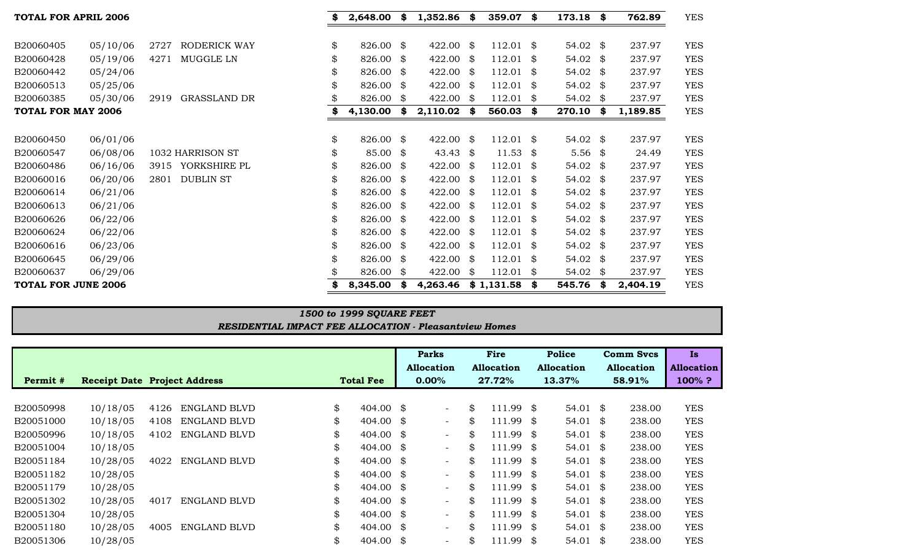| <b>TOTAL FOR APRIL 2006</b> |          |                             | 2,648.00        | S  | 1,352.86  | - \$ | 359.07      | \$ | 173.18    | - \$ | 762.89   | <b>YES</b> |
|-----------------------------|----------|-----------------------------|-----------------|----|-----------|------|-------------|----|-----------|------|----------|------------|
|                             |          |                             |                 |    |           |      |             |    |           |      |          |            |
| B20060405                   | 05/10/06 | RODERICK WAY<br>2727        | \$<br>826.00    | \$ | 422.00 \$ |      | 112.01      | \$ | 54.02 \$  |      | 237.97   | <b>YES</b> |
| B20060428                   | 05/19/06 | MUGGLE LN<br>4271           | \$<br>826.00 \$ |    | 422.00    | - \$ | 112.01      | \$ | 54.02 \$  |      | 237.97   | <b>YES</b> |
| B20060442                   | 05/24/06 |                             | \$<br>826.00 \$ |    | 422.00 \$ |      | 112.01      | \$ | 54.02 \$  |      | 237.97   | <b>YES</b> |
| B20060513                   | 05/25/06 |                             | 826.00 \$       |    | 422.00 \$ |      | 112.01      | \$ | 54.02 \$  |      | 237.97   | <b>YES</b> |
| B20060385                   | 05/30/06 | 2919<br><b>GRASSLAND DR</b> | 826.00          | \$ | 422.00    | - \$ | 112.01      | \$ | 54.02     | - \$ | 237.97   | <b>YES</b> |
| <b>TOTAL FOR MAY 2006</b>   |          |                             | 4,130.00        | \$ | 2,110.02  | - \$ | 560.03      | \$ | 270.10    | - \$ | 1,189.85 | <b>YES</b> |
|                             |          |                             |                 |    |           |      |             |    |           |      |          |            |
| B20060450                   | 06/01/06 |                             | \$<br>826.00 \$ |    | 422.00 \$ |      | $112.01$ \$ |    | 54.02 \$  |      | 237.97   | <b>YES</b> |
| B20060547                   | 06/08/06 | 1032 HARRISON ST            | 85.00 \$        |    | 43.43     | - \$ | 11.53       | \$ | $5.56$ \$ |      | 24.49    | <b>YES</b> |
| B20060486                   | 06/16/06 | YORKSHIRE PL<br>3915        | \$<br>826.00    | \$ | 422.00    | - \$ | 112.01      | \$ | 54.02 \$  |      | 237.97   | <b>YES</b> |
| B20060016                   | 06/20/06 | <b>DUBLIN ST</b><br>2801    | \$<br>826.00    | \$ | 422.00    | -\$  | 112.01      | \$ | 54.02     | - \$ | 237.97   | <b>YES</b> |
| B20060614                   | 06/21/06 |                             | \$<br>826.00 \$ |    | 422.00 \$ |      | 112.01      | S. | 54.02 \$  |      | 237.97   | <b>YES</b> |
| B20060613                   | 06/21/06 |                             | 826.00 \$       |    | 422.00    | - \$ | 112.01      | \$ | 54.02 \$  |      | 237.97   | <b>YES</b> |
| B20060626                   | 06/22/06 |                             | \$<br>826.00 \$ |    | 422.00    | - \$ | 112.01      | \$ | 54.02 \$  |      | 237.97   | <b>YES</b> |
| B20060624                   | 06/22/06 |                             | \$<br>826.00 \$ |    | 422.00    | -\$  | 112.01      | \$ | 54.02     | - \$ | 237.97   | <b>YES</b> |
| B20060616                   | 06/23/06 |                             | \$<br>826.00 \$ |    | 422.00 \$ |      | 112.01      | S. | 54.02 \$  |      | 237.97   | <b>YES</b> |
| B20060645                   | 06/29/06 |                             | 826.00 \$       |    | 422.00    | - \$ | 112.01      | \$ | 54.02 \$  |      | 237.97   | <b>YES</b> |
| B20060637                   | 06/29/06 |                             | 826.00          | \$ | 422.00    | - \$ | 112.01      | \$ | 54.02 \$  |      | 237.97   | <b>YES</b> |
| <b>TOTAL FOR JUNE 2006</b>  |          |                             | 8,345.00        | S  | 4,263.46  |      | \$1,131.58  | \$ | 545.76    | - \$ | 2,404.19 | <b>YES</b> |

## *RESIDENTIAL IMPACT FEE ALLOCATION - Pleasantview Homes 1500 to 1999 SQUARE FEET*

|           |                                     |      |                     |                            |      | Parks                    | <b>Fire</b>       |     | Police              | <b>Comm Svcs</b>  | Is.               |
|-----------|-------------------------------------|------|---------------------|----------------------------|------|--------------------------|-------------------|-----|---------------------|-------------------|-------------------|
|           |                                     |      |                     |                            |      | <b>Allocation</b>        | <b>Allocation</b> |     | <b>Allocation</b>   | <b>Allocation</b> | <b>Allocation</b> |
| Permit #  | <b>Receipt Date Project Address</b> |      |                     | <b>Total Fee</b>           |      | $0.00\%$                 | 27.72%            |     | 13.37%              | 58.91%            | $100\%$ ?         |
|           |                                     |      |                     |                            |      |                          |                   |     |                     |                   |                   |
| B20050998 | 10/18/05                            | 4126 | ENGLAND BLVD        | \$<br>$404.00 \text{ }$ \$ |      | $\overline{\phantom{a}}$ | \$<br>$111.99$ \$ |     | $54.01$ \$          | 238.00            | <b>YES</b>        |
| B20051000 | 10/18/05                            | 4108 | ENGLAND BLVD        | \$<br>404.00               | - \$ | $\overline{\phantom{a}}$ | \$<br>111.99      | \$  | 54.01 $\frac{1}{2}$ | 238.00            | <b>YES</b>        |
| B20050996 | 10/18/05                            | 4102 | ENGLAND BLVD        | \$<br>404.00               | - \$ | $-$                      | \$<br>111.99      | -\$ | 54.01 $\frac{1}{2}$ | 238.00            | <b>YES</b>        |
| B20051004 | 10/18/05                            |      |                     | \$<br>404.00               | - \$ | $\overline{\phantom{a}}$ | \$<br>111.99      | S.  | 54.01 $\frac{1}{2}$ | 238.00            | <b>YES</b>        |
| B20051184 | 10/28/05                            | 4022 | <b>ENGLAND BLVD</b> | \$<br>404.00               | - \$ | $-$                      | \$<br>111.99      | -\$ | 54.01 $\frac{1}{2}$ | 238.00            | <b>YES</b>        |
| B20051182 | 10/28/05                            |      |                     | \$<br>404.00               | - \$ | $-$                      | \$<br>111.99      | -\$ | 54.01 $\frac{1}{2}$ | 238.00            | <b>YES</b>        |
| B20051179 | 10/28/05                            |      |                     | \$<br>404.00               | - \$ | $\overline{\phantom{a}}$ | \$<br>111.99      | -\$ | 54.01 $\frac{1}{2}$ | 238.00            | <b>YES</b>        |
| B20051302 | 10/28/05                            | 4017 | ENGLAND BLVD        | \$<br>404.00               | - \$ | $\overline{\phantom{a}}$ | \$<br>111.99      | -\$ | 54.01 $\frac{1}{2}$ | 238.00            | <b>YES</b>        |
| B20051304 | 10/28/05                            |      |                     | \$<br>404.00               | - \$ | $-$                      | \$<br>111.99      | \$  | 54.01 $\frac{1}{2}$ | 238.00            | <b>YES</b>        |
| B20051180 | 10/28/05                            | 4005 | ENGLAND BLVD        | \$<br>$404.00$ \$          |      | $\overline{\phantom{a}}$ | \$<br>111.99      | \$  | 54.01 $\frac{1}{2}$ | 238.00            | <b>YES</b>        |
| B20051306 | 10/28/05                            |      |                     | \$<br>404.00               | \$   | $\overline{\phantom{a}}$ | \$<br>111.99      | \$  | 54.01 $\frac{1}{2}$ | 238.00            | <b>YES</b>        |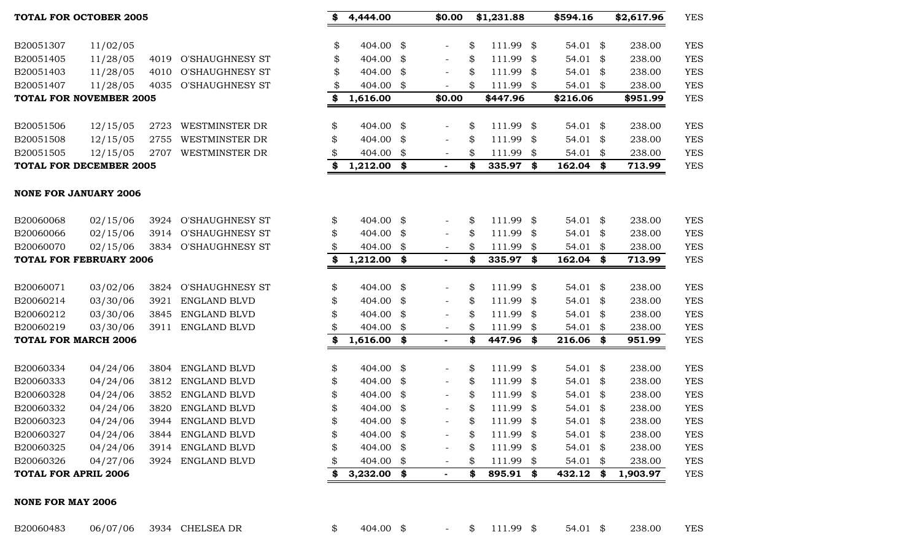| NONE FOR MAY 2006 |          |                 |                          |  |          |        |     |
|-------------------|----------|-----------------|--------------------------|--|----------|--------|-----|
| B20060483         | 06/07/06 | 3934 CHELSEA DR | 404.00 \$ - \$ 111.99 \$ |  | 54.01 \$ | 238.00 | YES |

|                             | <b>NONE FOR JANUARY 2006</b>   |      |                        |    |               |      |                          |    |           |      |                     |    |          |            |
|-----------------------------|--------------------------------|------|------------------------|----|---------------|------|--------------------------|----|-----------|------|---------------------|----|----------|------------|
| B20060068                   | 02/15/06                       | 3924 | <b>O'SHAUGHNESY ST</b> | \$ | 404.00 \$     |      | $\overline{\phantom{a}}$ | \$ | 111.99 \$ |      | 54.01 $\frac{1}{2}$ |    | 238.00   | <b>YES</b> |
| B20060066                   | 02/15/06                       | 3914 | <b>O'SHAUGHNESY ST</b> | \$ | 404.00 \$     |      | $-$                      | \$ | 111.99    | -8   | 54.01               | \$ | 238.00   | <b>YES</b> |
| B20060070                   | 02/15/06                       | 3834 | <b>O'SHAUGHNESY ST</b> |    | 404.00 \$     |      | $\overline{\phantom{a}}$ | \$ | 111.99    | -\$  | 54.01               | \$ | 238.00   | <b>YES</b> |
|                             | <b>TOTAL FOR FEBRUARY 2006</b> |      |                        | \$ | $1,212.00$ \$ |      |                          |    | 335.97 \$ |      | 162.04              | \$ | 713.99   | <b>YES</b> |
|                             |                                |      |                        |    |               |      |                          |    |           |      |                     |    |          |            |
| B20060071                   | 03/02/06                       | 3824 | <b>O'SHAUGHNESY ST</b> | \$ | 404.00 \$     |      |                          | \$ | 111.99 \$ |      | 54.01 $\frac{1}{2}$ |    | 238.00   | <b>YES</b> |
| B20060214                   | 03/30/06                       | 3921 | <b>ENGLAND BLVD</b>    | \$ | 404.00 \$     |      | $-$                      | \$ | 111.99    | \$   | 54.01 $\frac{1}{2}$ |    | 238.00   | <b>YES</b> |
| B20060212                   | 03/30/06                       | 3845 | ENGLAND BLVD           | \$ | 404.00 \$     |      | $\overline{\phantom{a}}$ |    | 111.99    | -\$  | 54.01 $$$           |    | 238.00   | <b>YES</b> |
| B20060219                   | 03/30/06                       | 3911 | ENGLAND BLVD           |    | 404.00 \$     |      | $\overline{\phantom{a}}$ | \$ | 111.99    | - \$ | 54.01               | \$ | 238.00   | <b>YES</b> |
| <b>TOTAL FOR MARCH 2006</b> |                                |      |                        | \$ | $1,616.00$ \$ |      | $\blacksquare$           | \$ | 447.96 \$ |      | 216.06              | S. | 951.99   | <b>YES</b> |
|                             |                                |      |                        |    |               |      |                          |    |           |      |                     |    |          |            |
| B20060334                   | 04/24/06                       | 3804 | ENGLAND BLVD           | \$ | 404.00 \$     |      | $-$                      | \$ | 111.99    | - \$ | 54.01 $\frac{1}{2}$ |    | 238.00   | <b>YES</b> |
| B20060333                   | 04/24/06                       | 3812 | ENGLAND BLVD           | \$ | 404.00 \$     |      |                          | \$ | 111.99    | - \$ | 54.01 \$            |    | 238.00   | <b>YES</b> |
| B20060328                   | 04/24/06                       | 3852 | ENGLAND BLVD           | \$ | 404.00 \$     |      | $-$                      | \$ | 111.99    | -8   | 54.01 $$$           |    | 238.00   | <b>YES</b> |
| B20060332                   | 04/24/06                       | 3820 | <b>ENGLAND BLVD</b>    | \$ | 404.00 \$     |      | $\overline{\phantom{a}}$ | \$ | 111.99    | - \$ | 54.01 $$$           |    | 238.00   | <b>YES</b> |
| B20060323                   | 04/24/06                       | 3944 | ENGLAND BLVD           | \$ | 404.00 \$     |      | $-$                      | \$ | 111.99    | -\$  | 54.01               | \$ | 238.00   | <b>YES</b> |
| B20060327                   | 04/24/06                       | 3844 | ENGLAND BLVD           | \$ | 404.00 \$     |      | $-$                      | \$ | 111.99    | - \$ | 54.01 $$$           |    | 238.00   | <b>YES</b> |
| B20060325                   | 04/24/06                       | 3914 | <b>ENGLAND BLVD</b>    |    | 404.00 \$     |      | $\overline{\phantom{a}}$ | \$ | 111.99    | -\$  | 54.01 $\frac{1}{2}$ |    | 238.00   | <b>YES</b> |
| B20060326                   | 04/27/06                       | 3924 | ENGLAND BLVD           | S  | 404.00        | - \$ | $-$                      | \$ | 111.99    | \$   | 54.01               | \$ | 238.00   | <b>YES</b> |
| <b>TOTAL FOR APRIL 2006</b> |                                |      |                        | \$ | 3,232.00      | S.   |                          | S  | 895.91    | -\$  | 432.12              | S  | 1,903.97 | <b>YES</b> |

| B20051506               |          | 12/15/05 2723 WESTMINSTER DR |
|-------------------------|----------|------------------------------|
| B20051508               | 12/15/05 | 2755 WESTMINSTER DR          |
| B20051505               |          | 12/15/05 2707 WESTMINSTER DR |
| TOTAL FOR DECEMBER 2005 |          |                              |

#### **TOTAL FOR NOVEMBER 2005**

| B20051307 | 11/02/05 |                      |
|-----------|----------|----------------------|
| B20051405 | 11/28/05 | 4019 O'SHAUGHNESY ST |
| B20051403 | 11/28/05 | 4010 O'SHAUGHNESY ST |
| B20051407 | 11/28/05 | 4035 O'SHAUGHNESY ST |

| 11/02/05                    |                                                                                                                                                                                     |                                                                                                                                                       | \$                                                                                                                                                                                                                   | 404.00                                                   | \$                                                                                     |                                                                                  | \$                                                   | 111.99                                                   | \$                                                                                     | 54.01                                                           | \$                                                                                      | 238.00                                                   | <b>YES</b>                                                                                       |
|-----------------------------|-------------------------------------------------------------------------------------------------------------------------------------------------------------------------------------|-------------------------------------------------------------------------------------------------------------------------------------------------------|----------------------------------------------------------------------------------------------------------------------------------------------------------------------------------------------------------------------|----------------------------------------------------------|----------------------------------------------------------------------------------------|----------------------------------------------------------------------------------|------------------------------------------------------|----------------------------------------------------------|----------------------------------------------------------------------------------------|-----------------------------------------------------------------|-----------------------------------------------------------------------------------------|----------------------------------------------------------|--------------------------------------------------------------------------------------------------|
|                             | 4019                                                                                                                                                                                | O'SHAUGHNESY ST                                                                                                                                       | \$                                                                                                                                                                                                                   | 404.00                                                   | \$                                                                                     | $\overline{\phantom{a}}$                                                         | \$                                                   | 111.99                                                   | \$                                                                                     | 54.01                                                           | \$                                                                                      | 238.00                                                   | <b>YES</b>                                                                                       |
| 11/28/05                    | 4010                                                                                                                                                                                | <b>O'SHAUGHNESY ST</b>                                                                                                                                | \$                                                                                                                                                                                                                   | 404.00                                                   | \$                                                                                     |                                                                                  | \$                                                   | 111.99                                                   | \$                                                                                     | 54.01                                                           | \$                                                                                      | 238.00                                                   | <b>YES</b>                                                                                       |
| 11/28/05                    | 4035                                                                                                                                                                                | <b>O'SHAUGHNESY ST</b>                                                                                                                                | \$                                                                                                                                                                                                                   | 404.00                                                   | \$                                                                                     |                                                                                  | \$                                                   | 111.99                                                   | \$                                                                                     | 54.01                                                           | \$                                                                                      | 238.00                                                   | <b>YES</b>                                                                                       |
|                             |                                                                                                                                                                                     |                                                                                                                                                       | \$                                                                                                                                                                                                                   | 1,616.00                                                 |                                                                                        | \$0.00                                                                           |                                                      | \$447.96                                                 |                                                                                        | \$216.06                                                        |                                                                                         | \$951.99                                                 | <b>YES</b>                                                                                       |
|                             |                                                                                                                                                                                     |                                                                                                                                                       |                                                                                                                                                                                                                      |                                                          |                                                                                        |                                                                                  |                                                      |                                                          |                                                                                        |                                                                 |                                                                                         |                                                          |                                                                                                  |
| 12/15/05                    | 2723                                                                                                                                                                                | <b>WESTMINSTER DR</b>                                                                                                                                 | \$                                                                                                                                                                                                                   | 404.00                                                   | \$                                                                                     |                                                                                  | \$                                                   | 111.99                                                   | \$                                                                                     | 54.01                                                           | \$                                                                                      | 238.00                                                   | <b>YES</b>                                                                                       |
| 12/15/05                    | 2755                                                                                                                                                                                | <b>WESTMINSTER DR</b>                                                                                                                                 | \$                                                                                                                                                                                                                   | 404.00                                                   | \$                                                                                     |                                                                                  | \$                                                   | 111.99                                                   | \$                                                                                     | 54.01                                                           | \$                                                                                      | 238.00                                                   | <b>YES</b>                                                                                       |
| 12/15/05                    | 2707                                                                                                                                                                                | <b>WESTMINSTER DR</b>                                                                                                                                 | \$                                                                                                                                                                                                                   | 404.00                                                   | \$                                                                                     | $\overline{\phantom{a}}$                                                         | \$                                                   | 111.99                                                   | \$                                                                                     | 54.01                                                           | \$                                                                                      | 238.00                                                   | <b>YES</b>                                                                                       |
|                             |                                                                                                                                                                                     |                                                                                                                                                       | \$                                                                                                                                                                                                                   |                                                          | \$                                                                                     |                                                                                  | \$                                                   | 335.97                                                   | \$                                                                                     | 162.04                                                          | \$                                                                                      | 713.99                                                   | <b>YES</b>                                                                                       |
|                             |                                                                                                                                                                                     |                                                                                                                                                       |                                                                                                                                                                                                                      |                                                          |                                                                                        |                                                                                  |                                                      |                                                          |                                                                                        |                                                                 |                                                                                         |                                                          |                                                                                                  |
|                             |                                                                                                                                                                                     |                                                                                                                                                       |                                                                                                                                                                                                                      |                                                          |                                                                                        |                                                                                  |                                                      |                                                          |                                                                                        |                                                                 |                                                                                         |                                                          |                                                                                                  |
|                             |                                                                                                                                                                                     |                                                                                                                                                       |                                                                                                                                                                                                                      |                                                          |                                                                                        |                                                                                  |                                                      |                                                          |                                                                                        |                                                                 |                                                                                         |                                                          | <b>YES</b>                                                                                       |
|                             |                                                                                                                                                                                     |                                                                                                                                                       |                                                                                                                                                                                                                      |                                                          |                                                                                        |                                                                                  |                                                      |                                                          |                                                                                        |                                                                 |                                                                                         |                                                          | <b>YES</b>                                                                                       |
|                             |                                                                                                                                                                                     |                                                                                                                                                       |                                                                                                                                                                                                                      |                                                          |                                                                                        |                                                                                  |                                                      |                                                          |                                                                                        |                                                                 |                                                                                         |                                                          | <b>YES</b><br><b>YES</b>                                                                         |
|                             |                                                                                                                                                                                     |                                                                                                                                                       |                                                                                                                                                                                                                      |                                                          |                                                                                        |                                                                                  |                                                      |                                                          |                                                                                        |                                                                 |                                                                                         |                                                          |                                                                                                  |
| 03/02/06                    | 3824                                                                                                                                                                                | <b>O'SHAUGHNESY ST</b>                                                                                                                                | \$                                                                                                                                                                                                                   | 404.00                                                   | \$                                                                                     | $\blacksquare$                                                                   | \$                                                   | 111.99                                                   | \$                                                                                     | 54.01                                                           | \$                                                                                      | 238.00                                                   | <b>YES</b>                                                                                       |
| 03/30/06                    | 3921                                                                                                                                                                                | <b>ENGLAND BLVD</b>                                                                                                                                   | \$                                                                                                                                                                                                                   | 404.00                                                   | \$                                                                                     |                                                                                  | \$                                                   | 111.99                                                   | \$                                                                                     | 54.01                                                           | \$                                                                                      | 238.00                                                   | <b>YES</b>                                                                                       |
| 03/30/06                    | 3845                                                                                                                                                                                | <b>ENGLAND BLVD</b>                                                                                                                                   | \$                                                                                                                                                                                                                   | 404.00                                                   | \$                                                                                     |                                                                                  | \$                                                   | 111.99                                                   | \$                                                                                     | 54.01                                                           | \$                                                                                      | 238.00                                                   | <b>YES</b>                                                                                       |
| 03/30/06                    | 3911                                                                                                                                                                                | <b>ENGLAND BLVD</b>                                                                                                                                   | \$                                                                                                                                                                                                                   | 404.00                                                   | \$                                                                                     |                                                                                  | \$                                                   | 111.99                                                   | \$                                                                                     | 54.01                                                           | \$                                                                                      | 238.00                                                   | <b>YES</b>                                                                                       |
|                             |                                                                                                                                                                                     |                                                                                                                                                       | \$                                                                                                                                                                                                                   | 1,616.00                                                 | \$                                                                                     |                                                                                  | \$                                                   | 447.96                                                   | \$                                                                                     | 216.06                                                          | \$                                                                                      | 951.99                                                   | <b>YES</b>                                                                                       |
|                             |                                                                                                                                                                                     |                                                                                                                                                       |                                                                                                                                                                                                                      |                                                          |                                                                                        |                                                                                  |                                                      |                                                          |                                                                                        |                                                                 |                                                                                         |                                                          |                                                                                                  |
|                             |                                                                                                                                                                                     |                                                                                                                                                       |                                                                                                                                                                                                                      |                                                          |                                                                                        | $\overline{\phantom{a}}$                                                         |                                                      |                                                          |                                                                                        |                                                                 |                                                                                         |                                                          | <b>YES</b>                                                                                       |
|                             |                                                                                                                                                                                     |                                                                                                                                                       |                                                                                                                                                                                                                      |                                                          |                                                                                        | $\overline{\phantom{a}}$                                                         |                                                      |                                                          |                                                                                        |                                                                 |                                                                                         |                                                          | <b>YES</b>                                                                                       |
|                             |                                                                                                                                                                                     |                                                                                                                                                       |                                                                                                                                                                                                                      |                                                          |                                                                                        |                                                                                  |                                                      |                                                          |                                                                                        |                                                                 |                                                                                         |                                                          | <b>YES</b>                                                                                       |
|                             |                                                                                                                                                                                     |                                                                                                                                                       |                                                                                                                                                                                                                      |                                                          |                                                                                        |                                                                                  |                                                      |                                                          |                                                                                        |                                                                 |                                                                                         |                                                          | <b>YES</b>                                                                                       |
|                             |                                                                                                                                                                                     |                                                                                                                                                       |                                                                                                                                                                                                                      |                                                          |                                                                                        |                                                                                  |                                                      |                                                          |                                                                                        |                                                                 |                                                                                         |                                                          | <b>YES</b>                                                                                       |
|                             |                                                                                                                                                                                     |                                                                                                                                                       |                                                                                                                                                                                                                      |                                                          |                                                                                        |                                                                                  |                                                      |                                                          |                                                                                        |                                                                 |                                                                                         |                                                          | <b>YES</b>                                                                                       |
| 04/24/06                    | 3914                                                                                                                                                                                | ENGLAND BLVD                                                                                                                                          | \$                                                                                                                                                                                                                   | 404.00                                                   | \$                                                                                     |                                                                                  | \$                                                   | 111.99                                                   | \$                                                                                     | 54.01                                                           | \$                                                                                      | 238.00                                                   | <b>YES</b>                                                                                       |
| 04/27/06                    | 3924                                                                                                                                                                                | <b>ENGLAND BLVD</b>                                                                                                                                   | \$                                                                                                                                                                                                                   | 404.00                                                   | \$                                                                                     | $\overline{\phantom{a}}$                                                         | \$                                                   | 111.99                                                   | \$                                                                                     | 54.01                                                           | \$                                                                                      | 238.00                                                   | <b>YES</b>                                                                                       |
| <b>TOTAL FOR APRIL 2006</b> |                                                                                                                                                                                     |                                                                                                                                                       |                                                                                                                                                                                                                      | 3,232.00                                                 |                                                                                        |                                                                                  | \$                                                   |                                                          | \$                                                                                     |                                                                 |                                                                                         |                                                          | <b>YES</b>                                                                                       |
|                             | 11/28/05<br><b>NONE FOR JANUARY 2006</b><br>02/15/06<br>02/15/06<br>02/15/06<br><b>TOTAL FOR MARCH 2006</b><br>04/24/06<br>04/24/06<br>04/24/06<br>04/24/06<br>04/24/06<br>04/24/06 | TOTAL FOR NOVEMBER 2005<br>TOTAL FOR DECEMBER 2005<br>3924<br>3914<br>3834<br>TOTAL FOR FEBRUARY 2006<br>3804<br>3812<br>3852<br>3820<br>3944<br>3844 | <b>O'SHAUGHNESY ST</b><br><b>O'SHAUGHNESY ST</b><br><b>O'SHAUGHNESY ST</b><br><b>ENGLAND BLVD</b><br><b>ENGLAND BLVD</b><br><b>ENGLAND BLVD</b><br><b>ENGLAND BLVD</b><br><b>ENGLAND BLVD</b><br><b>ENGLAND BLVD</b> | \$<br>\$<br>\$<br>\$<br>\$<br>\$<br>\$<br>\$<br>\$<br>\$ | 404.00<br>404.00<br>404.00<br>404.00<br>404.00<br>404.00<br>404.00<br>404.00<br>404.00 | 1,212.00<br>\$<br>\$<br>\$<br>1,212.00<br>\$<br>\$<br>\$<br>\$<br>\$<br>\$<br>\$ | $\overline{\phantom{a}}$<br>$\overline{\phantom{a}}$ | \$<br>\$<br>\$<br>\$<br>\$<br>\$<br>\$<br>\$<br>\$<br>\$ | 111.99<br>111.99<br>335.97<br>111.99<br>111.99<br>111.99<br>111.99<br>111.99<br>111.99 | 111.99 \$<br>\$<br>\$<br>\$<br>\$<br>\$<br>\$<br>\$<br>\$<br>\$ | 54.01<br>54.01<br>54.01<br>162.04<br>54.01<br>54.01<br>54.01<br>54.01<br>54.01<br>54.01 | \$<br>\$<br>\$<br>\$<br>\$<br>\$<br>\$<br>\$<br>\$<br>\$ | 238.00<br>238.00<br>238.00<br>713.99<br>238.00<br>238.00<br>238.00<br>238.00<br>238.00<br>238.00 |

## **TOTAL FOR OCTOBER 2005 \$ 4,444.00 \$0.00 \$1,231.88 \$594.16 \$2,617.96** YES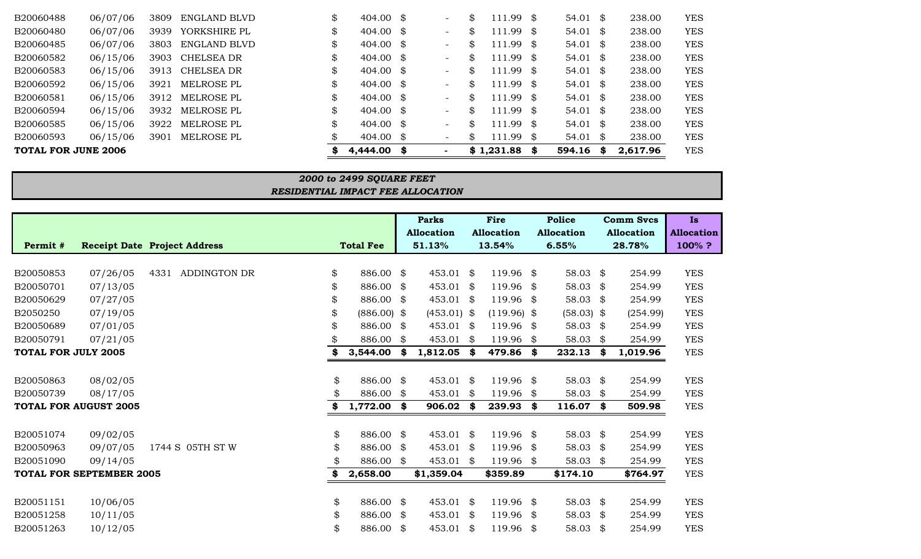| TOTAL FOR JUNE 2006 |          |      |              | 4,444.00                   | S | $\blacksquare$                  | \$1,231.88    | - 56 | 594.16     | S.   | 2,617.96 | <b>YES</b> |
|---------------------|----------|------|--------------|----------------------------|---|---------------------------------|---------------|------|------------|------|----------|------------|
| B20060593           | 06/15/06 | 3901 | MELROSE PL   | 404.00 \$                  |   | \$<br>$\overline{\phantom{0}}$  | $111.99$ \$   |      | 54.01 \$   |      | 238.00   | <b>YES</b> |
| B20060585           | 06/15/06 | 3922 | MELROSE PL   | \$<br>$404.00 \text{ }$ \$ |   | \$<br>$\overline{\phantom{a}}$  | $111.99$ \$   |      | 54.01 \$   |      | 238.00   | <b>YES</b> |
| B20060594           | 06/15/06 | 3932 | MELROSE PL   | \$<br>404.00 \$            |   | \$<br>$\overline{\phantom{a}}$  | .99\$<br>111  |      | $54.01$ \$ |      | 238.00   | <b>YES</b> |
| B20060581           | 06/15/06 | 3912 | MELROSE PL   | \$<br>404.00 \$            |   | \$<br>$\overline{\phantom{0}}$  | .99\$<br>111  |      | 54.01 \$   |      | 238.00   | <b>YES</b> |
| B20060592           | 06/15/06 | 3921 | MELROSE PL   | \$<br>404.00 \$            |   | \$<br>$\overline{\phantom{0}}$  | .99<br>111    | - \$ | $54.01$ \$ |      | 238.00   | <b>YES</b> |
| B20060583           | 06/15/06 | 3913 | CHELSEA DR   | \$<br>404.00 \$            |   | \$<br>$\overline{\phantom{a}}$  | .99<br>111    | - \$ | $54.01$ \$ |      | 238.00   | <b>YES</b> |
| B20060582           | 06/15/06 | 3903 | CHELSEA DR   | \$<br>404.00 \$            |   | \$<br>$\overline{\phantom{0}}$  | 111.99        | - \$ | $54.01$ \$ |      | 238.00   | <b>YES</b> |
| B20060485           | 06/07/06 | 3803 | ENGLAND BLVD | \$<br>404.00 \$            |   | \$.<br>$\overline{\phantom{a}}$ | .99 \$<br>111 |      | $54.01$ \$ |      | 238.00   | <b>YES</b> |
| B20060480           | 06/07/06 | 3939 | YORKSHIRE PL | \$<br>404.00 \$            |   | \$<br>$\overline{\phantom{a}}$  | $111.99$ \$   |      | $54.01$ \$ |      | 238.00   | <b>YES</b> |
| B20060488           | 06/07/06 | 3809 | ENGLAND BLVD | \$<br>404.00 \$            |   | \$<br>$\overline{\phantom{a}}$  | .99<br>111    | SS.  | 54.01      | - \$ | 238.00   | YES        |

## *RESIDENTIAL IMPACT FEE ALLOCATION 2000 to 2499 SQUARE FEET*

|                            |                                 |                                     |     |                  |               | <b>Parks</b><br><b>Allocation</b> | Fire<br><b>Allocation</b> |               | <b>Police</b><br><b>Allocation</b> |              | <b>Comm Svcs</b><br><b>Allocation</b> |          | <b>Is</b><br><b>Allocation</b> |  |
|----------------------------|---------------------------------|-------------------------------------|-----|------------------|---------------|-----------------------------------|---------------------------|---------------|------------------------------------|--------------|---------------------------------------|----------|--------------------------------|--|
| Permit#                    |                                 | <b>Receipt Date Project Address</b> |     | <b>Total Fee</b> |               | 51.13%                            |                           | 13.54%        |                                    | 6.55%        |                                       | 28.78%   | 100%?                          |  |
|                            |                                 |                                     |     |                  |               |                                   |                           |               |                                    |              |                                       |          |                                |  |
| B20050853                  | 07/26/05                        | ADDINGTON DR<br>4331                | \$  | 886.00           | \$            | 453.01 \$                         |                           | 119.96        | \$                                 | 58.03 \$     |                                       | 254.99   | <b>YES</b>                     |  |
| B20050701                  | 07/13/05                        |                                     | \$  | 886.00           | \$            | 453.01 \$                         |                           | 119.96        | \$                                 | 58.03 \$     |                                       | 254.99   | <b>YES</b>                     |  |
| B20050629                  | 07/27/05                        |                                     | \$  | 886.00           | \$            | 453.01 \$                         |                           | 119.96        | -\$                                | 58.03 $$$    |                                       | 254.99   | <b>YES</b>                     |  |
| B2050250                   | 07/19/05                        |                                     | \$  | $(886.00)$ \$    |               | $(453.01)$ \$                     |                           | $(119.96)$ \$ |                                    | $(58.03)$ \$ |                                       | (254.99) | <b>YES</b>                     |  |
| B20050689                  | 07/01/05                        |                                     | \$  | 886.00           | - \$          | $453.01$ \$                       |                           | 119.96 \$     |                                    | 58.03 \$     |                                       | 254.99   | <b>YES</b>                     |  |
| B20050791                  | 07/21/05                        |                                     |     | 886.00           | \$            | 453.01                            | - \$                      | 119.96        | \$                                 | 58.03        | \$                                    | 254.99   | <b>YES</b>                     |  |
| <b>TOTAL FOR JULY 2005</b> |                                 |                                     |     | 3,544.00         | \$            | $1,812.05$ \$                     |                           | 479.86        | \$                                 | $232.13$ \$  |                                       | 1,019.96 | <b>YES</b>                     |  |
|                            |                                 |                                     |     |                  |               |                                   |                           |               |                                    |              |                                       |          |                                |  |
| B20050863                  | 08/02/05                        |                                     | \$  | 886.00           | \$            | 453.01 \$                         |                           | 119.96        | \$                                 | 58.03 $$$    |                                       | 254.99   | <b>YES</b>                     |  |
| B20050739                  | 08/17/05                        |                                     | \$  | 886.00           | \$            | 453.01 \$                         |                           | 119.96        | \$                                 | 58.03        | \$                                    | 254.99   | <b>YES</b>                     |  |
|                            | <b>TOTAL FOR AUGUST 2005</b>    |                                     | \$  | 1,772.00         | \$            | $906.02$ \$                       |                           | 239.93        | \$                                 | $116.07$ \$  |                                       | 509.98   | <b>YES</b>                     |  |
|                            |                                 |                                     |     |                  |               |                                   |                           |               |                                    |              |                                       |          |                                |  |
| B20051074                  | 09/02/05                        |                                     | \$  | 886.00           | \$            | 453.01 \$                         |                           | 119.96        | \$                                 | 58.03 \$     |                                       | 254.99   | <b>YES</b>                     |  |
| B20050963                  | 09/07/05                        | 1744 S 05TH ST W                    | \$  | 886.00           | \$            | 453.01 \$                         |                           | 119.96        | \$                                 | 58.03 $$$    |                                       | 254.99   | <b>YES</b>                     |  |
| B20051090                  | 09/14/05                        |                                     |     | 886.00           | <sup>\$</sup> | 453.01 \$                         |                           | 119.96        | \$                                 | 58.03 $$$    |                                       | 254.99   | <b>YES</b>                     |  |
|                            | <b>TOTAL FOR SEPTEMBER 2005</b> |                                     | SS. | 2,658.00         |               | \$1,359.04                        |                           | \$359.89      |                                    | \$174.10     |                                       | \$764.97 | <b>YES</b>                     |  |
|                            |                                 |                                     |     |                  |               |                                   |                           |               |                                    |              |                                       |          |                                |  |
| B20051151                  | 10/06/05                        |                                     | \$  | 886.00           | \$            | 453.01 \$                         |                           | 119.96        | \$                                 | 58.03 $$$    |                                       | 254.99   | <b>YES</b>                     |  |
| B20051258                  | 10/11/05                        |                                     | \$  | 886.00           | \$            | 453.01 \$                         |                           | 119.96        | \$                                 | 58.03        | - \$                                  | 254.99   | <b>YES</b>                     |  |
| B20051263                  | 10/12/05                        |                                     | \$  | 886.00           | \$            | 453.01                            | \$                        | 119.96        | \$                                 | 58.03        | \$                                    | 254.99   | <b>YES</b>                     |  |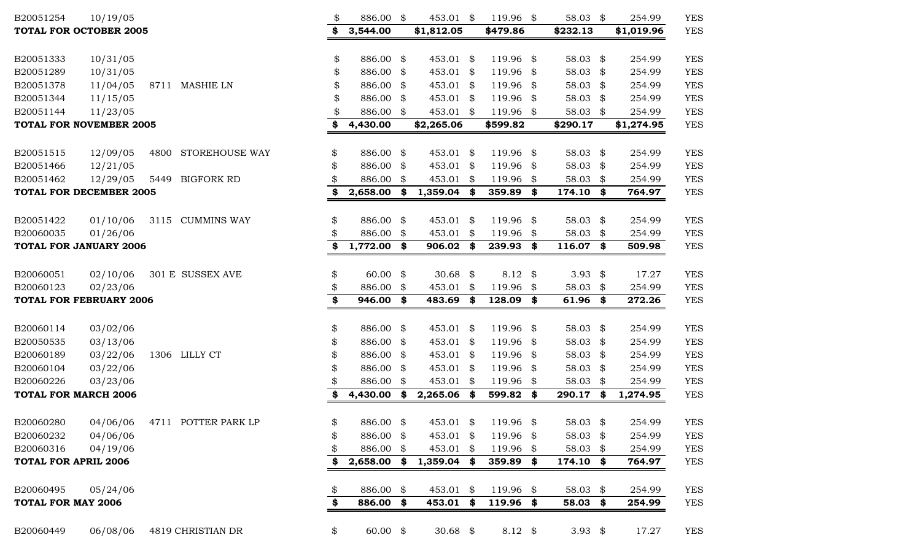| B20051254                      | 10/19/05 |      |                     | \$                   | 886.00 \$     | 453.01 \$      |      | 119.96 \$           | 58.03     | \$   | 254.99     | <b>YES</b> |
|--------------------------------|----------|------|---------------------|----------------------|---------------|----------------|------|---------------------|-----------|------|------------|------------|
| <b>TOTAL FOR OCTOBER 2005</b>  |          |      |                     |                      | 3,544.00      | \$1,812.05     |      | \$479.86            | \$232.13  |      | \$1,019.96 | <b>YES</b> |
|                                |          |      |                     |                      |               |                |      |                     |           |      |            |            |
| B20051333                      | 10/31/05 |      |                     | \$                   | 886.00 \$     | 453.01 \$      |      | 119.96 \$           | 58.03 \$  |      | 254.99     | <b>YES</b> |
| B20051289                      | 10/31/05 |      |                     | \$                   | 886.00 \$     | 453.01 \$      |      | 119.96 \$           | 58.03     | \$   | 254.99     | <b>YES</b> |
| B20051378                      | 11/04/05 |      | 8711 MASHIE LN      | \$                   | 886.00 \$     | 453.01 \$      |      | 119.96 \$           | 58.03     | \$   | 254.99     | <b>YES</b> |
| B20051344                      | 11/15/05 |      |                     |                      | 886.00 \$     | 453.01         | - \$ | 119.96 \$           | 58.03     | \$   | 254.99     | <b>YES</b> |
| B20051144                      | 11/23/05 |      |                     |                      | 886.00 \$     | 453.01 \$      |      | 119.96 \$           | 58.03 \$  |      | 254.99     | <b>YES</b> |
| <b>TOTAL FOR NOVEMBER 2005</b> |          |      |                     | \$                   | 4,430.00      | \$2,265.06     |      | \$599.82            | \$290.17  |      | \$1,274.95 | <b>YES</b> |
|                                |          |      |                     |                      |               |                |      |                     |           |      |            |            |
| B20051515                      | 12/09/05 | 4800 | STOREHOUSE WAY      | \$                   | 886.00 \$     | 453.01 \$      |      | 119.96 \$           | 58.03 \$  |      | 254.99     | <b>YES</b> |
| B20051466                      | 12/21/05 |      |                     | \$                   | 886.00 \$     | $453.01$ \$    |      | 119.96 \$           | 58.03 \$  |      | 254.99     | <b>YES</b> |
| B20051462                      | 12/29/05 | 5449 | <b>BIGFORK RD</b>   |                      | 886.00 \$     | 453.01         | \$   | 119.96 \$           | 58.03     | \$   | 254.99     | <b>YES</b> |
| <b>TOTAL FOR DECEMBER 2005</b> |          |      |                     | \$                   | 2,658.00      | \$<br>1,359.04 | - \$ | 359.89 \$           | 174.10    | \$   | 764.97     | <b>YES</b> |
|                                |          |      |                     |                      |               |                |      |                     |           |      |            |            |
| B20051422                      | 01/10/06 |      | 3115 CUMMINS WAY    | \$                   | 886.00 \$     | 453.01 \$      |      | 119.96 \$           | 58.03 \$  |      | 254.99     | <b>YES</b> |
| B20060035                      | 01/26/06 |      |                     | \$                   | 886.00 \$     | 453.01         | \$   | 119.96 \$           | 58.03     | \$   | 254.99     | <b>YES</b> |
| <b>TOTAL FOR JANUARY 2006</b>  |          |      |                     | \$                   | $1,772.00$ \$ | 906.02         | \$   | 239.93 \$           | 116.07    | \$   | 509.98     | <b>YES</b> |
|                                |          |      |                     |                      |               |                |      |                     |           |      |            |            |
| B20060051                      | 02/10/06 |      | 301 E SUSSEX AVE    | \$                   | $60.00$ \$    | 30.68 $$$      |      | $8.12 \text{ } $$   | 3.93 $$$  |      | 17.27      | <b>YES</b> |
| B20060123                      | 02/23/06 |      |                     | \$                   | 886.00 \$     | 453.01         | \$   | 119.96 \$           | 58.03     | \$   | 254.99     | <b>YES</b> |
| <b>TOTAL FOR FEBRUARY 2006</b> |          |      |                     | \$                   | 946.00 \$     | 483.69         | -\$  | 128.09 \$           | 61.96     | \$   | 272.26     | <b>YES</b> |
|                                |          |      |                     |                      |               |                |      |                     |           |      |            |            |
| B20060114                      | 03/02/06 |      |                     | \$                   | 886.00 \$     | 453.01 \$      |      | 119.96 \$           | 58.03 \$  |      | 254.99     | <b>YES</b> |
| B20050535                      | 03/13/06 |      |                     | \$                   | 886.00 \$     | 453.01 \$      |      | 119.96 \$           | 58.03 \$  |      | 254.99     | <b>YES</b> |
| B20060189                      | 03/22/06 |      | 1306 LILLY CT       | \$                   | 886.00 \$     | 453.01 \$      |      | 119.96 \$           | 58.03     | - \$ | 254.99     | <b>YES</b> |
| B20060104                      | 03/22/06 |      |                     | \$                   | 886.00 \$     | $453.01$ \$    |      | 119.96 \$           | 58.03     | - \$ | 254.99     | <b>YES</b> |
| B20060226                      | 03/23/06 |      |                     |                      | 886.00 \$     | 453.01 \$      |      | 119.96 \$           | 58.03     | \$   | 254.99     | <b>YES</b> |
| <b>TOTAL FOR MARCH 2006</b>    |          |      |                     | \$                   | 4,430.00 \$   | 2,265.06       | \$   | 599.82 \$           | 290.17    | \$   | 1,274.95   | <b>YES</b> |
|                                |          |      |                     |                      |               |                |      |                     |           |      |            |            |
| B20060280                      | 04/06/06 |      | 4711 POTTER PARK LP | \$                   | 886.00 \$     |                |      | 453.01 \$ 119.96 \$ | 58.03 \$  |      | 254.99     | <b>YES</b> |
| B20060232                      | 04/06/06 |      |                     | \$                   | 886.00 \$     | $453.01$ \$    |      | 119.96 \$           | 58.03 $$$ |      | 254.99     | <b>YES</b> |
| B20060316                      | 04/19/06 |      |                     |                      | 886.00 \$     | 453.01 \$      |      | 119.96 \$           | 58.03 \$  |      | 254.99     | <b>YES</b> |
| <b>TOTAL FOR APRIL 2006</b>    |          |      |                     |                      | $2,658.00$ \$ | $1,359.04$ \$  |      | 359.89 \$           | 174.10 \$ |      | 764.97     | <b>YES</b> |
| B20060495                      | 05/24/06 |      |                     | \$                   | 886.00 \$     | $453.01$ \$    |      | 119.96 \$           | 58.03 \$  |      | 254.99     | <b>YES</b> |
| <b>TOTAL FOR MAY 2006</b>      |          |      |                     | $\overline{\bullet}$ | 886.00 \$     | 453.01         | \$   | 119.96 \$           | 58.03 \$  |      | 254.99     | <b>YES</b> |
|                                |          |      |                     |                      |               |                |      |                     |           |      |            |            |
| B20060449                      | 06/08/06 |      | 4819 CHRISTIAN DR   | \$                   | $60.00$ \$    | 30.68 $$$      |      | 8.12 $$$            | 3.93 $$$  |      | 17.27      | <b>YES</b> |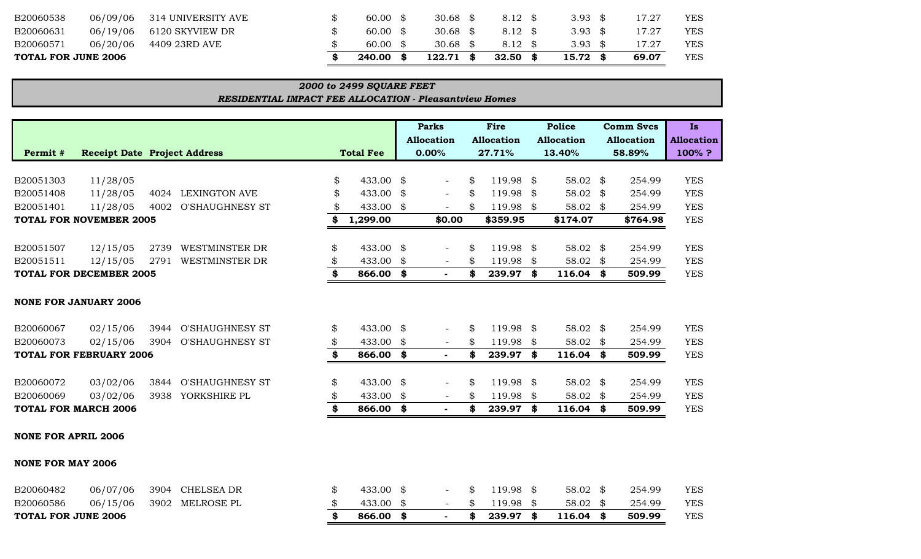| YES<br>69.07        |
|---------------------|
| YES<br>17.27        |
| YES<br>17.27        |
| <b>YES</b><br>17.27 |
|                     |

| <b>2000 to 2499 SQUARE FEET</b>                               |  |
|---------------------------------------------------------------|--|
| <b>RESIDENTIAL IMPACT FEE ALLOCATION - Pleasantview Homes</b> |  |

|                            |                                     |      |                        |                  |           | <b>Parks</b><br><b>Allocation</b> | Fire<br><b>Allocation</b> |           |    | <b>Police</b><br><b>Allocation</b> | <b>Comm Svcs</b><br><b>Allocation</b> | <b>Is</b><br><b>Allocation</b> |
|----------------------------|-------------------------------------|------|------------------------|------------------|-----------|-----------------------------------|---------------------------|-----------|----|------------------------------------|---------------------------------------|--------------------------------|
| Permit #                   | <b>Receipt Date Project Address</b> |      |                        | <b>Total Fee</b> |           | 0.00%                             |                           | 27.71%    |    | 13.40%                             | 58.89%                                | 100%?                          |
|                            |                                     |      |                        |                  |           |                                   |                           |           |    |                                    |                                       |                                |
| B20051303                  | 11/28/05                            |      |                        | \$               | 433.00    | \$<br>$\overline{\phantom{0}}$    | \$                        | 119.98    | \$ | 58.02 \$                           | 254.99                                | <b>YES</b>                     |
| B20051408                  | 11/28/05                            | 4024 | <b>LEXINGTON AVE</b>   | \$               | 433.00    | \$<br>$\overline{\phantom{a}}$    | \$                        | 119.98    | \$ | 58.02 \$                           | 254.99                                | <b>YES</b>                     |
| B20051401                  | 11/28/05                            | 4002 | <b>O'SHAUGHNESY ST</b> | \$               | 433.00 \$ |                                   | \$                        | 119.98 \$ |    | 58.02 \$                           | 254.99                                | <b>YES</b>                     |
|                            | <b>TOTAL FOR NOVEMBER 2005</b>      |      |                        | \$               | 1,299.00  | \$0.00                            |                           | \$359.95  |    | \$174.07                           | \$764.98                              | <b>YES</b>                     |
|                            |                                     |      |                        |                  |           |                                   |                           |           |    |                                    |                                       |                                |
| B20051507                  | 12/15/05                            | 2739 | <b>WESTMINSTER DR</b>  | \$               | 433.00    | \$                                | \$                        | 119.98    | \$ | 58.02 \$                           | 254.99                                | <b>YES</b>                     |
| B20051511                  | 12/15/05                            | 2791 | WESTMINSTER DR         | \$               | 433.00    | \$<br>$-$                         | \$                        | 119.98    | \$ | 58.02 $$$                          | 254.99                                | <b>YES</b>                     |
|                            | <b>TOTAL FOR DECEMBER 2005</b>      |      |                        | \$               | 866.00    | \$                                | \$                        | 239.97    | \$ | $116.04$ \$                        | 509.99                                | <b>YES</b>                     |
|                            | <b>NONE FOR JANUARY 2006</b>        |      |                        |                  |           |                                   |                           |           |    |                                    |                                       |                                |
| B20060067                  | 02/15/06                            |      | 3944 O'SHAUGHNESY ST   | \$               | 433.00    | \$                                | \$                        | 119.98    | \$ | 58.02 \$                           | 254.99                                | <b>YES</b>                     |
| B20060073                  | 02/15/06                            | 3904 | <b>O'SHAUGHNESY ST</b> | \$               | 433.00    | \$<br>$\overline{\phantom{a}}$    | \$                        | 119.98    | \$ | 58.02 \$                           | 254.99                                | <b>YES</b>                     |
|                            | <b>TOTAL FOR FEBRUARY 2006</b>      |      |                        | \$               | 866.00    | \$<br>$\sim$                      | \$                        | 239.97    | \$ | $116.04$ \$                        | 509.99                                | <b>YES</b>                     |
|                            |                                     |      |                        |                  |           |                                   |                           |           |    |                                    |                                       |                                |
| B20060072                  | 03/02/06                            |      | 3844 O'SHAUGHNESY ST   | \$               | 433.00    | \$                                | \$                        | 119.98 \$ |    | 58.02 \$                           | 254.99                                | <b>YES</b>                     |
| B20060069                  | 03/02/06                            | 3938 | YORKSHIRE PL           | \$               | 433.00    | \$<br>$\overline{\phantom{a}}$    | \$                        | 119.98    | \$ | 58.02 \$                           | 254.99                                | <b>YES</b>                     |
|                            | <b>TOTAL FOR MARCH 2006</b>         |      |                        | \$               | 866.00    | \$<br>$\sim$                      | \$                        | 239.97    | \$ | $116.04$ \$                        | 509.99                                | <b>YES</b>                     |
| <b>NONE FOR APRIL 2006</b> |                                     |      |                        |                  |           |                                   |                           |           |    |                                    |                                       |                                |
| <b>NONE FOR MAY 2006</b>   |                                     |      |                        |                  |           |                                   |                           |           |    |                                    |                                       |                                |

| <b>TOTAL FOR JUNE 2006</b> |          |                          |  | 866.00    |  | 239.97 \$        | 116.04   | 509.99 | YES        |
|----------------------------|----------|--------------------------|--|-----------|--|------------------|----------|--------|------------|
| B20060586                  |          | 06/15/06 3902 MELROSE PL |  | 433.00 \$ |  | $-$ \$ 119.98 \$ | 58.02 \$ | 254.99 | YES        |
| B20060482                  | 06/07/06 | 3904 CHELSEA DR          |  | 433.00 \$ |  | $$119.98$ \$     | 58.02 \$ | 254.99 | <b>YES</b> |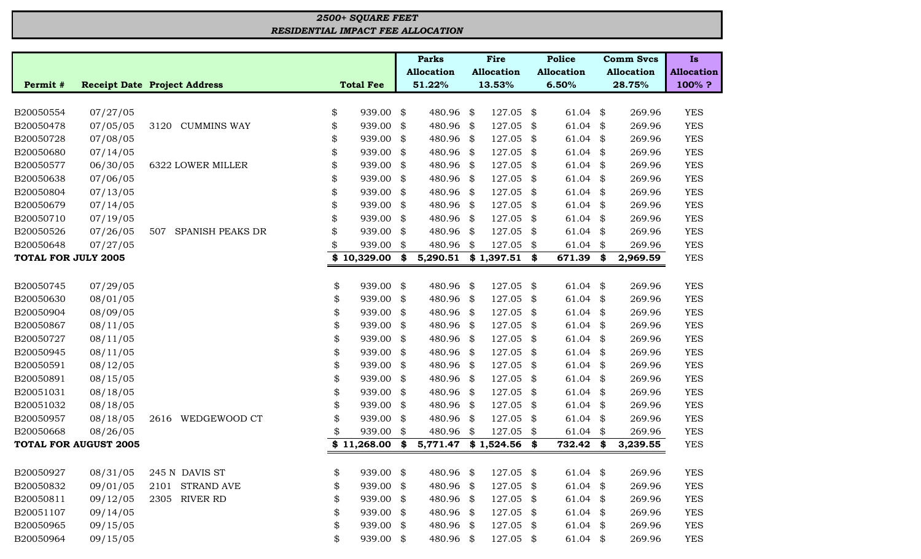## *RESIDENTIAL IMPACT FEE ALLOCATION 2500+ SQUARE FEET*

|                            |                              |                                     |                  |      | <b>Parks</b>      | <b>Fire</b>       | <b>Police</b>     | <b>Comm Svcs</b>  | <b>Is</b>         |
|----------------------------|------------------------------|-------------------------------------|------------------|------|-------------------|-------------------|-------------------|-------------------|-------------------|
|                            |                              |                                     |                  |      | <b>Allocation</b> | <b>Allocation</b> | <b>Allocation</b> | <b>Allocation</b> | <b>Allocation</b> |
| Permit #                   |                              | <b>Receipt Date Project Address</b> | <b>Total Fee</b> |      | 51.22%            | 13.53%            | 6.50%             | 28.75%            | 100%?             |
|                            |                              |                                     |                  |      |                   |                   |                   |                   |                   |
| B20050554                  | 07/27/05                     |                                     | \$<br>939.00     | \$   | 480.96 \$         | 127.05            | \$<br>$61.04$ \$  | 269.96            | <b>YES</b>        |
| B20050478                  | 07/05/05                     | <b>CUMMINS WAY</b><br>3120          | \$<br>939.00     | \$   | 480.96 \$         | 127.05            | \$<br>$61.04$ \$  | 269.96            | <b>YES</b>        |
| B20050728                  | 07/08/05                     |                                     | \$<br>939.00     | \$   | 480.96 \$         | 127.05            | \$<br>$61.04$ \$  | 269.96            | <b>YES</b>        |
| B20050680                  | 07/14/05                     |                                     | \$<br>939.00     | \$   | 480.96 \$         | 127.05            | \$<br>$61.04$ \$  | 269.96            | <b>YES</b>        |
| B20050577                  | 06/30/05                     | 6322 LOWER MILLER                   | \$<br>939.00     | \$   | 480.96 \$         | 127.05            | \$<br>$61.04$ \$  | 269.96            | <b>YES</b>        |
| B20050638                  | 07/06/05                     |                                     | \$<br>939.00     | \$   | 480.96 \$         | 127.05            | \$<br>61.04       | \$<br>269.96      | <b>YES</b>        |
| B20050804                  | 07/13/05                     |                                     | \$<br>939.00     | \$   | 480.96 \$         | 127.05            | \$<br>61.04       | \$<br>269.96      | <b>YES</b>        |
| B20050679                  | 07/14/05                     |                                     | \$<br>939.00     | \$   | 480.96 \$         | 127.05            | \$<br>$61.04$ \$  | 269.96            | <b>YES</b>        |
| B20050710                  | 07/19/05                     |                                     | \$<br>939.00     | \$   | 480.96 \$         | 127.05            | \$<br>$61.04$ \$  | 269.96            | <b>YES</b>        |
| B20050526                  | 07/26/05                     | SPANISH PEAKS DR<br>507             | \$<br>939.00     | \$   | 480.96 \$         | 127.05            | \$<br>$61.04$ \$  | 269.96            | <b>YES</b>        |
| B20050648                  | 07/27/05                     |                                     | 939.00           | \$   | 480.96            | \$<br>127.05      | \$<br>$61.04$ \$  | 269.96            | <b>YES</b>        |
| <b>TOTAL FOR JULY 2005</b> |                              |                                     | \$10,329.00      | \$   | 5,290.51          | \$1,397.51        | \$<br>671.39      | \$<br>2,969.59    | <b>YES</b>        |
|                            |                              |                                     |                  |      |                   |                   |                   |                   |                   |
| B20050745                  | 07/29/05                     |                                     | \$<br>939.00     | \$   | 480.96            | \$<br>127.05      | \$<br>61.04       | \$<br>269.96      | <b>YES</b>        |
| B20050630                  | 08/01/05                     |                                     | \$<br>939.00     | \$   | 480.96 \$         | 127.05            | \$<br>61.04       | \$<br>269.96      | <b>YES</b>        |
| B20050904                  | 08/09/05                     |                                     | \$<br>939.00     | \$   | 480.96 \$         | 127.05            | \$<br>61.04       | \$<br>269.96      | <b>YES</b>        |
| B20050867                  | 08/11/05                     |                                     | \$<br>939.00     | \$   | 480.96 \$         | 127.05            | \$<br>$61.04$ \$  | 269.96            | <b>YES</b>        |
| B20050727                  | 08/11/05                     |                                     | \$<br>939.00     | \$   | 480.96 \$         | 127.05            | \$<br>$61.04$ \$  | 269.96            | <b>YES</b>        |
| B20050945                  | 08/11/05                     |                                     | \$<br>939.00     | \$   | 480.96 \$         | 127.05            | \$<br>$61.04$ \$  | 269.96            | <b>YES</b>        |
| B20050591                  | 08/12/05                     |                                     | \$<br>939.00     | \$   | 480.96 \$         | 127.05            | \$<br>$61.04$ \$  | 269.96            | <b>YES</b>        |
| B20050891                  | 08/15/05                     |                                     | \$<br>939.00     | \$   | 480.96 \$         | 127.05            | \$<br>61.04       | \$<br>269.96      | <b>YES</b>        |
| B20051031                  | 08/18/05                     |                                     | \$<br>939.00     | \$   | 480.96 \$         | 127.05            | \$<br>61.04       | \$<br>269.96      | <b>YES</b>        |
| B20051032                  | 08/18/05                     |                                     | \$<br>939.00     | \$   | 480.96 \$         | 127.05            | \$<br>$61.04$ \$  | 269.96            | <b>YES</b>        |
| B20050957                  | 08/18/05                     | WEDGEWOOD CT<br>2616                | \$<br>939.00     | \$   | 480.96 \$         | 127.05            | \$<br>$61.04$ \$  | 269.96            | <b>YES</b>        |
| B20050668                  | 08/26/05                     |                                     | 939.00           | \$   | 480.96 \$         | 127.05            | \$<br>$61.04$ \$  | 269.96            | <b>YES</b>        |
|                            | <b>TOTAL FOR AUGUST 2005</b> |                                     | \$<br>11,268.00  | \$   | 5,771.47          | \$1,524.56        | \$<br>732.42      | \$<br>3,239.55    | <b>YES</b>        |
|                            |                              |                                     |                  |      |                   |                   |                   |                   |                   |
| B20050927                  | 08/31/05                     | 245 N DAVIS ST                      | \$<br>939.00 \$  |      | 480.96 \$         | 127.05 \$         | $61.04$ \$        | 269.96            | <b>YES</b>        |
| B20050832                  | 09/01/05                     | 2101 STRAND AVE                     | \$<br>939.00     | \$   | 480.96 \$         | 127.05            | \$<br>$61.04$ \$  | 269.96            | <b>YES</b>        |
| B20050811                  | 09/12/05                     | 2305 RIVER RD                       | \$<br>939.00     | \$   | 480.96 \$         | 127.05            | \$<br>$61.04$ \$  | 269.96            | <b>YES</b>        |
| B20051107                  | 09/14/05                     |                                     | \$<br>939.00     | - \$ | 480.96 \$         | 127.05            | \$<br>$61.04$ \$  | 269.96            | <b>YES</b>        |
| B20050965                  | 09/15/05                     |                                     | \$<br>939.00     | \$   | 480.96 \$         | 127.05 \$         | $61.04$ \$        | 269.96            | <b>YES</b>        |
| B20050964                  | 09/15/05                     |                                     | \$<br>939.00     | \$   | 480.96 \$         | 127.05 \$         | $61.04$ \$        | 269.96            | <b>YES</b>        |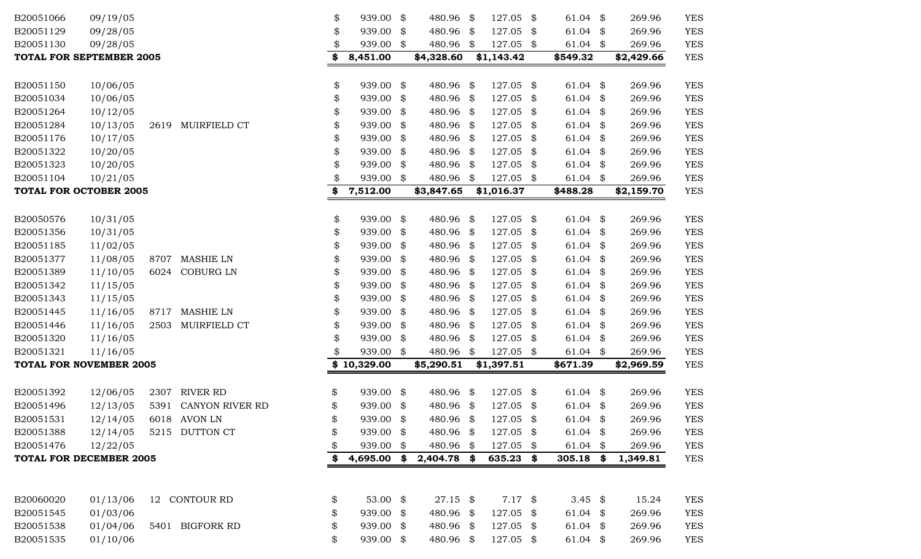| B20051066 | 09/19/05                        |      |                        | \$<br>939.00    | \$  | 480.96      | \$   | 127.05     | \$<br>61.04        | \$  | 269.96     | <b>YES</b> |
|-----------|---------------------------------|------|------------------------|-----------------|-----|-------------|------|------------|--------------------|-----|------------|------------|
| B20051129 | 09/28/05                        |      |                        | \$<br>939.00    | \$  | 480.96 \$   |      | 127.05     | \$<br>61.04 $$$    |     | 269.96     | <b>YES</b> |
| B20051130 | 09/28/05                        |      |                        | \$<br>939.00    | \$  | 480.96 \$   |      | 127.05 \$  | $61.04$ \$         |     | 269.96     | <b>YES</b> |
|           | <b>TOTAL FOR SEPTEMBER 2005</b> |      |                        | \$<br>8,451.00  |     | \$4,328.60  |      | \$1,143.42 | \$549.32           |     | \$2,429.66 | <b>YES</b> |
|           |                                 |      |                        |                 |     |             |      |            |                    |     |            |            |
| B20051150 | 10/06/05                        |      |                        | \$<br>939.00    | \$  | 480.96 \$   |      | 127.05     | \$<br>61.04 $$$    |     | 269.96     | <b>YES</b> |
| B20051034 | 10/06/05                        |      |                        | \$<br>939.00    | \$  | 480.96 \$   |      | 127.05     | \$<br>$61.04$ \$   |     | 269.96     | <b>YES</b> |
| B20051264 | 10/12/05                        |      |                        | \$<br>939.00    | \$  | 480.96 \$   |      | 127.05     | \$<br>61.04        | \$  | 269.96     | <b>YES</b> |
| B20051284 | 10/13/05                        | 2619 | MUIRFIELD CT           | \$<br>939.00    | \$  | 480.96 \$   |      | 127.05     | \$<br>$61.04$ \$   |     | 269.96     | <b>YES</b> |
| B20051176 | 10/17/05                        |      |                        | \$<br>939.00    | \$  | 480.96 \$   |      | 127.05     | \$<br>$61.04$ \$   |     | 269.96     | <b>YES</b> |
| B20051322 | 10/20/05                        |      |                        | \$<br>939.00    | \$  | 480.96 \$   |      | 127.05     | \$<br>$61.04$ \$   |     | 269.96     | <b>YES</b> |
| B20051323 | 10/20/05                        |      |                        | \$<br>939.00    | \$  | 480.96      | - \$ | 127.05     | \$<br>61.04 $$$    |     | 269.96     | <b>YES</b> |
| B20051104 | 10/21/05                        |      |                        | \$<br>939.00 \$ |     | 480.96      | \$   | 127.05 \$  | 61.04 $$$          |     | 269.96     | <b>YES</b> |
|           | <b>TOTAL FOR OCTOBER 2005</b>   |      |                        | \$<br>7,512.00  |     | \$3,847.65  |      | \$1,016.37 | \$488.28           |     | \$2,159.70 | <b>YES</b> |
|           |                                 |      |                        |                 |     |             |      |            |                    |     |            |            |
| B20050576 | 10/31/05                        |      |                        | \$<br>939.00 \$ |     | 480.96 \$   |      | 127.05     | \$<br>61.04 $$$    |     | 269.96     | <b>YES</b> |
| B20051356 | 10/31/05                        |      |                        | \$<br>939.00    | \$  | 480.96 \$   |      | 127.05     | \$<br>61.04        | -\$ | 269.96     | <b>YES</b> |
| B20051185 | 11/02/05                        |      |                        | \$<br>939.00    | \$  | 480.96 \$   |      | 127.05     | \$<br>$61.04$ \$   |     | 269.96     | <b>YES</b> |
| B20051377 | 11/08/05                        | 8707 | <b>MASHIE LN</b>       | \$<br>939.00    | \$  | 480.96 \$   |      | 127.05     | \$<br>$61.04$ \$   |     | 269.96     | <b>YES</b> |
| B20051389 | 11/10/05                        | 6024 | <b>COBURG LN</b>       | \$<br>939.00    | \$  | 480.96 \$   |      | 127.05     | \$<br>$61.04$ \$   |     | 269.96     | <b>YES</b> |
| B20051342 | 11/15/05                        |      |                        | \$<br>939.00    | \$  | 480.96      | -\$  | 127.05     | \$<br>$61.04$ \$   |     | 269.96     | <b>YES</b> |
| B20051343 | 11/15/05                        |      |                        | \$<br>939.00    | \$  | 480.96 \$   |      | 127.05     | \$<br>61.04        | \$  | 269.96     | <b>YES</b> |
| B20051445 | 11/16/05                        | 8717 | <b>MASHIE LN</b>       | \$<br>939.00    | \$  | 480.96 \$   |      | 127.05     | \$<br>61.04        | \$  | 269.96     | <b>YES</b> |
| B20051446 | 11/16/05                        | 2503 | MUIRFIELD CT           | \$<br>939.00    | \$  | 480.96 \$   |      | 127.05     | \$<br>$61.04$ \$   |     | 269.96     | <b>YES</b> |
| B20051320 | 11/16/05                        |      |                        | \$<br>939.00    | \$  | 480.96 \$   |      | 127.05     | \$<br>$61.04$ \$   |     | 269.96     | <b>YES</b> |
| B20051321 | 11/16/05                        |      |                        | \$<br>939.00 \$ |     | 480.96 \$   |      | 127.05 \$  | $61.04$ \$         |     | 269.96     | <b>YES</b> |
|           | <b>TOTAL FOR NOVEMBER 2005</b>  |      |                        | \$10,329.00     |     | \$5,290.51  |      | \$1,397.51 | \$671.39           |     | \$2,969.59 | <b>YES</b> |
| B20051392 | 12/06/05                        | 2307 | <b>RIVER RD</b>        | \$<br>939.00 \$ |     | 480.96 \$   |      | 127.05     | \$<br>$61.04$ \$   |     | 269.96     | <b>YES</b> |
| B20051496 | 12/13/05                        | 5391 | <b>CANYON RIVER RD</b> | \$<br>939.00    | \$  | 480.96      | -\$  | 127.05     | \$<br>61.04 $$$    |     | 269.96     | <b>YES</b> |
| B20051531 | 12/14/05                        |      | 6018 AVON LN           | \$<br>939.00    | \$  | 480.96      | \$   | 127.05     | \$<br>61.04        | \$  | 269.96     | <b>YES</b> |
| B20051388 | 12/14/05                        |      | 5215 DUTTON CT         | \$<br>939.00 \$ |     | 480.96 \$   |      | 127.05 \$  | $61.04$ \$         |     | 269.96     | <b>YES</b> |
| B20051476 | 12/22/05                        |      |                        | \$<br>939.00    | \$  | 480.96 \$   |      | 127.05     | \$<br>61.04 $$$    |     | 269.96     | <b>YES</b> |
|           | <b>TOTAL FOR DECEMBER 2005</b>  |      |                        | \$<br>4,695.00  | \$  | 2,404.78 \$ |      | 635.23     | \$<br>305.18 \$    |     | 1,349.81   | <b>YES</b> |
|           |                                 |      |                        |                 |     |             |      |            |                    |     |            |            |
|           |                                 |      |                        |                 |     |             |      |            |                    |     |            |            |
| B20060020 | 01/13/06                        |      | 12 CONTOUR RD          | \$<br>53.00 $$$ |     | 27.15 \$    |      | $7.17$ \$  | 3.45 $\frac{1}{2}$ |     | 15.24      | <b>YES</b> |
| B20051545 | 01/03/06                        |      |                        | \$<br>939.00    | -\$ | 480.96 \$   |      | 127.05     | \$<br>61.04 $$$    |     | 269.96     | <b>YES</b> |
| B20051538 | 01/04/06                        |      | 5401 BIGFORK RD        | \$<br>939.00 \$ |     | 480.96 \$   |      | 127.05 \$  | 61.04 $$$          |     | 269.96     | <b>YES</b> |
| B20051535 | 01/10/06                        |      |                        | \$<br>939.00 \$ |     | 480.96 \$   |      | 127.05 \$  | 61.04 \$           |     | 269.96     | <b>YES</b> |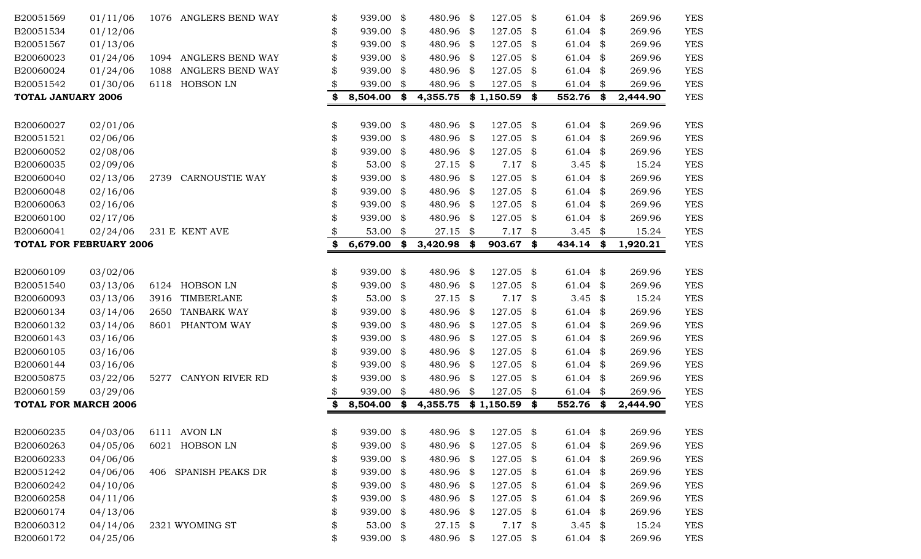| B20051569                      | 01/11/06 |      | 1076 ANGLERS BEND WAY  | \$<br>939.00 \$   | 480.96         | \$   | 127.05         | \$   | 61.04               | \$  | 269.96   | <b>YES</b> |
|--------------------------------|----------|------|------------------------|-------------------|----------------|------|----------------|------|---------------------|-----|----------|------------|
| B20051534                      | 01/12/06 |      |                        | \$<br>939.00 \$   | 480.96 \$      |      | 127.05 \$      |      | 61.04 $$$           |     | 269.96   | <b>YES</b> |
| B20051567                      | 01/13/06 |      |                        | \$<br>939.00 \$   | 480.96         | - \$ | 127.05 \$      |      | 61.04 $$$           |     | 269.96   | <b>YES</b> |
| B20060023                      | 01/24/06 | 1094 | ANGLERS BEND WAY       | \$<br>939.00 \$   | 480.96         | \$   | 127.05         | - \$ | 61.04               | \$  | 269.96   | <b>YES</b> |
| B20060024                      | 01/24/06 |      | 1088 ANGLERS BEND WAY  | \$<br>939.00 \$   | 480.96         | \$   | 127.05 \$      |      | 61.04               | \$  | 269.96   | <b>YES</b> |
| B20051542                      | 01/30/06 |      | 6118 HOBSON LN         | 939.00 \$         | 480.96         | \$   | 127.05 \$      |      | 61.04               | \$  | 269.96   | <b>YES</b> |
| <b>TOTAL JANUARY 2006</b>      |          |      |                        | \$<br>8,504.00 \$ | 4,355.75       |      | $$1,150.59$ \$ |      | 552.76 \$           |     | 2,444.90 | <b>YES</b> |
|                                |          |      |                        |                   |                |      |                |      |                     |     |          |            |
| B20060027                      | 02/01/06 |      |                        | \$<br>939.00 \$   | 480.96 \$      |      | 127.05 \$      |      | 61.04 $$$           |     | 269.96   | <b>YES</b> |
| B20051521                      | 02/06/06 |      |                        | \$<br>939.00 \$   | 480.96 \$      |      | 127.05 \$      |      | 61.04               | \$  | 269.96   | <b>YES</b> |
| B20060052                      | 02/08/06 |      |                        | \$<br>939.00 \$   | 480.96 \$      |      | 127.05 \$      |      | 61.04 $$$           |     | 269.96   | <b>YES</b> |
| B20060035                      | 02/09/06 |      |                        | \$<br>53.00 $$$   | 27.15          | - \$ | $7.17$ \$      |      | 3.45 $$$            |     | 15.24    | <b>YES</b> |
| B20060040                      | 02/13/06 | 2739 | <b>CARNOUSTIE WAY</b>  | \$<br>939.00 \$   | 480.96         | \$   | 127.05 \$      |      | 61.04               | \$  | 269.96   | <b>YES</b> |
| B20060048                      | 02/16/06 |      |                        | \$<br>939.00 \$   | 480.96         | \$   | 127.05 \$      |      | 61.04               | \$  | 269.96   | <b>YES</b> |
| B20060063                      | 02/16/06 |      |                        | \$<br>939.00 \$   | 480.96         | \$   | 127.05 \$      |      | 61.04               | \$  | 269.96   | <b>YES</b> |
| B20060100                      | 02/17/06 |      |                        | \$<br>939.00 \$   | 480.96         | \$   | 127.05 \$      |      | 61.04               | \$  | 269.96   | <b>YES</b> |
| B20060041                      | 02/24/06 |      | 231 E KENT AVE         | \$<br>53.00 \$    | 27.15          | \$   | $7.17$ \$      |      | 3.45 $$$            |     | 15.24    | <b>YES</b> |
| <b>TOTAL FOR FEBRUARY 2006</b> |          |      |                        | \$<br>6,679.00    | \$<br>3,420.98 | \$   | 903.67 \$      |      | 434.14              | \$  | 1,920.21 | <b>YES</b> |
|                                |          |      |                        |                   |                |      |                |      |                     |     |          |            |
| B20060109                      | 03/02/06 |      |                        | \$<br>939.00 \$   | 480.96 \$      |      | 127.05 \$      |      | 61.04 $$$           |     | 269.96   | <b>YES</b> |
| B20051540                      | 03/13/06 |      | 6124 HOBSON LN         | \$<br>939.00 \$   | 480.96         | - \$ | 127.05 \$      |      | 61.04 $$$           |     | 269.96   | <b>YES</b> |
| B20060093                      | 03/13/06 | 3916 | TIMBERLANE             | \$<br>53.00 $$$   | 27.15          | \$   | $7.17$ \$      |      | 3.45 $$$            |     | 15.24    | <b>YES</b> |
| B20060134                      | 03/14/06 | 2650 | <b>TANBARK WAY</b>     | \$<br>939.00 \$   | 480.96         | \$   | 127.05 \$      |      | 61.04               | \$  | 269.96   | <b>YES</b> |
| B20060132                      | 03/14/06 |      | 8601 PHANTOM WAY       | \$<br>939.00 \$   | 480.96         | \$   | 127.05 \$      |      | 61.04               | \$  | 269.96   | <b>YES</b> |
| B20060143                      | 03/16/06 |      |                        | \$<br>939.00 \$   | 480.96         | \$   | 127.05 \$      |      | 61.04               | -\$ | 269.96   | <b>YES</b> |
| B20060105                      | 03/16/06 |      |                        | \$<br>939.00 \$   | 480.96         | \$   | 127.05 \$      |      | 61.04 $$$           |     | 269.96   | <b>YES</b> |
| B20060144                      | 03/16/06 |      |                        | \$<br>939.00 \$   | 480.96         | \$   | 127.05 \$      |      | 61.04 $$$           |     | 269.96   | <b>YES</b> |
| B20050875                      | 03/22/06 | 5277 | <b>CANYON RIVER RD</b> | 939.00 \$         | 480.96         | \$   | 127.05 \$      |      | 61.04 $$$           |     | 269.96   | <b>YES</b> |
| B20060159                      | 03/29/06 |      |                        | \$<br>939.00 \$   | 480.96         | \$   | 127.05 \$      |      | 61.04 $\frac{1}{2}$ |     | 269.96   | <b>YES</b> |
| <b>TOTAL FOR MARCH 2006</b>    |          |      |                        | \$<br>8,504.00    | \$<br>4,355.75 |      | $$1,150.59$ \$ |      | 552.76              | \$  | 2,444.90 | <b>YES</b> |
|                                |          |      |                        |                   |                |      |                |      |                     |     |          |            |
| B20060235                      | 04/03/06 |      | 6111 AVON LN           | \$<br>939.00 \$   | 480.96 \$      |      | 127.05 \$      |      | 61.04 $\frac{1}{2}$ |     | 269.96   | <b>YES</b> |
| B20060263                      | 04/05/06 |      | 6021 HOBSON LN         | \$<br>939.00 \$   | 480.96         | \$   | 127.05 \$      |      | 61.04               | \$  | 269.96   | <b>YES</b> |
| B20060233                      | 04/06/06 |      |                        | \$<br>939.00 \$   | 480.96         | \$   | 127.05 \$      |      | $61.04$ \$          |     | 269.96   | <b>YES</b> |
| B20051242                      | 04/06/06 |      | 406 SPANISH PEAKS DR   | \$<br>939.00 \$   | 480.96         | - \$ | 127.05 \$      |      | 61.04 $$$           |     | 269.96   | <b>YES</b> |
| B20060242                      | 04/10/06 |      |                        | \$<br>939.00 \$   | 480.96         | - \$ | 127.05 \$      |      | $61.04$ \$          |     | 269.96   | <b>YES</b> |
| B20060258                      | 04/11/06 |      |                        | \$<br>939.00 \$   | 480.96         | \$   | 127.05 \$      |      | $61.04$ \$          |     | 269.96   | <b>YES</b> |
| B20060174                      | 04/13/06 |      |                        | \$<br>939.00 \$   | 480.96         | \$   | 127.05 \$      |      | 61.04               | \$  | 269.96   | <b>YES</b> |
| B20060312                      | 04/14/06 |      | 2321 WYOMING ST        | \$<br>53.00 \$    | 27.15          | \$   | $7.17$ \$      |      | 3.45 $$$            |     | 15.24    | <b>YES</b> |
| B20060172                      | 04/25/06 |      |                        | \$<br>939.00 \$   | 480.96 \$      |      | 127.05 \$      |      | 61.04 $$$           |     | 269.96   | <b>YES</b> |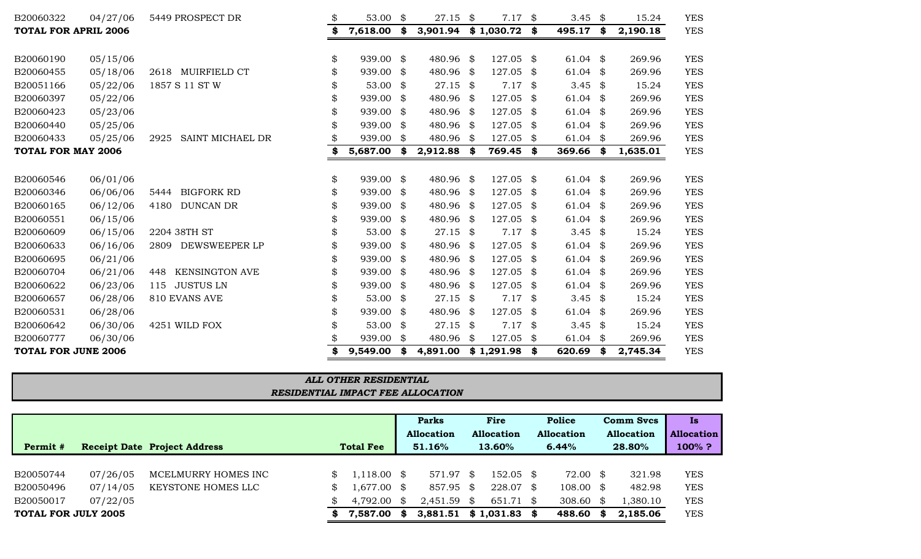| B20060322                   | 04/27/06 | 5449 PROSPECT DR             | \$<br>53.00     | \$<br>27.15               | \$  | 7.17           | \$   | 3.45               | \$   | 15.24    | <b>YES</b> |
|-----------------------------|----------|------------------------------|-----------------|---------------------------|-----|----------------|------|--------------------|------|----------|------------|
| <b>TOTAL FOR APRIL 2006</b> |          |                              | \$<br>7,618.00  | \$<br>3,901.94 \$1,030.72 |     |                | \$   | 495.17 \$          |      | 2,190.18 | <b>YES</b> |
|                             |          |                              |                 |                           |     |                |      |                    |      |          |            |
| B20060190                   | 05/15/06 |                              | \$<br>939.00 \$ | 480.96 \$                 |     | 127.05 \$      |      | $61.04$ \$         |      | 269.96   | <b>YES</b> |
| B20060455                   | 05/18/06 | 2618 MUIRFIELD CT            | \$<br>939.00 \$ | 480.96 \$                 |     | 127.05         | - \$ | 61.04 \$           |      | 269.96   | <b>YES</b> |
| B20051166                   | 05/22/06 | 1857 S 11 ST W               | \$<br>53.00 $$$ | $27.15$ \$                |     | $7.17$ \$      |      | 3.45 $\frac{1}{2}$ |      | 15.24    | <b>YES</b> |
| B20060397                   | 05/22/06 |                              | \$<br>939.00 \$ | 480.96 \$                 |     | 127.05         | \$   | $61.04$ \$         |      | 269.96   | <b>YES</b> |
| B20060423                   | 05/23/06 |                              | \$<br>939.00 \$ | 480.96 \$                 |     | 127.05         | -\$  | $61.04$ \$         |      | 269.96   | <b>YES</b> |
| B20060440                   | 05/25/06 |                              | 939.00 \$       | 480.96 \$                 |     | 127.05         | - \$ | $61.04$ \$         |      | 269.96   | <b>YES</b> |
| B20060433                   | 05/25/06 | SAINT MICHAEL DR<br>2925     | 939.00          | \$<br>480.96 \$           |     | 127.05         | \$   | $61.04$ \$         |      | 269.96   | <b>YES</b> |
| <b>TOTAL FOR MAY 2006</b>   |          |                              | 5,687.00        | \$<br>$2,912.88$ \$       |     | 769.45 \$      |      | $369.66$ \$        |      | 1,635.01 | <b>YES</b> |
|                             |          |                              |                 |                           |     |                |      |                    |      |          |            |
| B20060546                   | 06/01/06 |                              | \$<br>939.00 \$ | 480.96 \$                 |     | 127.05 \$      |      | $61.04$ \$         |      | 269.96   | <b>YES</b> |
| B20060346                   | 06/06/06 | <b>BIGFORK RD</b><br>5444    | \$<br>939.00 \$ | 480.96 \$                 |     | 127.05         | - \$ | 61.04 \$           |      | 269.96   | <b>YES</b> |
| B20060165                   | 06/12/06 | <b>DUNCAN DR</b><br>4180     | \$<br>939.00 \$ | 480.96 \$                 |     | 127.05 \$      |      | $61.04$ \$         |      | 269.96   | <b>YES</b> |
| B20060551                   | 06/15/06 |                              | 939.00 \$       | 480.96 \$                 |     | 127.05 \$      |      | $61.04$ \$         |      | 269.96   | <b>YES</b> |
| B20060609                   | 06/15/06 | 2204 38TH ST                 | 53.00 $$$       | $27.15$ \$                |     | $7.17$ \$      |      | 3.45 $$$           |      | 15.24    | <b>YES</b> |
| B20060633                   | 06/16/06 | 2809 DEWSWEEPER LP           | \$<br>939.00 \$ | 480.96 \$                 |     | 127.05 \$      |      | $61.04$ \$         |      | 269.96   | <b>YES</b> |
| B20060695                   | 06/21/06 |                              | 939.00 \$       | 480.96 \$                 |     | 127.05         | \$   | $61.04$ \$         |      | 269.96   | <b>YES</b> |
| B20060704                   | 06/21/06 | <b>KENSINGTON AVE</b><br>448 | 939.00 \$       | 480.96 \$                 |     | 127.05 \$      |      | $61.04$ \$         |      | 269.96   | <b>YES</b> |
| B20060622                   | 06/23/06 | 115 JUSTUS LN                | \$<br>939.00 \$ | 480.96 \$                 |     | 127.05         | \$   | 61.04 \$           |      | 269.96   | <b>YES</b> |
| B20060657                   | 06/28/06 | 810 EVANS AVE                | 53.00 $$$       | $27.15$ \$                |     | $7.17$ \$      |      | 3.45 $$$           |      | 15.24    | <b>YES</b> |
| B20060531                   | 06/28/06 |                              | 939.00 \$       | 480.96 \$                 |     | 127.05 \$      |      | $61.04$ \$         |      | 269.96   | <b>YES</b> |
| B20060642                   | 06/30/06 | 4251 WILD FOX                | 53.00 $$$       | $27.15$ \$                |     | $7.17$ \$      |      | 3.45 $\frac{1}{2}$ |      | 15.24    | <b>YES</b> |
| B20060777                   | 06/30/06 |                              | 939.00 \$       | 480.96                    | -\$ | 127.05 \$      |      | $61.04$ \$         |      | 269.96   | <b>YES</b> |
| <b>TOTAL FOR JUNE 2006</b>  |          |                              | 9,549.00        | \$<br>4,891.00            |     | $$1,291.98$ \$ |      | 620.69             | - \$ | 2,745.34 | <b>YES</b> |
|                             |          |                              |                 |                           |     |                |      |                    |      |          |            |

| <b>ALL OTHER RESIDENTIAL</b>      |
|-----------------------------------|
| RESIDENTIAL IMPACT FEE ALLOCATION |
|                                   |

|                            |          |                                     |     |                  |      | Parks                  | Fire              |      | <b>Police</b>        |    | Comm Svcs         | <b>Is</b>         |
|----------------------------|----------|-------------------------------------|-----|------------------|------|------------------------|-------------------|------|----------------------|----|-------------------|-------------------|
|                            |          |                                     |     |                  |      | <b>Allocation</b>      | <b>Allocation</b> |      | <b>Allocation</b>    |    | <b>Allocation</b> | <b>Allocation</b> |
| Permit #                   |          | <b>Receipt Date Project Address</b> |     | <b>Total Fee</b> |      | 51.16%                 | 13.60%            |      | 6.44%                |    | 28.80%            | $100\%$ ?         |
|                            |          |                                     |     |                  |      |                        |                   |      |                      |    |                   |                   |
| B20050744                  | 07/26/05 | MCELMURRY HOMES INC                 |     | $1,118.00$ \$    |      | 571.97 \$              | $152.05$ \$       |      | 72.00 \$             |    | 321.98            | <b>YES</b>        |
| B20050496                  | 07/14/05 | KEYSTONE HOMES LLC                  | \$. | .677.00          | - \$ | 857.95 \$              | 228.07            | - \$ | $108.00 \text{ }$ \$ |    | 482.98            | <b>YES</b>        |
| B20050017                  | 07/22/05 |                                     |     | 4,792.00         | -8   | $2,451.59$ \$          | 651.71 \$         |      | 308.60 $\frac{1}{2}$ |    | 1,380.10          | <b>YES</b>        |
| <b>TOTAL FOR JULY 2005</b> |          |                                     | S.  | 7,587.00         | S    | $3,881.51$ \$ 1,031.83 |                   |      | 488.60               | -8 | 2,185.06          | YES               |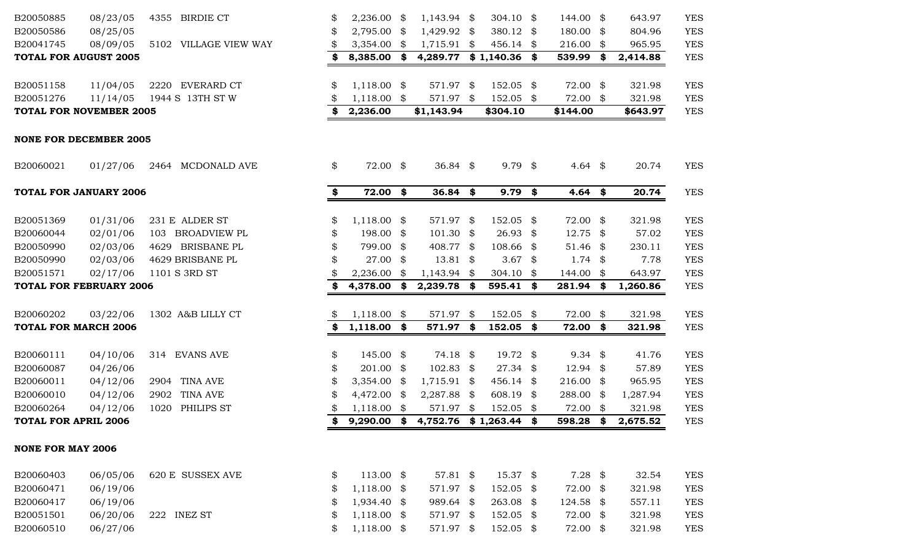| B20050885                      | 08/23/05             | 4355 BIRDIE CT        |          | 2,236.00                       | \$   | $1,143.94$ \$                       | 304.10 \$              |      | 144.00 \$            | 643.97           | <b>YES</b>               |
|--------------------------------|----------------------|-----------------------|----------|--------------------------------|------|-------------------------------------|------------------------|------|----------------------|------------------|--------------------------|
| B20050586                      | 08/25/05             |                       | \$       | 2,795.00                       | \$   | 1,429.92 \$                         | 380.12 \$              |      | 180.00 \$            | 804.96           | <b>YES</b>               |
| B20041745                      | 08/09/05             | 5102 VILLAGE VIEW WAY | \$       | $3,354.00$ \$                  |      | $1,715.91$ \$                       | 456.14 \$              |      | 216.00 \$            | 965.95           | <b>YES</b>               |
| <b>TOTAL FOR AUGUST 2005</b>   |                      |                       | \$       | 8,385.00                       | \$   | 4,289.77                            | $$1,140.36$ \$         |      | 539.99               | \$<br>2,414.88   | <b>YES</b>               |
| B20051158                      | 11/04/05             | 2220 EVERARD CT       | \$       | $1,118.00$ \$                  |      | 571.97 \$                           | 152.05 \$              |      | 72.00 \$             | 321.98           | <b>YES</b>               |
| B20051276                      | 11/14/05             | 1944 S 13TH ST W      |          | $1,118.00$ \$                  |      | 571.97 \$                           | 152.05 \$              |      | 72.00 \$             | 321.98           | <b>YES</b>               |
| <b>TOTAL FOR NOVEMBER 2005</b> |                      |                       | \$       | 2,236.00                       |      | \$1,143.94                          | \$304.10               |      | \$144.00             | \$643.97         | <b>YES</b>               |
| <b>NONE FOR DECEMBER 2005</b>  |                      |                       |          |                                |      |                                     |                        |      |                      |                  |                          |
| B20060021                      | 01/27/06             | 2464 MCDONALD AVE     | \$       | 72.00 \$                       |      | 36.84 $$$                           | $9.79$ \$              |      | 4.64 $\frac{1}{2}$   | 20.74            | <b>YES</b>               |
| <b>TOTAL FOR JANUARY 2006</b>  |                      |                       | \$       | 72.00 \$                       |      | $36.84$ \$                          | $9.79$ \$              |      | 4.64 $$$             | 20.74            | <b>YES</b>               |
| B20051369                      | 01/31/06             | 231 E ALDER ST        | \$       | $1,118.00$ \$                  |      | 571.97 \$                           | 152.05 \$              |      | 72.00 \$             | 321.98           | <b>YES</b>               |
| B20060044                      | 02/01/06             | 103 BROADVIEW PL      | \$       | 198.00                         | - \$ | $101.30$ \$                         | $26.93$ \$             |      | $12.75$ \$           | 57.02            | <b>YES</b>               |
| B20050990                      | 02/03/06             | 4629 BRISBANE PL      | \$       | 799.00                         | \$   | 408.77 \$                           | 108.66 \$              |      | 51.46 \$             | 230.11           | <b>YES</b>               |
| B20050990                      | 02/03/06             | 4629 BRISBANE PL      |          | 27.00                          | \$   | $13.81$ \$                          | 3.67 $$$               |      | $1.74$ \$            | 7.78             | <b>YES</b>               |
| B20051571                      | 02/17/06             | 1101 S 3RD ST         |          | 2,236.00                       | S    | $1,143.94$ \$                       | 304.10 $\text{\$}$     |      | 144.00 \$            | 643.97           | <b>YES</b>               |
| <b>TOTAL FOR FEBRUARY 2006</b> |                      |                       | \$       | 4,378.00                       | \$   | 2,239.78 \$                         | 595.41 \$              |      | 281.94 \$            | 1,260.86         | <b>YES</b>               |
| B20060202                      | 03/22/06             | 1302 A&B LILLY CT     | \$       | 1,118.00                       | \$   | 571.97                              | \$<br>152.05           | \$   | 72.00 \$             | 321.98           | <b>YES</b>               |
| <b>TOTAL FOR MARCH 2006</b>    |                      |                       | \$       | 1,118.00                       | \$   | 571.97 \$                           | 152.05                 | - \$ | 72.00 \$             | 321.98           | <b>YES</b>               |
|                                |                      |                       |          |                                |      |                                     |                        |      |                      |                  |                          |
| B20060111                      | 04/10/06             | 314 EVANS AVE         | \$       | 145.00 \$                      |      | 74.18 \$                            | 19.72 \$               |      | $9.34$ \$            | 41.76            | <b>YES</b>               |
| B20060087                      | 04/26/06             |                       | \$       | 201.00 \$                      |      | $102.83$ \$                         | 27.34 \$               |      | $12.94$ \$           | 57.89            | <b>YES</b>               |
| B20060011                      | 04/12/06             | 2904 TINA AVE         | \$       | $3,354.00$ \$                  |      | $1,715.91$ \$                       | 456.14 \$              |      | 216.00 \$            | 965.95           | <b>YES</b>               |
| B20060010                      | 04/12/06             | 2902 TINA AVE         |          | 4,472.00 \$                    |      | 2,287.88 \$                         | 608.19 \$              |      | 288.00 \$            | 1,287.94         | <b>YES</b>               |
| B20060264                      | 04/12/06             | 1020 PHILIPS ST       |          | $1,118.00$ \$                  |      | 571.97 \$                           | 152.05 \$              |      | 72.00 \$             | 321.98           | <b>YES</b>               |
| <b>TOTAL FOR APRIL 2006</b>    |                      |                       | \$.      |                                |      | 9,290.00 \$ 4,752.76 \$ 1,263.44 \$ |                        |      | 598.28 \$            | 2,675.52         | <b>YES</b>               |
| <b>NONE FOR MAY 2006</b>       |                      |                       |          |                                |      |                                     |                        |      |                      |                  |                          |
| B20060403                      | 06/05/06             | 620 E SUSSEX AVE      | \$       | 113.00 \$                      |      | 57.81 $\frac{1}{2}$                 | 15.37 \$               |      | $7.28$ \$            | 32.54            | <b>YES</b>               |
| B20060471                      | 06/19/06             |                       | \$       | $1,118.00$ \$                  |      | 571.97 \$                           | 152.05 \$              |      | 72.00 \$             | 321.98           | <b>YES</b>               |
| B20060417                      | 06/19/06             |                       | \$       | 1,934.40 \$                    |      | 989.64 \$                           | 263.08 \$              |      | 124.58 \$            | 557.11           | <b>YES</b>               |
| B20051501<br>B20060510         | 06/20/06<br>06/27/06 | 222 INEZ ST           | \$<br>\$ | $1,118.00$ \$<br>$1,118.00$ \$ |      | 571.97 \$<br>571.97 \$              | 152.05 \$<br>152.05 \$ |      | 72.00 \$<br>72.00 \$ | 321.98<br>321.98 | <b>YES</b><br><b>YES</b> |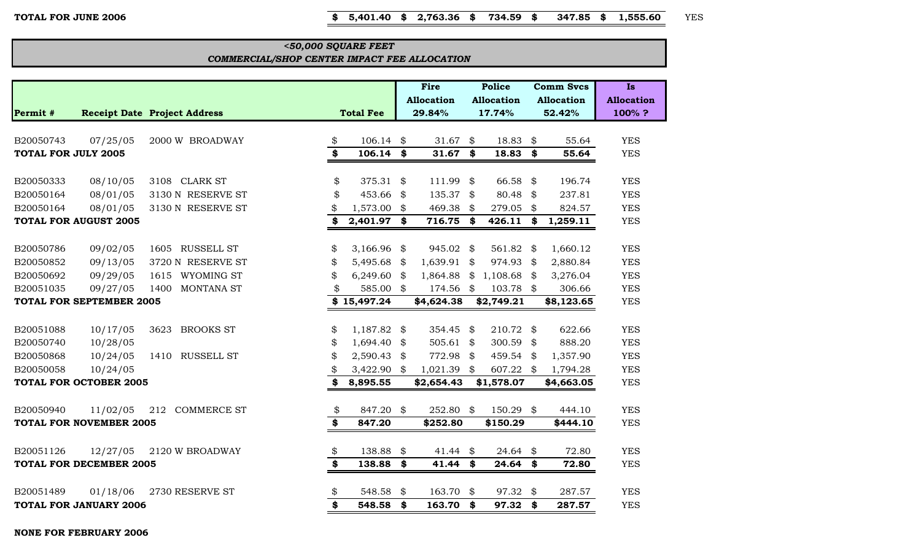**TOTAL FOR JUNE 2006 \$ 5,401.40 \$ 2,763.36 \$ 734.59 \$ 347.85 \$ 1,555.60** YES

#### *COMMERCIAL/SHOP CENTER IMPACT FEE ALLOCATION <50,000 SQUARE FEET*

|                                         |                                 |                                     |                         |                  |                            | Fire<br><b>Allocation</b> |                            | <b>Police</b><br><b>Allocation</b> |          | <b>Comm Svcs</b><br><b>Allocation</b> | <b>Is</b><br><b>Allocation</b> |
|-----------------------------------------|---------------------------------|-------------------------------------|-------------------------|------------------|----------------------------|---------------------------|----------------------------|------------------------------------|----------|---------------------------------------|--------------------------------|
| Permit #                                |                                 | <b>Receipt Date Project Address</b> |                         | <b>Total Fee</b> |                            | 29.84%                    |                            | 17.74%                             |          | 52.42%                                | 100%?                          |
|                                         |                                 |                                     |                         |                  |                            |                           |                            |                                    |          |                                       |                                |
| B20050743<br><b>TOTAL FOR JULY 2005</b> | 07/25/05                        | 2000 W BROADWAY                     | \$<br>\$                | 106.14<br>106.14 | \$<br>\$                   | 31.67<br>31.67            | \$<br>\$                   | 18.83<br>18.83                     | \$<br>\$ | 55.64<br>55.64                        | <b>YES</b><br><b>YES</b>       |
|                                         |                                 |                                     |                         |                  |                            |                           |                            |                                    |          |                                       |                                |
| B20050333                               | 08/10/05                        | 3108 CLARK ST                       | \$                      | 375.31           | \$                         | 111.99                    | \$                         | 66.58                              | \$       | 196.74                                | <b>YES</b>                     |
| B20050164                               | 08/01/05                        | 3130 N RESERVE ST                   | \$                      | 453.66           | $\boldsymbol{\mathcal{Z}}$ | 135.37                    | $\boldsymbol{\mathcal{S}}$ | 80.48                              | \$       | 237.81                                | <b>YES</b>                     |
| B20050164                               | 08/01/05                        | 3130 N RESERVE ST                   | \$                      | 1,573.00         | \$                         | 469.38                    | \$                         | 279.05                             | \$       | 824.57                                | <b>YES</b>                     |
|                                         | <b>TOTAL FOR AUGUST 2005</b>    |                                     | \$                      | 2,401.97         | \$                         | 716.75                    | \$                         | 426.11                             | \$       | 1,259.11                              | <b>YES</b>                     |
|                                         |                                 |                                     |                         |                  |                            |                           |                            |                                    |          |                                       |                                |
| B20050786                               | 09/02/05                        | 1605 RUSSELL ST                     | \$                      | 3,166.96         | \$                         | 945.02                    | $\boldsymbol{\mathcal{S}}$ | 561.82 \$                          |          | 1,660.12                              | <b>YES</b>                     |
| B20050852                               | 09/13/05                        | 3720 N RESERVE ST                   | \$                      | 5,495.68         | \$                         | 1,639.91                  | \$                         | 974.93                             | \$       | 2,880.84                              | <b>YES</b>                     |
| B20050692                               | 09/29/05                        | 1615 WYOMING ST                     | \$                      | 6,249.60         | \$                         | 1,864.88                  | \$                         | 1,108.68                           | \$       | 3,276.04                              | <b>YES</b>                     |
| B20051035                               | 09/27/05                        | MONTANA ST<br>1400                  | \$                      | 585.00           | \$                         | 174.56                    | \$                         | 103.78 \$                          |          | 306.66                                | <b>YES</b>                     |
|                                         | <b>TOTAL FOR SEPTEMBER 2005</b> |                                     |                         | \$15,497.24      |                            | \$4,624.38                |                            | \$2,749.21                         |          | \$8,123.65                            | <b>YES</b>                     |
|                                         |                                 |                                     |                         |                  |                            |                           |                            |                                    |          |                                       |                                |
| B20051088                               | 10/17/05                        | <b>BROOKS ST</b><br>3623            | \$                      | 1,187.82         | \$                         | 354.45                    | \$                         | 210.72                             | \$       | 622.66                                | <b>YES</b>                     |
| B20050740                               | 10/28/05                        |                                     | \$                      | 1,694.40         | \$                         | 505.61                    | \$                         | 300.59                             | \$       | 888.20                                | <b>YES</b>                     |
| B20050868                               | 10/24/05                        | 1410<br><b>RUSSELL ST</b>           | \$                      | 2,590.43         | \$                         | 772.98                    | \$                         | 459.54                             | \$       | 1,357.90                              | <b>YES</b>                     |
| B20050058                               | 10/24/05                        |                                     | \$                      | 3,422.90         | \$                         | 1,021.39                  |                            | 607.22 \$                          |          | 1,794.28                              | <b>YES</b>                     |
|                                         | <b>TOTAL FOR OCTOBER 2005</b>   |                                     | \$                      | 8,895.55         |                            | \$2,654.43                |                            | \$1,578.07                         |          | \$4,663.05                            | <b>YES</b>                     |
|                                         |                                 |                                     |                         |                  |                            |                           |                            |                                    |          |                                       |                                |
| B20050940                               | 11/02/05                        | <b>COMMERCE ST</b><br>212           | \$                      | 847.20           | \$                         | 252.80                    | \$                         | 150.29                             | \$       | 444.10                                | <b>YES</b>                     |
|                                         | <b>TOTAL FOR NOVEMBER 2005</b>  |                                     | \$                      | 847.20           |                            | \$252.80                  |                            | \$150.29                           |          | \$444.10                              | <b>YES</b>                     |
| B20051126                               | 12/27/05                        | 2120 W BROADWAY                     | \$                      | 138.88           | \$                         | 41.44                     | \$                         | 24.64                              | \$       | 72.80                                 | <b>YES</b>                     |
|                                         | <b>TOTAL FOR DECEMBER 2005</b>  |                                     | $\overline{\mathbf{3}}$ | 138.88           | \$                         | 41.44                     | \$                         | 24.64                              | \$       | 72.80                                 | <b>YES</b>                     |
|                                         |                                 |                                     |                         |                  |                            |                           |                            |                                    |          |                                       |                                |
| B20051489                               | 01/18/06                        | 2730 RESERVE ST                     | \$                      | 548.58           | \$                         | 163.70                    | \$                         | 97.32                              | \$       | 287.57                                | <b>YES</b>                     |
|                                         | <b>TOTAL FOR JANUARY 2006</b>   |                                     | \$                      | 548.58           | \$                         | 163.70                    | \$                         | 97.32                              | \$       | 287.57                                | <b>YES</b>                     |

**NONE FOR FEBRUARY 2006**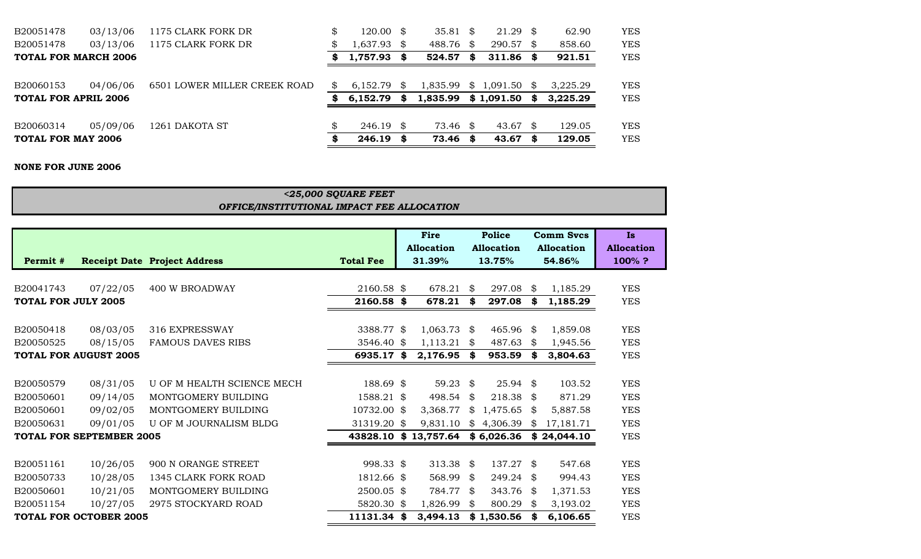| TOTAL FOR MAY 2006          |          |                              |     | 246.19   | S    | 73.46    | S.   | $43.67$ \$          |      | 129.05   | <b>YES</b> |
|-----------------------------|----------|------------------------------|-----|----------|------|----------|------|---------------------|------|----------|------------|
| B20060314                   | 05/09/06 | 1261 DAKOTA ST               |     | 246.19   | - \$ | 73.46    | - \$ | 43.67 $\frac{1}{2}$ |      | 129.05   | <b>YES</b> |
| <b>TOTAL FOR APRIL 2006</b> |          |                              |     | 6.152.79 | S    | 1,835.99 |      | \$1,091.50          | - \$ | 3,225.29 | <b>YES</b> |
| B20060153                   | 04/06/06 | 6501 LOWER MILLER CREEK ROAD | \$. | 6.152.79 | -SS  | 1,835.99 |      | $$1,091.50$ \$      |      | 3.225.29 | <b>YES</b> |
| <b>TOTAL FOR MARCH 2006</b> |          |                              |     | 1,757.93 | SS.  | 524.57   | S    | $311.86$ \$         |      | 921.51   | <b>YES</b> |
| B20051478                   | 03/13/06 | 1175 CLARK FORK DR           | \$  | 1,637.93 | -\$  | 488.76   | \$   | 290.57              | - \$ | 858.60   | <b>YES</b> |
| B20051478                   | 03/13/06 | 1175 CLARK FORK DR           | \$  | 120.00   | - \$ | 35.81    | \$   | $21.29$ \$          |      | 62.90    | YES        |

#### **NONE FOR JUNE 2006**

#### *OFFICE/INSTITUTIONAL IMPACT FEE ALLOCATION <25,000 SQUARE FEET*

|                            |                                 |                                     |                  | Fire<br><b>Allocation</b> |     | <b>Police</b><br><b>Allocation</b> |     | <b>Comm Svcs</b><br><b>Allocation</b> | Is.<br><b>Allocation</b> |
|----------------------------|---------------------------------|-------------------------------------|------------------|---------------------------|-----|------------------------------------|-----|---------------------------------------|--------------------------|
| Permit #                   |                                 | <b>Receipt Date Project Address</b> | <b>Total Fee</b> | 31.39%                    |     | 13.75%                             |     | 54.86%                                | 100%?                    |
|                            |                                 |                                     |                  |                           |     |                                    |     |                                       |                          |
| B20041743                  | 07/22/05                        | <b>400 W BROADWAY</b>               | 2160.58 \$       | 678.21                    | \$  | 297.08                             | \$  | 1,185.29                              | <b>YES</b>               |
| <b>TOTAL FOR JULY 2005</b> |                                 |                                     | 2160.58 \$       | 678.21                    | \$  | 297.08                             | \$  | 1,185.29                              | <b>YES</b>               |
|                            |                                 |                                     |                  |                           |     |                                    |     |                                       |                          |
| B20050418                  | 08/03/05                        | 316 EXPRESSWAY                      | 3388.77 \$       | 1,063.73                  | -\$ | 465.96 \$                          |     | 1,859.08                              | <b>YES</b>               |
| B20050525                  | 08/15/05                        | <b>FAMOUS DAVES RIBS</b>            | 3546.40 \$       | 1,113.21                  | \$  | 487.63                             | \$  | 1,945.56                              | <b>YES</b>               |
|                            | <b>TOTAL FOR AUGUST 2005</b>    |                                     | 6935.17 \$       | 2,176.95                  | \$  | 953.59                             | \$  | 3,804.63                              | <b>YES</b>               |
|                            |                                 |                                     |                  |                           |     |                                    |     |                                       |                          |
| B20050579                  | 08/31/05                        | U OF M HEALTH SCIENCE MECH          | 188.69 \$        | 59.23 \$                  |     | $25.94$ \$                         |     | 103.52                                | <b>YES</b>               |
| B20050601                  | 09/14/05                        | MONTGOMERY BUILDING                 | 1588.21 \$       | 498.54                    | \$  | 218.38                             | -\$ | 871.29                                | <b>YES</b>               |
| B20050601                  | 09/02/05                        | MONTGOMERY BUILDING                 | 10732.00 \$      | 3,368.77                  | \$  | 1,475.65                           | \$  | 5,887.58                              | <b>YES</b>               |
| B20050631                  | 09/01/05                        | U OF M JOURNALISM BLDG              | 31319.20 \$      | 9,831.10                  | \$  | 4,306.39                           | \$  | 17,181.71                             | <b>YES</b>               |
|                            | <b>TOTAL FOR SEPTEMBER 2005</b> |                                     |                  | 43828.10 \$13,757.64      |     | \$6,026.36                         |     | \$24,044.10                           | <b>YES</b>               |
|                            |                                 |                                     |                  |                           |     |                                    |     |                                       |                          |
| B20051161                  | 10/26/05                        | 900 N ORANGE STREET                 | 998.33 \$        | 313.38 $$$                |     | 137.27 \$                          |     | 547.68                                | <b>YES</b>               |
| B20050733                  | 10/28/05                        | 1345 CLARK FORK ROAD                | 1812.66 \$       | 568.99                    | \$  | $249.24$ \$                        |     | 994.43                                | <b>YES</b>               |
| B20050601                  | 10/21/05                        | MONTGOMERY BUILDING                 | 2500.05 \$       | 784.77                    | -\$ | 343.76 \$                          |     | 1,371.53                              | <b>YES</b>               |
| B20051154                  | 10/27/05                        | 2975 STOCKYARD ROAD                 | 5820.30 \$       | 1,826.99                  | \$  | 800.29                             | \$  | 3,193.02                              | <b>YES</b>               |
|                            | <b>TOTAL FOR OCTOBER 2005</b>   |                                     | 11131.34 \$      | 3,494.13                  |     | \$1,530.56                         |     | 6,106.65                              | <b>YES</b>               |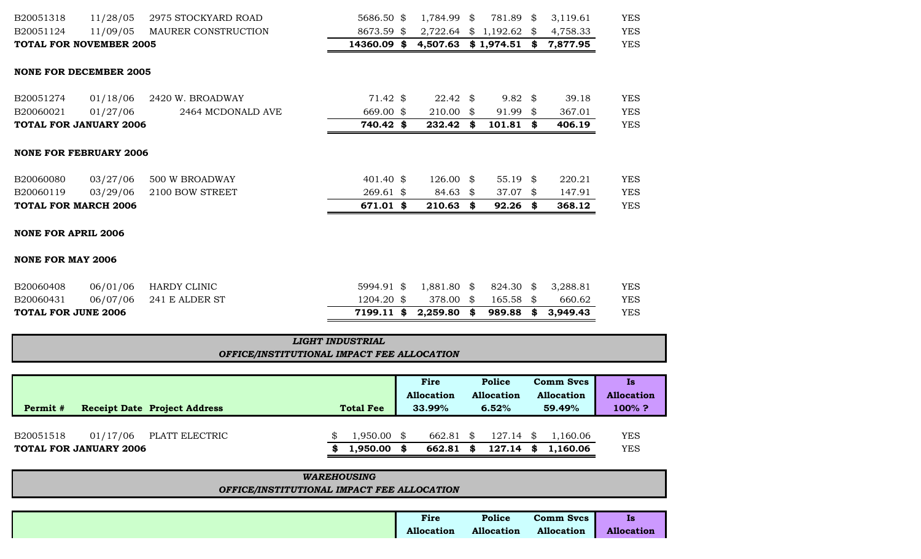| B20051318                      | 11/28/05 | 2975 STOCKYARD ROAD | 5686.50 \$  | 1,784.99 \$               | 781.89 \$           | 3,119.61 | <b>YES</b> |
|--------------------------------|----------|---------------------|-------------|---------------------------|---------------------|----------|------------|
| B20051124                      | 11/09/05 | MAURER CONSTRUCTION | 8673.59 \$  | $2,722.64$ \$ 1,192.62 \$ |                     | 4,758.33 | <b>YES</b> |
| <b>TOTAL FOR NOVEMBER 2005</b> |          |                     | 14360.09 \$ | $4,507.63$ \$1,974.51 \$  |                     | 7,877.95 | <b>YES</b> |
| <b>NONE FOR DECEMBER 2005</b>  |          |                     |             |                           |                     |          |            |
| B20051274                      | 01/18/06 | 2420 W. BROADWAY    | $71.42$ \$  | $22.42 \text{ }$ \$       | $9.82 \text{ } $$   | 39.18    | <b>YES</b> |
| B20060021                      | 01/27/06 | 2464 MCDONALD AVE   | 669.00 \$   | $210.00$ \$               | 91.99 \$            | 367.01   | <b>YES</b> |
| <b>TOTAL FOR JANUARY 2006</b>  |          |                     | 740.42 \$   | 232.42                    | \$<br>$101.81$ \$   | 406.19   | <b>YES</b> |
| <b>NONE FOR FEBRUARY 2006</b>  |          |                     |             |                           |                     |          |            |
| B20060080                      | 03/27/06 | 500 W BROADWAY      | 401.40 \$   | $126.00 \text{ }$ \$      | 55.19 $\frac{1}{2}$ | 220.21   | <b>YES</b> |
| B20060119                      | 03/29/06 | 2100 BOW STREET     | $269.61$ \$ | $84.63$ \$                | 37.07 \$            | 147.91   | <b>YES</b> |
| <b>TOTAL FOR MARCH 2006</b>    |          |                     | 671.01 \$   | $210.63$ \$               | $92.26$ \$          | 368.12   | <b>YES</b> |
| <b>NONE FOR APRIL 2006</b>     |          |                     |             |                           |                     |          |            |
| <b>NONE FOR MAY 2006</b>       |          |                     |             |                           |                     |          |            |
| B20060408                      | 06/01/06 | HARDY CLINIC        | 5994.91 \$  | 1,881.80 \$               | 824.30 \$           | 3,288.81 | <b>YES</b> |
| B20060431                      | 06/07/06 | 241 E ALDER ST      | 1204.20 \$  | 378.00 \$                 | $165.58$ \$         | 660.62   | <b>YES</b> |
| <b>TOTAL FOR JUNE 2006</b>     |          |                     | 7199.11 \$  | $2,259.80$ \$             | $989.88$ \$         | 3,949.43 | <b>YES</b> |

| <b>LIGHT INDUSTRIAL</b><br>OFFICE/INSTITUTIONAL IMPACT FEE ALLOCATION |      |                                                                                                                                                                                                                                                                                                                                    |                  |                                                           |
|-----------------------------------------------------------------------|------|------------------------------------------------------------------------------------------------------------------------------------------------------------------------------------------------------------------------------------------------------------------------------------------------------------------------------------|------------------|-----------------------------------------------------------|
|                                                                       |      |                                                                                                                                                                                                                                                                                                                                    |                  |                                                           |
|                                                                       | Fire | Police                                                                                                                                                                                                                                                                                                                             | <b>Comm Svcs</b> |                                                           |
|                                                                       |      | $\overline{a}$ and $\overline{a}$ and $\overline{a}$ and $\overline{a}$ and $\overline{a}$ and $\overline{a}$ and $\overline{a}$ and $\overline{a}$ and $\overline{a}$ and $\overline{a}$ and $\overline{a}$ and $\overline{a}$ and $\overline{a}$ and $\overline{a}$ and $\overline{a}$ and $\overline{a}$ and $\overline{a}$ and |                  | $\mathbf{A}$ and $\mathbf{A}$ are assumed to $\mathbf{A}$ |

| Permit #  |                                           | <b>Receipt Date Project Address</b> | <b>Total Fee</b>          |   |                        | Police<br>Allocation<br>$6.52\%$ |             | <b>Comm Svcs</b><br><b>Allocation</b><br>59.49% |                                | Is<br><b>Allocation</b><br>$100\%$ ? |
|-----------|-------------------------------------------|-------------------------------------|---------------------------|---|------------------------|----------------------------------|-------------|-------------------------------------------------|--------------------------------|--------------------------------------|
| B20051518 | 01/17/06<br><b>TOTAL FOR JANUARY 2006</b> | PLATT ELECTRIC                      | $1,950.00$ \$<br>1,950.00 | S | 662.81 \$<br>662.81 \$ |                                  | $127.14$ \$ |                                                 | 127.14 \$ 1,160.06<br>1.160.06 | <b>YES</b><br><b>YES</b>             |

| <b>WAREHOUSING</b>                         |
|--------------------------------------------|
| OFFICE/INSTITUTIONAL IMPACT FEE ALLOCATION |
|                                            |

|  | Fire              | <b>Police</b>     | <b>Comm Svcs</b>  | ∖LS               |
|--|-------------------|-------------------|-------------------|-------------------|
|  | <b>Allocation</b> | <b>Allocation</b> | <b>Allocation</b> | <b>Allocation</b> |